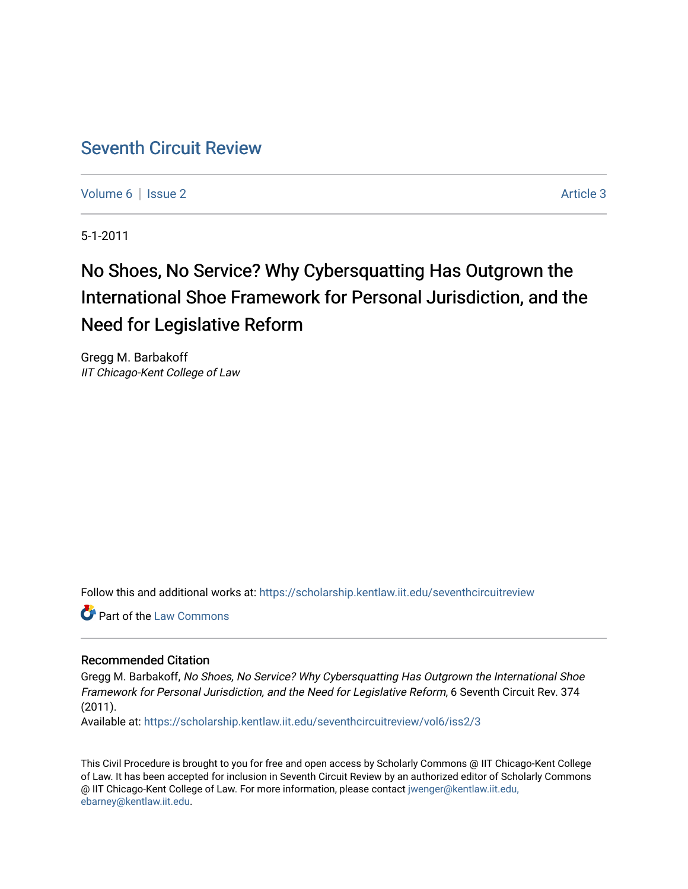# [Seventh Circuit Review](https://scholarship.kentlaw.iit.edu/seventhcircuitreview)

[Volume 6](https://scholarship.kentlaw.iit.edu/seventhcircuitreview/vol6) | [Issue 2](https://scholarship.kentlaw.iit.edu/seventhcircuitreview/vol6/iss2) Article 3

5-1-2011

# No Shoes, No Service? Why Cybersquatting Has Outgrown the International Shoe Framework for Personal Jurisdiction, and the Need for Legislative Reform

Gregg M. Barbakoff IIT Chicago-Kent College of Law

Follow this and additional works at: [https://scholarship.kentlaw.iit.edu/seventhcircuitreview](https://scholarship.kentlaw.iit.edu/seventhcircuitreview?utm_source=scholarship.kentlaw.iit.edu%2Fseventhcircuitreview%2Fvol6%2Fiss2%2F3&utm_medium=PDF&utm_campaign=PDFCoverPages) 

Part of the [Law Commons](http://network.bepress.com/hgg/discipline/578?utm_source=scholarship.kentlaw.iit.edu%2Fseventhcircuitreview%2Fvol6%2Fiss2%2F3&utm_medium=PDF&utm_campaign=PDFCoverPages)

#### Recommended Citation

Gregg M. Barbakoff, No Shoes, No Service? Why Cybersquatting Has Outgrown the International Shoe Framework for Personal Jurisdiction, and the Need for Legislative Reform, 6 Seventh Circuit Rev. 374 (2011).

Available at: [https://scholarship.kentlaw.iit.edu/seventhcircuitreview/vol6/iss2/3](https://scholarship.kentlaw.iit.edu/seventhcircuitreview/vol6/iss2/3?utm_source=scholarship.kentlaw.iit.edu%2Fseventhcircuitreview%2Fvol6%2Fiss2%2F3&utm_medium=PDF&utm_campaign=PDFCoverPages)

This Civil Procedure is brought to you for free and open access by Scholarly Commons @ IIT Chicago-Kent College of Law. It has been accepted for inclusion in Seventh Circuit Review by an authorized editor of Scholarly Commons @ IIT Chicago-Kent College of Law. For more information, please contact [jwenger@kentlaw.iit.edu,](mailto:jwenger@kentlaw.iit.edu,%20ebarney@kentlaw.iit.edu)  [ebarney@kentlaw.iit.edu](mailto:jwenger@kentlaw.iit.edu,%20ebarney@kentlaw.iit.edu).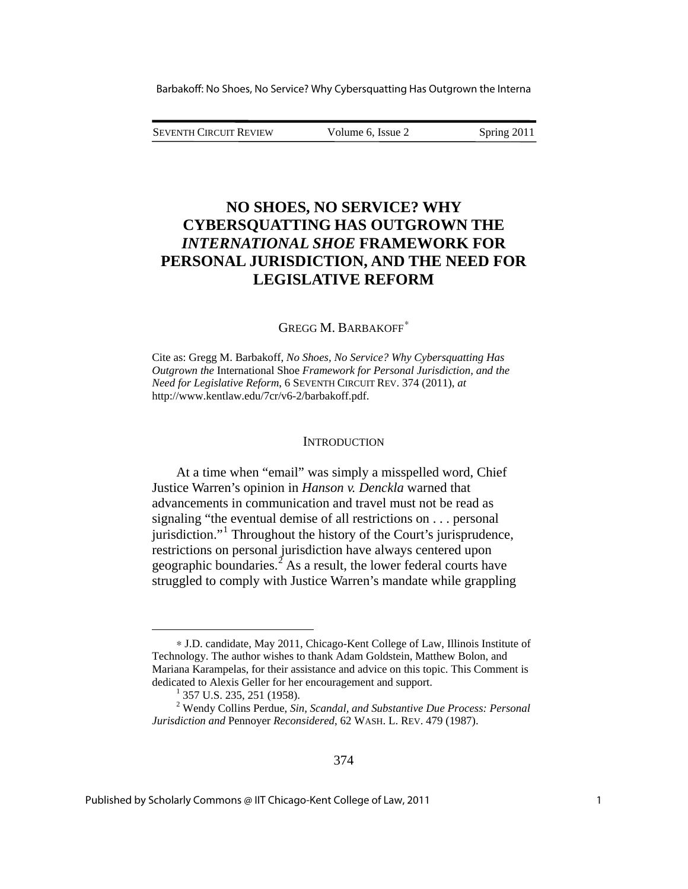SEVENTH CIRCUIT REVIEW Volume 6, Issue 2 Spring 2011

## **NO SHOES, NO SERVICE? WHY CYBERSQUATTING HAS OUTGROWN THE**  *INTERNATIONAL SHOE* **FRAMEWORK FOR PERSONAL JURISDICTION, AND THE NEED FOR LEGISLATIVE REFORM**

GREGG M. BARBAKOFF<sup>\*</sup>

Cite as: Gregg M. Barbakoff, *No Shoes, No Service? Why Cybersquatting Has Outgrown the* International Shoe *Framework for Personal Jurisdiction, and the Need for Legislative Reform*, 6 SEVENTH CIRCUIT REV. 374 (2011), *at*  http://www.kentlaw.edu/7cr/v6-2/barbakoff.pdf.

#### **INTRODUCTION**

At a time when "email" was simply a misspelled word, Chief Justice Warren's opinion in *Hanson v. Denckla* warned that advancements in communication and travel must not be read as signaling "the eventual demise of all restrictions on . . . personal jurisdiction."<sup>[1](#page-1-1)</sup> Throughout the history of the Court's jurisprudence, restrictions on personal jurisdiction have always centered upon geographic boundaries.<sup> $\hat{z}$ </sup> As a result, the lower federal courts have struggled to comply with Justice Warren's mandate while grappling

<u>.</u>

<span id="page-1-0"></span><sup>∗</sup> J.D. candidate, May 2011, Chicago-Kent College of Law, Illinois Institute of Technology. The author wishes to thank Adam Goldstein, Matthew Bolon, and Mariana Karampelas, for their assistance and advice on this topic. This Comment is dedicated to Alexis Geller for her encouragement and support.

 $^{1}$  357 U.S. 235, 251 (1958).

<span id="page-1-2"></span><span id="page-1-1"></span><sup>2</sup> Wendy Collins Perdue, *Sin, Scandal, and Substantive Due Process: Personal Jurisdiction and* Pennoyer *Reconsidered*, 62 WASH. L. REV. 479 (1987).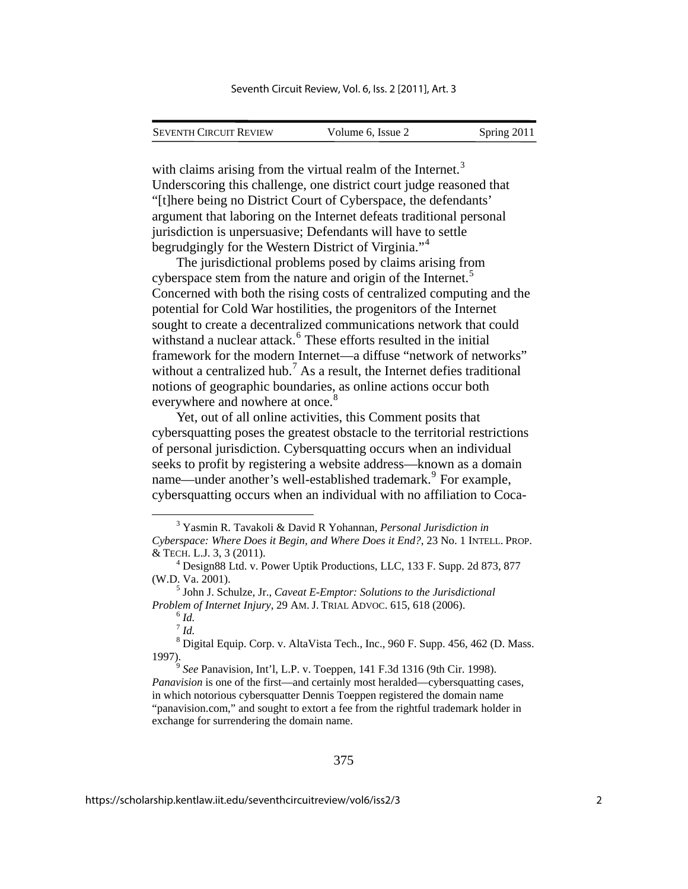| <b>SEVENTH CIRCUIT REVIEW</b> | Volume 6, Issue 2 | Spring 2011 |
|-------------------------------|-------------------|-------------|

with claims arising from the virtual realm of the Internet.<sup>[3](#page-2-0)</sup> Underscoring this challenge, one district court judge reasoned that "[t]here being no District Court of Cyberspace, the defendants' argument that laboring on the Internet defeats traditional personal jurisdiction is unpersuasive; Defendants will have to settle begrudgingly for the Western District of Virginia."[4](#page-2-1)

The jurisdictional problems posed by claims arising from cyberspace stem from the nature and origin of the Internet.<sup>[5](#page-2-2)</sup> Concerned with both the rising costs of centralized computing and the potential for Cold War hostilities, the progenitors of the Internet sought to create a decentralized communications network that co uld withstand a nuclear attack.<sup>[6](#page-2-3)</sup> These efforts resulted in the initial framework for the modern Internet—a diffuse "network of networks" everywhere and nowhere at once. $8$ without a centralized hub.<sup>[7](#page-2-4)</sup> As a result, the Internet defies traditional notions of geographic boundaries, as online actions occur both

Yet, out of all online activities, this Comment posits that cybersquatting poses the greatest obstacle to the territorial restrictions of personal jurisdiction. Cybersquatting occurs when an individual seeks to profit by registering a website address—known as a domain name—under another's well-established trademark.<sup>[9](#page-2-5)</sup> For example, cybersquatting occurs when an individual with no affiliation to Coca-

1

<span id="page-2-0"></span><sup>3</sup> Yasmin R. Tavakoli & David R Yohannan, *Personal Jurisdiction in Cyberspace: Where Does it Begin, and Where Does it End?*, 23 No. 1 INTELL. PROP. & TECH. L.J. 3, 3 (2011). 4

<span id="page-2-1"></span> $4$  Design88 Ltd. v. Power Uptik Productions, LLC, 133 F. Supp. 2d 873, 877 (W.D. Va. 2001).

<span id="page-2-3"></span><span id="page-2-2"></span><sup>&</sup>lt;sup>5</sup> John J. Schulze, Jr., *Caveat E-Emptor: Solutions to the Jurisdictional Problem of Internet Injury*, 29 AM. J. TRIAL ADVOC. 615, 618 (2006). 6 *Id.* 

 $^7$  *Id.* 

<span id="page-2-4"></span> $^8$  Digital Equip. Corp. v. AltaVista Tech., Inc., 960 F. Supp. 456, 462 (D. Mass. 1997).

<span id="page-2-5"></span><sup>&</sup>lt;sup>9</sup> *See* Panavision, Int'l, L.P. v. Toeppen, 141 F.3d 1316 (9th Cir. 1998). *Panavision* is one of the first—and certainly most heralded—cybersquatting cases, in which notorious cybersquatter Dennis Toeppen registered the domain name "panavision.com," and sought to extort a fee from the rightful trademark holder in exchange for surrendering the domain name.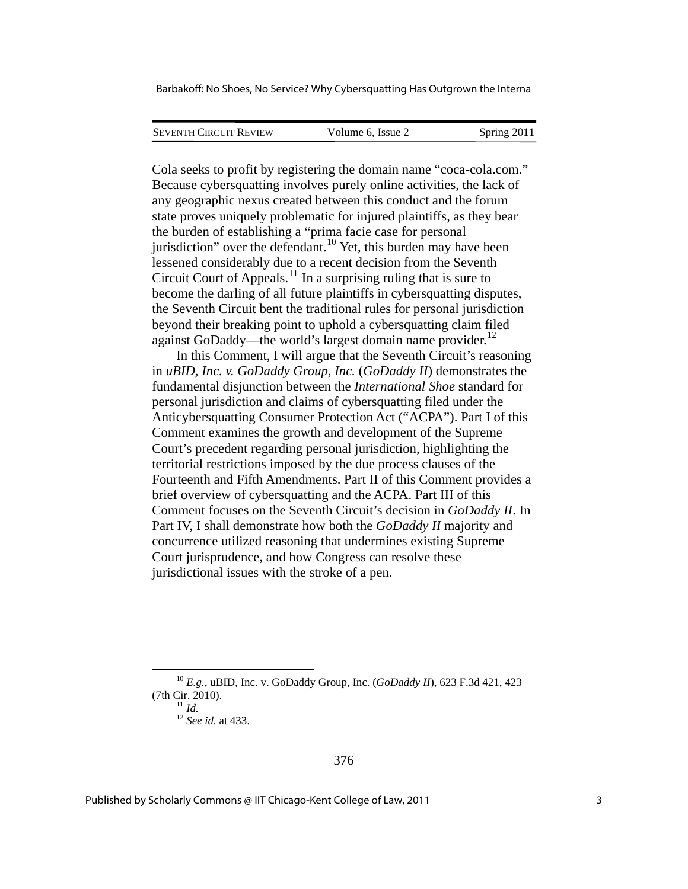| <b>SEVENTH CIRCUIT REVIEW</b> | Volume 6, Issue 2 | Spring 2011 |
|-------------------------------|-------------------|-------------|
|                               |                   |             |

Cola seeks to profit by registering the domain name "coca-cola.com." Because cybersquatting involves purely online activities, the lack of any geographic nexus created between this conduct and the forum state proves uniquely problematic for injured plaintiffs, as they bear the burden of establishing a "prima facie case for personal jurisdiction" over the defendant.<sup>[10](#page-3-0)</sup> Yet, this burden may have been lessened considerably due to a recent decision from the Seventh Circuit Court of Appeals.[11](#page-3-1) In a surprising ruling that is sure to become the darling of all future plaintiffs in cybersquatting disputes, the Seventh Circuit bent the traditional rules for personal jurisdicti on beyond their breaking point to uphold a cybersquatting claim filed against GoDaddy—the world's largest domain name provider. [12](#page-3-2)

In this Comment, I will argue that the Seventh Circuit's reasoning in *uBID, Inc. v. GoDaddy Group, Inc.* (*GoDaddy II*) demonstrates the fundamental disjunction between the *International Shoe* standard for personal jurisdiction and claims of cybersquatting filed under the Anticybersquatting Consumer Protection Act ("ACPA"). Part I of this Comment examines the growth and development of the Supreme Court's precedent regarding personal jurisdiction, highlighting the territorial restrictions imposed by the due process clauses of the Fourteenth and Fifth Amendments. Part II of this Comment provides a brief overview of cybersquatting and the ACPA. Part III of this Comment focuses on the Seventh Circuit's decision in *GoDaddy II*. In Part IV, I shall demonstrate how both the *GoDaddy II* majority and concurrence utilized reasoning that undermines existing Supreme Court jurisprudence, and how Congress can resolve these jurisdictional issues with the stroke of a pen.

1

<span id="page-3-2"></span><span id="page-3-1"></span><span id="page-3-0"></span><sup>10</sup> *E.g.*, uBID, Inc. v. GoDaddy Group, Inc. (*GoDaddy II*), 623 F.3d 421, 423 (7th Cir. 2010). 11 *Id.* <sup>12</sup> *See id.* at 433.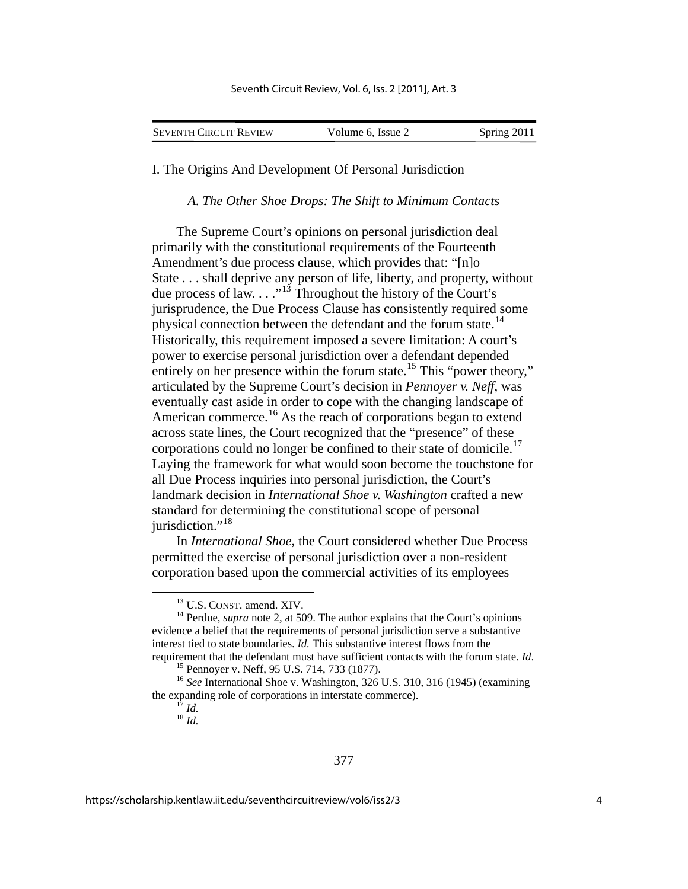| <b>SEVENTH CIRCUIT REVIEW</b> | Volume 6, Issue 2 | Spring 2011 |
|-------------------------------|-------------------|-------------|
|                               |                   |             |

I. The Origins And Development Of Personal Jurisdiction

*A. The Other Shoe Drops: The Shift to Minimum Contacts* 

The Supreme Court's opinions on personal jurisdiction deal primarily with the constitutional requirements of the Fourteenth Amendment's due process clause, which provides that: "[n]o State . . . shall deprive any person of life, liberty, and property, without due process of law.  $\ldots$ <sup>3</sup> Throughout the history of the Court's jurisprudence, the Due Process Clause has consistently required some physical connection between the defendant and the forum state.<sup>[14](#page-4-1)</sup> Historically, this requirement imposed a severe limitation: A court's power to exercise personal jurisdiction over a defendant depended entirely on her presence within the forum state.<sup>[15](#page-4-2)</sup> This "power theory," articulated by the Supreme Court's decision in *Pennoyer v. Neff*, was eventually cast aside in order to cope with the changing landscape of American commerce.<sup>[16](#page-4-3)</sup> As the reach of corporations began to extend across state lines, the Court recognized that the "presence" of these corporations could no longer be confined to their state of domicile.<sup>[17](#page-4-4)</sup> Laying the framework for what would soon become the touchstone for all Due Process inquiries into personal jurisdiction, the Court's landmark decision in *International Shoe v. Washington* crafted a new standard for determining the constitutional scope of personal jurisdiction."<sup>[18](#page-4-5)</sup>

In *International Shoe*, the Court considered whether Due Process permitted the exercise of personal jurisdiction over a non-resident corporation based upon the commercial activities of its employees

<span id="page-4-1"></span><span id="page-4-0"></span><sup>&</sup>lt;sup>13</sup> U.S. CONST. amend. XIV.  $14$  Perdue, *supra* note 2, at 509. The author explains that the Court's opinions evidence a belief that the requirements of personal jurisdiction serve a substantive interest tied to state boundaries. *Id.* This substantive interest flows from the requirement that the defendant must have sufficient contacts with the forum state. *Id*. 15 Pennoyer v. Neff, 95 U.S. 714, 733 (1877).

<span id="page-4-5"></span><span id="page-4-4"></span><span id="page-4-3"></span><span id="page-4-2"></span><sup>&</sup>lt;sup>16</sup> See International Shoe v. Washington, 326 U.S. 310, 316 (1945) (examining the expanding role of corporations in interstate commerce).  $\frac{17}{18}$  *Id.*  $\frac{18}{1d}$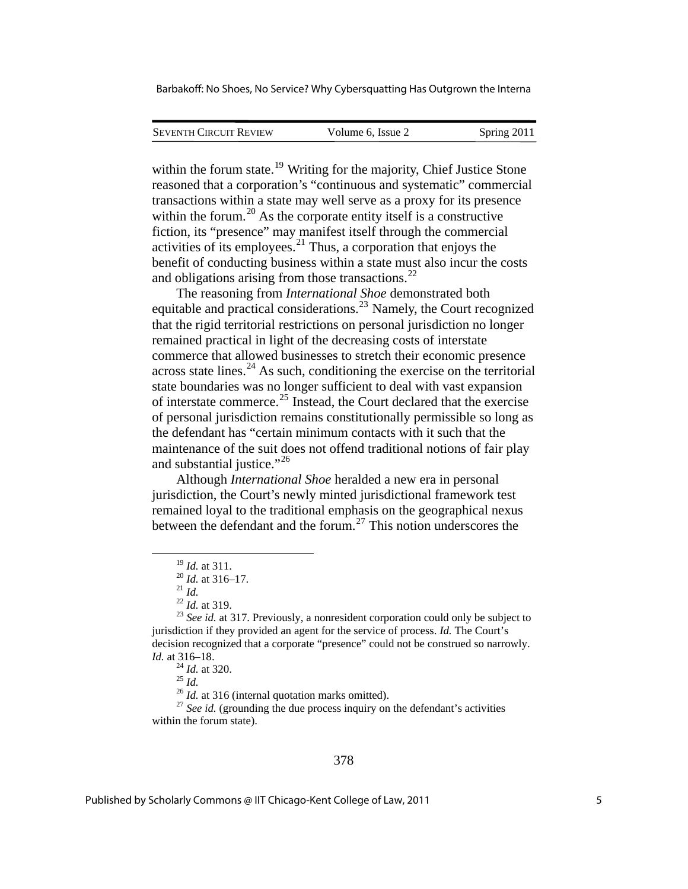| <b>SEVENTH CIRCUIT REVIEW</b> | Volume 6, Issue 2 | Spring 2011 |
|-------------------------------|-------------------|-------------|
|                               |                   |             |

within the forum state.<sup>[19](#page-5-0)</sup> Writing for the majority, Chief Justice Stone reasoned that a corporation's "continuous and systematic" commercial transactions within a state may well serve as a proxy for its presence within the forum.<sup>[20](#page-5-1)</sup> As the corporate entity itself is a constructive fiction, its "presence" may manifest itself through the commercial activities of its employees.[21](#page-5-2) Thus, a corporation that enjoys the benefit of conducting business within a state must also incur the costs and obligations arising from those transactions. $^{22}$  $^{22}$  $^{22}$ 

The reasoning from *International Shoe* demonstrated both equitable and practical considerations.[23](#page-5-4) Namely, the Court recognized that the rigid territorial restrictions on personal jurisdiction no longer remained practical in light of the decreasing costs of interstate commerce that allowed businesses to stretch their economic presence across state lines. $^{24}$  $^{24}$  $^{24}$  As such, conditioning the exercise on the territorial state boundaries was no longer sufficient to deal with vast expansion of interstate commerce.<sup>[25](#page-5-6)</sup> Instead, the Court declared that the exercise of personal jurisdiction remains constitutionally permissible so long as the defendant has "certain minimum contacts with it such that the maintenance of the suit does not offend traditional notions of fair play and substantial justice."<sup>[26](#page-5-7)</sup>

Although *International Shoe* heralded a new era in personal jurisdiction, the Court's newly minted jurisdictional framework test remained loyal to the traditional emphasis on the geographical nexus between the defendant and the forum.<sup>[27](#page-5-8)</sup> This notion underscores the

<span id="page-5-8"></span><span id="page-5-7"></span><span id="page-5-6"></span><span id="page-5-5"></span>within the forum state).

<span id="page-5-4"></span><span id="page-5-3"></span><span id="page-5-2"></span><span id="page-5-1"></span><span id="page-5-0"></span><sup>&</sup>lt;sup>19</sup> *Id.* at 311.<br><sup>20</sup> *Id.* at 316–17.<br><sup>21</sup> *Id.* 22 *Id.* at 319.<br><sup>23</sup> *See id.* at 317. Previously, a nonresident corporation could only be subject to jurisdiction if they provided an agent for the service of process. *Id.* The Court's decision recognized that a corporate "presence" could not be construed so narrowly. *Id.* at 316–18.<br><sup>25</sup> *Id.* <sup>25</sup> *Id.* at 316 (internal quotation marks omitted).<br><sup>26</sup> *Id.* at 316 (internal quotation marks omitted).<br><sup>27</sup> *See id.* (grounding the due process inquiry on the defendant's activities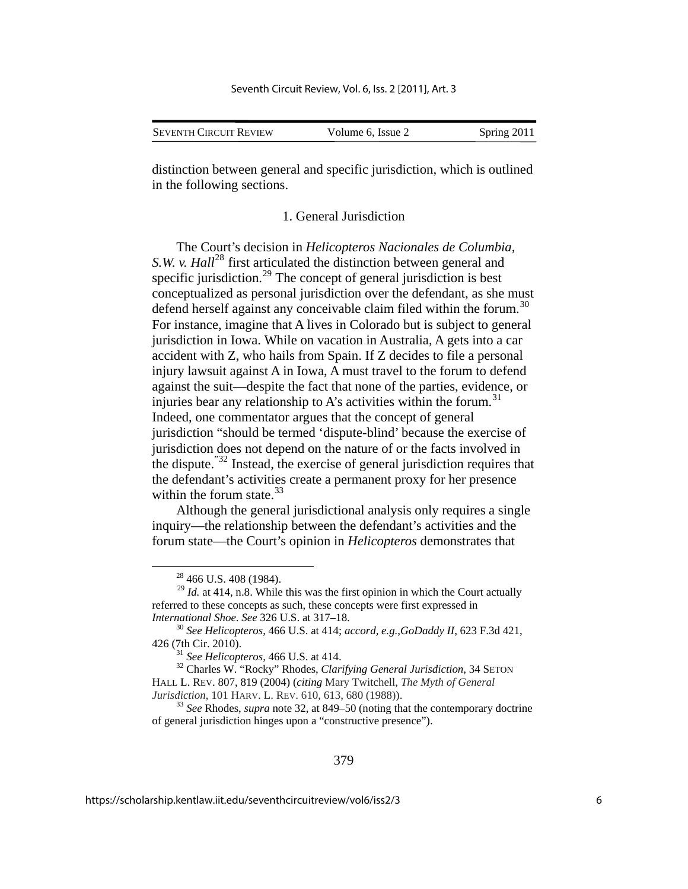| <b>SEVENTH CIRCUIT REVIEW</b> | Volume 6, Issue 2 | Spring 2011 |
|-------------------------------|-------------------|-------------|
|                               |                   |             |

distinction between general and specific jurisdiction, which is outlined in the following sections.

1. General Jurisdiction

The Court's decision in *Helicopteros Nacionales de Columbia, S.W. v. Hall*<sup>[28](#page-6-0)</sup> first articulated the distinction between general and specific jurisdiction.<sup>[29](#page-6-1)</sup> The concept of general jurisdiction is best conceptualized as personal jurisdiction over the defendant, as she must defend herself against any conceivable claim filed within the forum.<sup>[30](#page-6-2)</sup> For instance, imagine that A lives in Colorado but is subject to general jurisdiction in Iowa. While on vacation in Australia, A gets into a car accident with Z, who hails from Spain. If Z decides to file a personal injury lawsuit against A in Iowa, A must travel to the forum to defend against the suit—despite the fact that none of the parties, evidence, or injuries bear any relationship to A's activities within the forum.<sup>[31](#page-6-3)</sup> Indeed, one commentator argues that the concept of general jurisdiction "should be termed 'dispute-blind' because the exercise of jurisdiction does not depend on the nature of or the facts involved in the dispute."[32](#page-6-4) Instead, the exercise of general jurisdiction requires that the defendant's activities create a permanent proxy for her presence within the forum state. $33$ 

Although the general jurisdictional analysis only requires a single inquiry—the relationship between the defendant's activities and the forum state—the Court's opinion in *Helicopteros* demonstrates that

<span id="page-6-4"></span><span id="page-6-3"></span><sup>31</sup> *See Helicopteros*, 466 U.S. at 414.<br><sup>32</sup> Charles W. "Rocky" Rhodes, *Clarifying General Jurisdiction*, 34 SETON HALL L. REV. 807, 819 (2004) (*citing* Mary Twitchell, *The Myth of General* 

<span id="page-6-5"></span><sup>33</sup> See Rhodes, *supra* note 32, at 849–50 (noting that the contemporary doctrine of general jurisdiction hinges upon a "constructive presence").

 $28\,466\,$  U.S. 408 (1984).

<span id="page-6-1"></span><span id="page-6-0"></span> $^{29}$  *Id.* at 414, n.8. While this was the first opinion in which the Court actually referred to these concepts as such, these concepts were first expressed in

<span id="page-6-2"></span>*International Shoe. See 326 U.S. at 317–18.*<br><sup>30</sup> *See Helicopteros*, 466 U.S. at 414; *accord, e.g.*,*GoDaddy II*, 623 F.3d 421, 426 (7th Cir. 2010).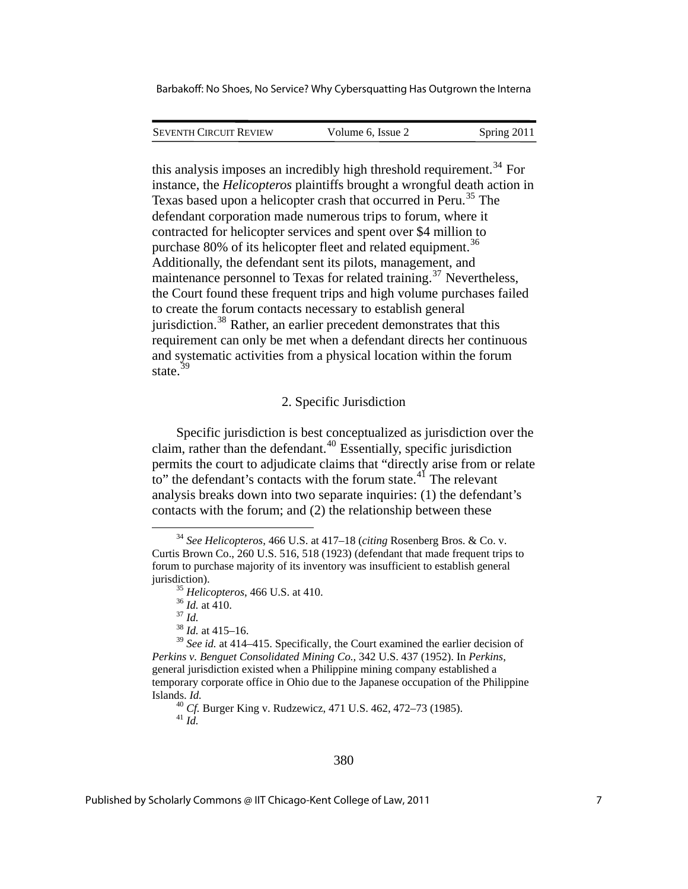SEVENTH CIRCUIT REVIEW Volume 6, Issue 2 Spring 2011

this analysis imposes an incredibly high threshold requirement.<sup>[34](#page-7-0)</sup> For instance, the *Helicopteros* plaintiffs brought a wrongful death action in Texas based upon a helicopter crash that occurred in Peru.<sup>[35](#page-7-1)</sup> The defendant corporation made numerous trips to forum, where it contracted for helicopter services and spent over \$4 million to purchase 80% of its helicopter fleet and related equipment.<sup>[36](#page-7-2)</sup> Additionally, the defendant sent its pilots, management, and maintenance personnel to Texas for related training.<sup>[37](#page-7-3)</sup> Nevertheless, the Court found these frequent trips and high volume purchases failed to create the forum contacts necessary to establish general jurisdiction.<sup>[38](#page-7-4)</sup> Rather, an earlier precedent demonstrates that this requirement can only be met when a defendant directs her continuous and systematic activities from a physical location within the forum state.<sup>[39](#page-7-5)</sup>

## 2. Specific Jurisdiction

Specific jurisdiction is best conceptualized as jurisdiction over the claim, rather than the defendant.<sup>[40](#page-7-6)</sup> Essentially, specific jurisdiction permits the court to adjudicate claims that "directly arise from or relate to" the defendant's contacts with the forum state. $4<sup>1</sup>$  The relevant analysis breaks down into two separate inquiries: (1) the defendant's contacts with the forum; and (2) the relationship between these

<span id="page-7-7"></span><span id="page-7-6"></span>Islands. *Id.*<sup>40</sup> *Cf.* Burger King v. Rudzewicz, 471 U.S. 462, 472–73 (1985). <sup>41</sup> *Id.*

#### 380

<span id="page-7-1"></span><span id="page-7-0"></span> <sup>34</sup> *See Helicopteros*, 466 U.S. at 417–18 (*citing* Rosenberg Bros. & Co. v. Curtis Brown Co., 260 U.S. 516, 518 (1923) (defendant that made frequent trips to forum to purchase majority of its inventory was insufficient to establish general jurisdiction). 35 *Helicopteros*, 466 U.S. at 410. 36 *Id.* at 410. 37 *Id.* <sup>38</sup> *Id.* at 415–16.

<span id="page-7-5"></span><span id="page-7-4"></span><span id="page-7-3"></span><span id="page-7-2"></span><sup>39</sup> *See id.* at 414–415. Specifically, the Court examined the earlier decision of *Perkins v. Benguet Consolidated Mining Co.*, 342 U.S. 437 (1952). In *Perkins*, general jurisdiction existed when a Philippine mining company established a temporary corporate office in Ohio due to the Japanese occupation of the Philippine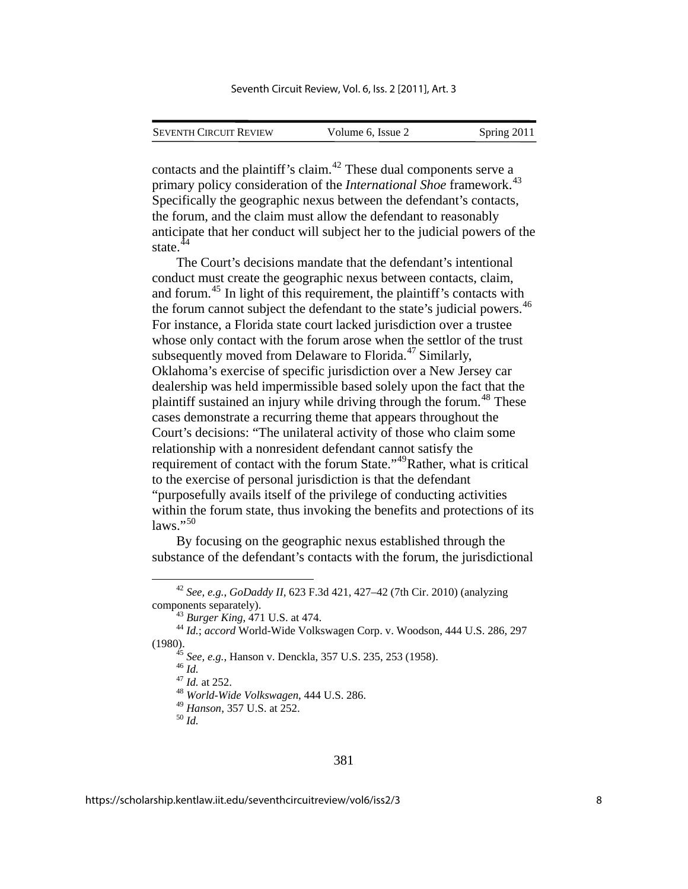| <b>SEVENTH CIRCUIT REVIEW</b> | Volume 6, Issue 2 | Spring 2011 |
|-------------------------------|-------------------|-------------|
|                               |                   |             |

contacts and the plaintiff's claim.<sup>[42](#page-8-0)</sup> These dual components serve a primary policy consideration of the *International Shoe* framework.<sup>[43](#page-8-1)</sup> Specifically the geographic nexus between the defendant's contacts, the forum, and the claim must allow the defendant to reasonably anticipate that her conduct will subject her to the judicial powers of the state.<sup>[44](#page-8-2)</sup>

The Court's decisions mandate that the defendant's intentional conduct must create the geographic nexus between contacts, claim, and forum.[45](#page-8-3) In light of this requirement, the plaintiff's contacts with the forum cannot subject the defendant to the state's judicial powers.<sup>[46](#page-8-4)</sup> For instance, a Florida state court lacked jurisdiction over a trustee whose only contact with the forum arose when the settlor of the trust subsequently moved from Delaware to Florida.<sup>[47](#page-8-5)</sup> Similarly, Oklahoma's exercise of specific jurisdiction over a New Jersey car dealership was held impermissible based solely upon the fact that the plaintiff sustained an injury while driving through the forum.<sup>[48](#page-8-6)</sup> These cases demonstrate a recurring theme that appears throughout the Court's decisions: "The unilateral activity of those who claim some relationship with a nonresident defendant cannot satisfy the requirement of contact with the forum State."<sup>[49](#page-8-7)</sup>Rather, what is critical to the exercise of personal jurisdiction is that the defendant "purposefully avails itself of the privilege of conducting activities within the forum state, thus invoking the benefits and protections of its  $\text{laws}$ ."[50](#page-8-8)

By focusing on the geographic nexus established through the substance of the defendant's contacts with the forum, the jurisdictional

<span id="page-8-0"></span> <sup>42</sup> *See, e.g.*, *GoDaddy II*, 623 F.3d 421, 427–42 (7th Cir. 2010) (analyzing components separately). 43 *Burger King*, 471 U.S. at 474. 44 *Id.*; *accord* World-Wide Volkswagen Corp. v. Woodson, 444 U.S. 286, 297

<span id="page-8-8"></span><span id="page-8-7"></span><span id="page-8-6"></span><span id="page-8-5"></span><span id="page-8-4"></span><span id="page-8-3"></span><span id="page-8-2"></span><span id="page-8-1"></span><sup>(1980). 45</sup> *See, e.g.*, Hanson v. Denckla, 357 U.S. 235, 253 (1958). 46 *Id.* <sup>47</sup> *Id.* at 252. 48 *World-Wide Volkswagen*, 444 U.S. 286.

<sup>49</sup> *Hanson*, 357 U.S. at 252. 50 *Id.*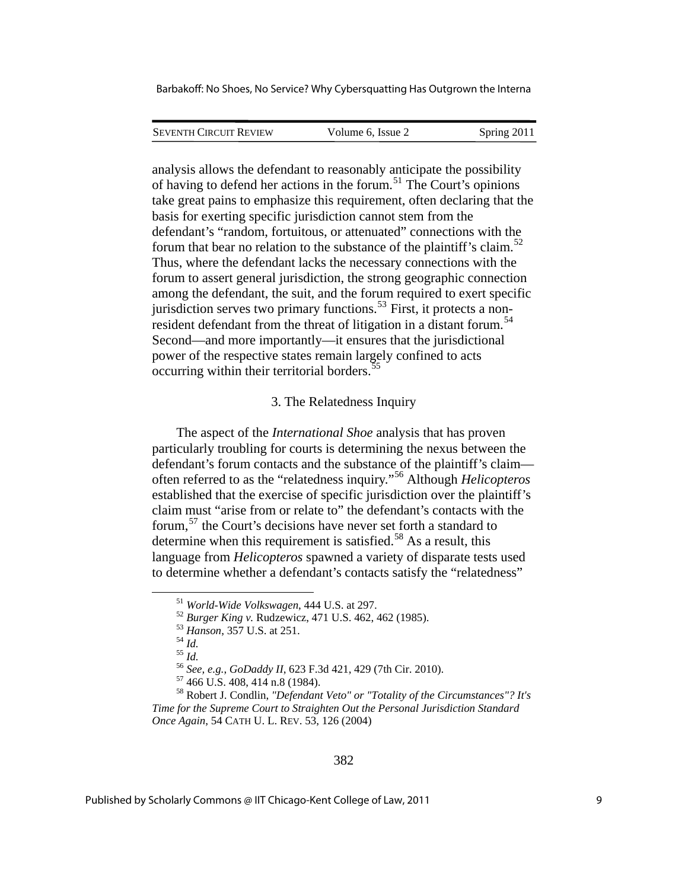| <b>SEVENTH CIRCUIT REVIEW</b> | Volume 6. Issue 2 | Spring 2011 |
|-------------------------------|-------------------|-------------|
|                               |                   |             |

analysis allows the defendant to reasonably anticipate the possibility of having to defend her actions in the forum.[51](#page-9-0) The Court's opinions take great pains to emphasize this requirement, often declaring that the basis for exerting specific jurisdiction cannot stem from the defendant's "random, fortuitous, or attenuated" connections with the forum that bear no relation to the substance of the plaintiff's claim.<sup>[52](#page-9-1)</sup> Thus, where the defendant lacks the necessary connections with the forum to assert general jurisdiction, the strong geographic connection among the defendant, the suit, and the forum required to exert specific jurisdiction serves two primary functions.<sup>[53](#page-9-2)</sup> First, it protects a non-resident defendant from the threat of litigation in a distant forum.<sup>[54](#page-9-3)</sup> Second—and more importantly—it ensures that the jurisdictional power of the respective states remain largely confined to acts occurring within their territorial borders.<sup>[55](#page-9-4)</sup>

## 3. The Relatedness Inquiry

The aspect of the *International Shoe* analysis that has proven particularly troubling for courts is determining the nexus between the defendant's forum contacts and the substance of the plaintiff's claim often referred to as the "relatedness inquiry."[56](#page-9-5) Although *Helicopteros* established that the exercise of specific jurisdiction over the plaintiff's claim must "arise from or relate to" the defendant's contacts with the forum,[57](#page-9-6) the Court's decisions have never set forth a standard to determine when this requirement is satisfied.<sup>[58](#page-9-7)</sup> As a result, this language from *Helicopteros* spawned a variety of disparate tests used to determine whether a defendant's contacts satisfy the "relatedness"

<span id="page-9-0"></span><sup>51</sup> World-Wide Volkswagen, 444 U.S. at 297.<br>
<sup>52</sup> Burger King v. Rudzewicz, 471 U.S. 462, 462 (1985).<br>
<sup>53</sup> Hanson, 357 U.S. at 251.<br>
<sup>55</sup> Id.<br>
<sup>56</sup> See, e.g., GoDaddy II, 623 F.3d 421, 429 (7th Cir. 2010).<br>
<sup>57</sup> 466 U.S

<span id="page-9-7"></span><span id="page-9-6"></span><span id="page-9-5"></span><span id="page-9-4"></span><span id="page-9-3"></span><span id="page-9-2"></span><span id="page-9-1"></span><sup>58</sup> Robert J. Condlin, *"Defendant Veto" or "Totality of the Circumstances"? It's Time for the Supreme Court to Straighten Out the Personal Jurisdiction Standard Once Again*, 54 CATH U. L. REV. 53, 126 (2004)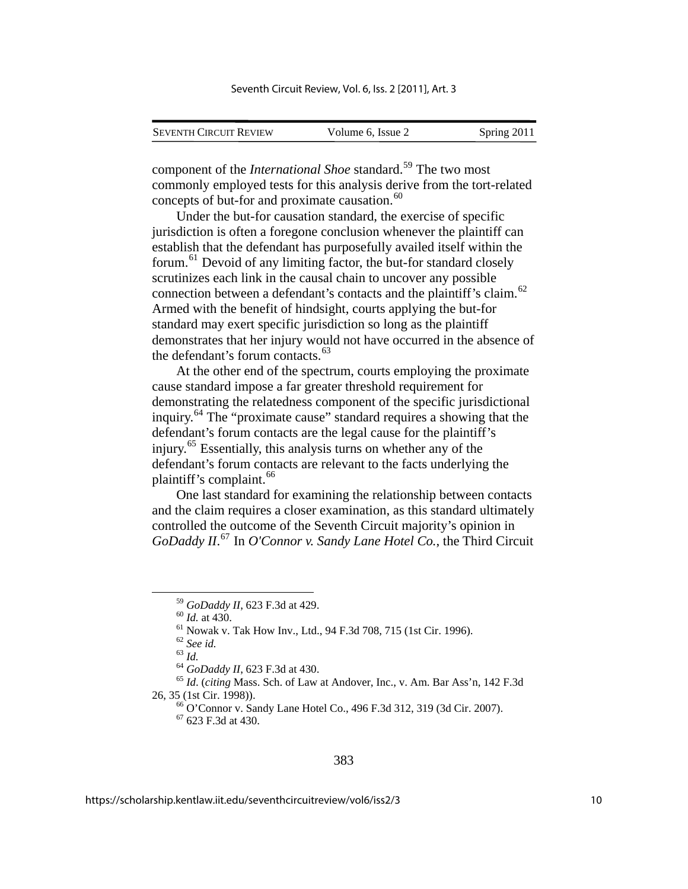| <b>SEVENTH CIRCUIT REVIEW</b> | Volume 6, Issue 2 | Spring 2011 |
|-------------------------------|-------------------|-------------|

component of the *International Shoe* standard.<sup>[59](#page-10-0)</sup> The two most commonly employed tests for this analysis derive from the tort-related concepts of but-for and proximate causation.<sup>[60](#page-10-1)</sup>

Under the but-for causation standard, the exercise of specific jurisdiction is often a foregone conclusion whenever the plaintiff can establish that the defendant has purposefully availed itself within the forum.[61](#page-10-2) Devoid of any limiting factor, the but-for standard closely scrutinizes each link in the causal chain to uncover any possible connection between a defendant's contacts and the plaintiff's claim.<sup>[62](#page-10-3)</sup> Armed with the benefit of hindsight, courts applying the but-for standard may exert specific jurisdiction so long as the plaintiff demonstrates that her injury would not have occurred in the absence of the defendant's forum contacts.<sup>[63](#page-10-4)</sup>

At the other end of the spectrum, courts employing the proximate cause standard impose a far greater threshold requirement for demonstrating the relatedness component of the specific jurisdictional inquiry.[64](#page-10-5) The "proximate cause" standard requires a showing that the defendant's forum contacts are the legal cause for the plaintiff's injury.[65](#page-10-6) Essentially, this analysis turns on whether any of the defendant's forum contacts are relevant to the facts underlying the plaintiff's complaint. $66$ 

One last standard for examining the relationship between contacts and the claim requires a closer examination, as this standard ultimately controlled the outcome of the Seventh Circuit majority's opinion in *GoDaddy II*. [67](#page-10-8) In *O'Connor v. Sandy Lane Hotel Co.*, the Third Circuit

 $67$  623 F.3d at 430.

<sup>&</sup>lt;sup>59</sup> *GoDaddy II*, 623 F.3d at 429.<br><sup>60</sup> *Id.* at 430.<br><sup>61</sup> Nowak v. Tak How Inv., Ltd., 94 F.3d 708, 715 (1st Cir. 1996).<br><sup>62</sup> *See id.* 

<span id="page-10-8"></span><span id="page-10-7"></span><span id="page-10-6"></span><span id="page-10-5"></span><span id="page-10-4"></span><span id="page-10-3"></span><span id="page-10-2"></span><span id="page-10-1"></span><span id="page-10-0"></span><sup>63</sup> *Id.*<br><sup>64</sup> *GoDaddy II*, 623 F.3d at 430.<br><sup>65</sup> *Id.* (*citing* Mass. Sch. of Law at Andover, Inc., v. Am. Bar Ass'n, 142 F.3d 26, 35 (1st Cir. 1998)). 66 O'Connor v. Sandy Lane Hotel Co., 496 F.3d 312, 319 (3d Cir. 2007).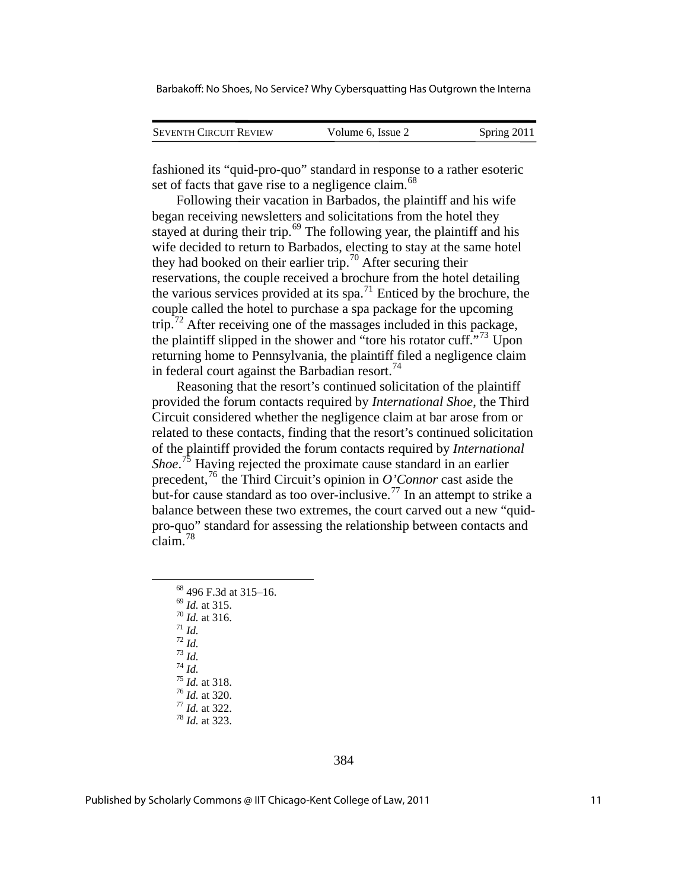| <b>SEVENTH CIRCUIT REVIEW</b> | Volume 6, Issue 2 |             |
|-------------------------------|-------------------|-------------|
|                               |                   | Spring 2011 |

fashioned its "quid-pro-quo" standard in response to a rather esoteric set of facts that gave rise to a negligence claim.<sup>[68](#page-11-0)</sup>

Following their vacation in Barbados, the plaintiff and his wife began receiving newsletters and solicitations from the hotel they stayed at during their trip.<sup>[69](#page-11-1)</sup> The following year, the plaintiff and his wife decided to return to Barbados, electing to stay at the same hotel they had booked on their earlier trip.<sup>[70](#page-11-2)</sup> After securing their reservations, the couple received a brochure from the hotel detailing the various services provided at its spa.<sup>[71](#page-11-3)</sup> Enticed by the brochure, the couple called the hotel to purchase a spa package for the upcoming trip.<sup>[72](#page-11-4)</sup> After receiving one of the massages included in this package, the plaintiff slipped in the shower and "tore his rotator cuff."<sup>[73](#page-11-5)</sup> Upon returning home to Pennsylvania, the plaintiff filed a negligence claim in federal court against the Barbadian resort.<sup>[74](#page-11-6)</sup>

Reasoning that the resort's continued solicitation of the plaintiff provided the forum contacts required by *International Shoe*, the Third Circuit considered whether the negligence claim at bar arose from or related to these contacts, finding that the resort's continued solicitation of the plaintiff provided the forum contacts required by *International Shoe*. [75](#page-11-7) Having rejected the proximate cause standard in an earlier precedent,[76](#page-11-8) the Third Circuit's opinion in *O'Connor* cast aside the but-for cause standard as too over-inclusive.<sup>[77](#page-11-9)</sup> In an attempt to strike a balance between these two extremes, the court carved out a new "quidpro-quo" standard for assessing the relationship between contacts and  $\frac{1}{c}$ laim.<sup>[78](#page-11-10)</sup>

<span id="page-11-10"></span><span id="page-11-9"></span><span id="page-11-8"></span><span id="page-11-7"></span><span id="page-11-6"></span><span id="page-11-5"></span><span id="page-11-4"></span><span id="page-11-3"></span><span id="page-11-2"></span><span id="page-11-1"></span><span id="page-11-0"></span> $^{68}$  496 F.3d at 315–16.<br> $^{69}$  *Id.* at 315. 69 *Id.* at 315. 70 *Id.* at 316. 71 *Id.* 72 *Id.* 73 *Id.* 74 *Id.* 75 *Id.* at 318. 76 *Id.* at 320. 77 *Id.* at 322. 78 *Id.* at 323.

384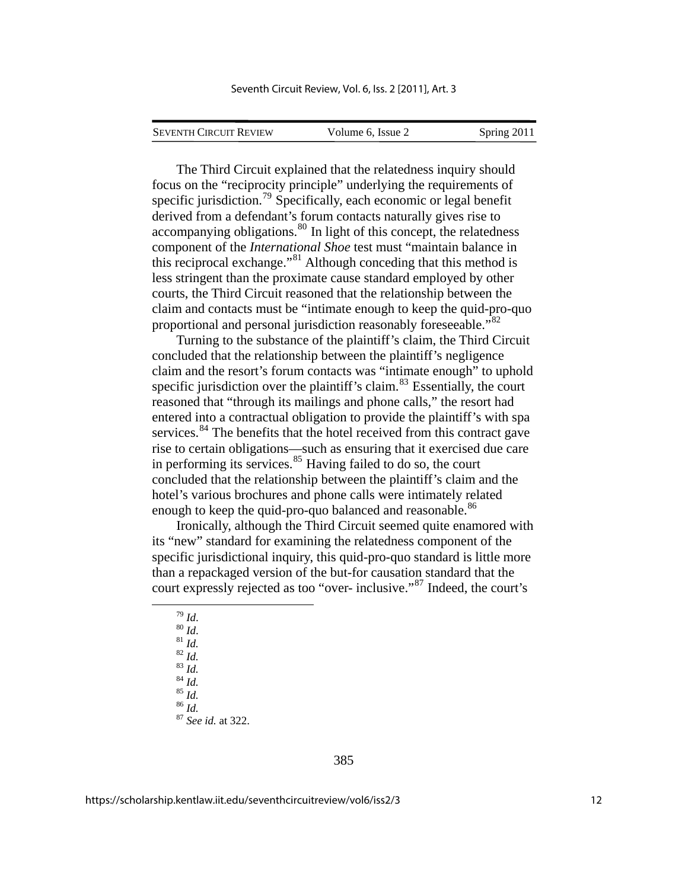The Third Circuit explained that the relatedness inquiry should focus on the "reciprocity principle" underlying the requirements of specific jurisdiction.<sup>[79](#page-12-0)</sup> Specifically, each economic or legal benefit derived from a defendant's forum contacts naturally gives rise to  $\alpha$  accompanying obligations.<sup>[80](#page-12-1)</sup> In light of this concept, the relatedness component of the *International Shoe* test must "maintain balance in this reciprocal exchange."[81](#page-12-2) Although conceding that this method is less stringent than the proximate cause standard employed by other courts, the Third Circuit reasoned that the relationship between the claim and contacts must be "intimate enough to keep the quid-pro-quo proportional and personal jurisdiction reasonably foreseeable."<sup>[82](#page-12-3)</sup>

Turning to the substance of the plaintiff's claim, the Third Circuit concluded that the relationship between the plaintiff's negligence claim and the resort's forum contacts was "intimate enough" to uphold specific jurisdiction over the plaintiff's claim.<sup>[83](#page-12-4)</sup> Essentially, the court reasoned that "through its mailings and phone calls," the resort had entered into a contractual obligation to provide the plaintiff's with spa services.<sup>[84](#page-12-5)</sup> The benefits that the hotel received from this contract gave rise to certain obligations—such as ensuring that it exercised due care in performing its services. $85$  Having failed to do so, the court concluded that the relationship between the plaintiff's claim and the hotel's various brochures and phone calls were intimately related enough to keep the quid-pro-quo balanced and reasonable.<sup>[86](#page-12-7)</sup>

Ironically, although the Third Circuit seemed quite enamored with its "new" standard for examining the relatedness component of the specific jurisdictional inquiry, this quid-pro-quo standard is little more than a repackaged version of the but-for causation standard that the court expressly rejected as too "over- inclusive."[87](#page-12-8) Indeed, the court's

<span id="page-12-8"></span><span id="page-12-7"></span><span id="page-12-6"></span><span id="page-12-5"></span><span id="page-12-4"></span><span id="page-12-3"></span><span id="page-12-2"></span><span id="page-12-1"></span><span id="page-12-0"></span>79 *Id*. 80 *Id*. 81 *Id.* 82 *Id.* 83 *Id.* 84 *Id.* 85 *Id.* 86 *Id.* 87 *See id.* at 322.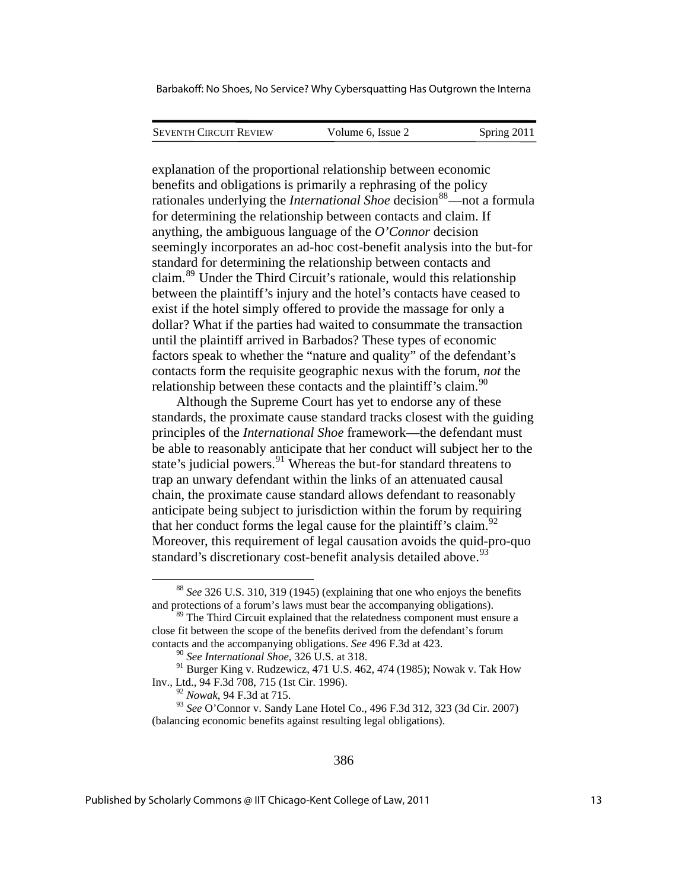| <b>SEVENTH CIRCUIT REVIEW</b> | Volume 6. Issue 2 | Spring 2011 |
|-------------------------------|-------------------|-------------|
|                               |                   |             |

explanation of the proportional relationship between economic benefits and obligations is primarily a rephrasing of the policy rationales underlying the *International Shoe* decision<sup>[88](#page-13-0)</sup>—not a formula for determining the relationship between contacts and claim. If anything, the ambiguous language of the *O'Connor* decision seemingly incorporates an ad-hoc cost-benefit analysis into the but-for standard for determining the relationship between contacts and claim.[89](#page-13-1) Under the Third Circuit's rationale, would this relationship between the plaintiff's injury and the hotel's contacts have ceased to exist if the hotel simply offered to provide the massage for only a dollar? What if the parties had waited to consummate the transaction until the plaintiff arrived in Barbados? These types of economic factors speak to whether the "nature and quality" of the defendant's contacts form the requisite geographic nexus with the forum, *not* the relationship between these contacts and the plaintiff's claim.<sup>[90](#page-13-2)</sup>

Although the Supreme Court has yet to endorse any of these standards, the proximate cause standard tracks closest with the guiding principles of the *International Shoe* framework—the defendant must be able to reasonably anticipate that her conduct will subject her to the state's judicial powers.<sup>[91](#page-13-3)</sup> Whereas the but-for standard threatens to trap an unwary defendant within the links of an attenuated causal chain, the proximate cause standard allows defendant to reasonably anticipate being subject to jurisdiction within the forum by requiring that her conduct forms the legal cause for the plaintiff's claim.<sup>[92](#page-13-4)</sup> Moreover, this requirement of legal causation avoids the quid-pro-quo standard's discretionary cost-benefit analysis detailed above.<sup>93</sup>

1

<span id="page-13-0"></span><sup>88</sup> *See* 326 U.S. 310, 319 (1945) (explaining that one who enjoys the benefits and protections of a forum's laws must bear the accompanying obligations).

<span id="page-13-1"></span><sup>&</sup>lt;sup>89</sup> The Third Circuit explained that the relatedness component must ensure a close fit between the scope of the benefits derived from the defendant's forum contacts and the accompanying obligations. *See* 496 F.3d at 423.

<sup>90</sup> *See International Shoe*, 326 U.S. at 318.

<span id="page-13-3"></span><span id="page-13-2"></span><sup>&</sup>lt;sup>91</sup> Burger King v. Rudzewicz, 471 U.S. 462, 474 (1985); Nowak v. Tak How Inv., Ltd., 94 F.3d 708, 715 (1st Cir. 1996).

<sup>92</sup> *Nowak*, 94 F.3d at 715.

<span id="page-13-4"></span><sup>93</sup> *See* O'Connor v. Sandy Lane Hotel Co., 496 F.3d 312, 323 (3d Cir. 2007) (balancing economic benefits against resulting legal obligations).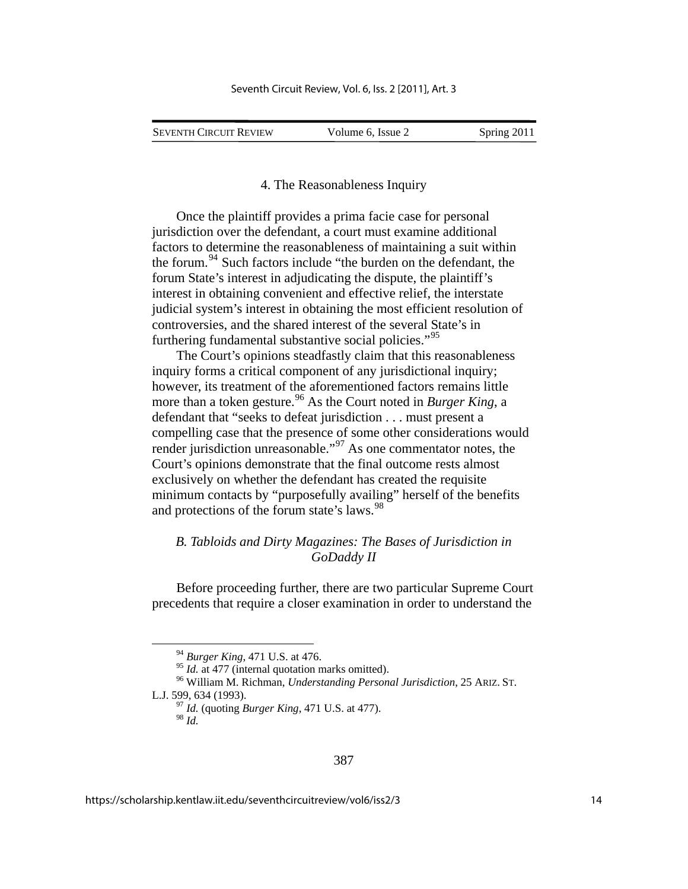| Seventh Circuit Review | Volume 6, Issue 2 | Spring 2011 |
|------------------------|-------------------|-------------|

4. The Reasonableness Inquiry

Once the plaintiff provides a prima facie case for personal jurisdiction over the defendant, a court must examine additional factors to determine the reasonableness of maintaining a suit within the forum.<sup>[94](#page-14-0)</sup> Such factors include "the burden on the defendant, the forum State's interest in adjudicating the dispute, the plaintiff's interest in obtaining convenient and effective relief, the interstate judicial system's interest in obtaining the most efficient resolution of controversies, and the shared interest of the several State's in furthering fundamental substantive social policies."<sup>[95](#page-14-1)</sup>

The Court's opinions steadfastly claim that this reasonableness inquiry forms a critical component of any jurisdictional inquiry; however, its treatment of the aforementioned factors remains little more than a token gesture.<sup>[96](#page-14-2)</sup> As the Court noted in *Burger King*, a defendant that "seeks to defeat jurisdiction . . . must present a compelling case that the presence of some other considerations would render jurisdiction unreasonable."[97](#page-14-3) As one commentator notes, the Court's opinions demonstrate that the final outcome rests almost exclusively on whether the defendant has created the requisite minimum contacts by "purposefully availing" herself of the benefits and protections of the forum state's laws.<sup>[98](#page-14-4)</sup>

## *B. Tabloids and Dirty Magazines: The Bases of Jurisdiction in GoDaddy II*

Before proceeding further, there are two particular Supreme Court precedents that require a closer examination in order to understand the

<sup>&</sup>lt;sup>94</sup> *Burger King*, 471 U.S. at 476.<br><sup>95</sup> *Id.* at 477 (internal quotation marks omitted).

<span id="page-14-4"></span><span id="page-14-3"></span><span id="page-14-2"></span><span id="page-14-1"></span><span id="page-14-0"></span><sup>&</sup>lt;sup>96</sup> William M. Richman, *Understanding Personal Jurisdiction*, 25 ARIZ. ST. L.J. 599, 634 (1993). 97 *Id.* (quoting *Burger King*, 471 U.S. at 477).

<sup>98</sup> *Id.*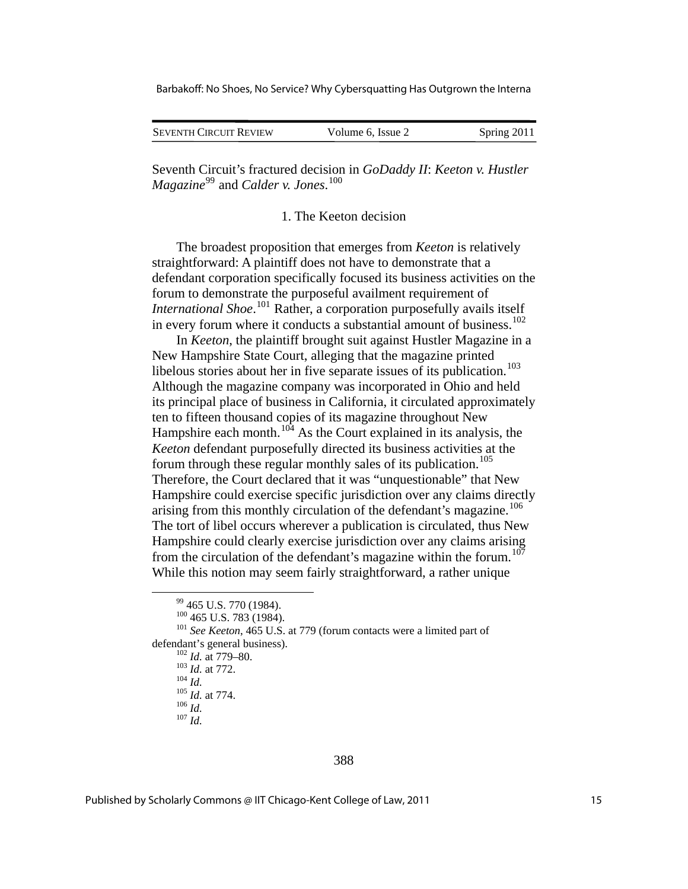Barbakoff: No Shoes, No Service? Why Cybersquatting Has Outgrown the Interna

| <b>SEVENTH CIRCUIT REVIEW</b> | Volume 6, Issue 2 | Spring 2011 |
|-------------------------------|-------------------|-------------|

Seventh Circuit's fractured decision in *GoDaddy II*: *Keeton v. Hustler Magazine*[99](#page-15-0) and *Calder v. Jones*. [100](#page-15-1)

1. The Keeton decision

The broadest proposition that emerges from *Keeton* is relatively straightforward: A plaintiff does not have to demonstrate that a defendant corporation specifically focused its business activities on the forum to demonstrate the purposeful availment requirement of *International Shoe.*<sup>[101](#page-15-2)</sup> Rather, a corporation purposefully avails itself in every forum where it conducts a substantial amount of business.<sup>[102](#page-15-3)</sup>

In *Keeton*, the plaintiff brought suit against Hustler Magazine in a New Hampshire State Court, alleging that the magazine printed libelous stories about her in five separate issues of its publication.<sup>[103](#page-15-4)</sup> Although the magazine company was incorporated in Ohio and held its principal place of business in California, it circulated approximately ten to fifteen thousand copies of its magazine throughout New Hampshire each month.<sup>[104](#page-15-5)</sup> As the Court explained in its analysis, the *Keeton* defendant purposefully directed its business activities at the forum through these regular monthly sales of its publication.<sup>[105](#page-15-6)</sup> Therefore, the Court declared that it was "unquestionable" that New Hampshire could exercise specific jurisdiction over any claims directly arising from this monthly circulation of the defendant's magazine.<sup>[106](#page-15-7)</sup> The tort of libel occurs wherever a publication is circulated, thus New Hampshire could clearly exercise jurisdiction over any claims arising from the circulation of the defendant's magazine within the forum.<sup>[107](#page-15-8)</sup> While this notion may seem fairly straightforward, a rather unique

388

 $^{99}$  465 U.S. 770 (1984).<br><sup>100</sup> 465 U.S. 783 (1984).

<span id="page-15-7"></span><span id="page-15-6"></span><span id="page-15-5"></span><span id="page-15-4"></span><span id="page-15-3"></span><span id="page-15-2"></span><span id="page-15-1"></span><span id="page-15-0"></span><sup>&</sup>lt;sup>101</sup> See Keeton, 465 U.S. at 779 (forum contacts were a limited part of defendant's general business).<br>
<sup>102</sup> *Id.* at 779–80.<br>
<sup>103</sup> *Id.* at 772.<br>
<sup>105</sup> *Id.* at 774.<br>
<sup>106</sup> *Id.* 107 *Id.* 

<span id="page-15-8"></span>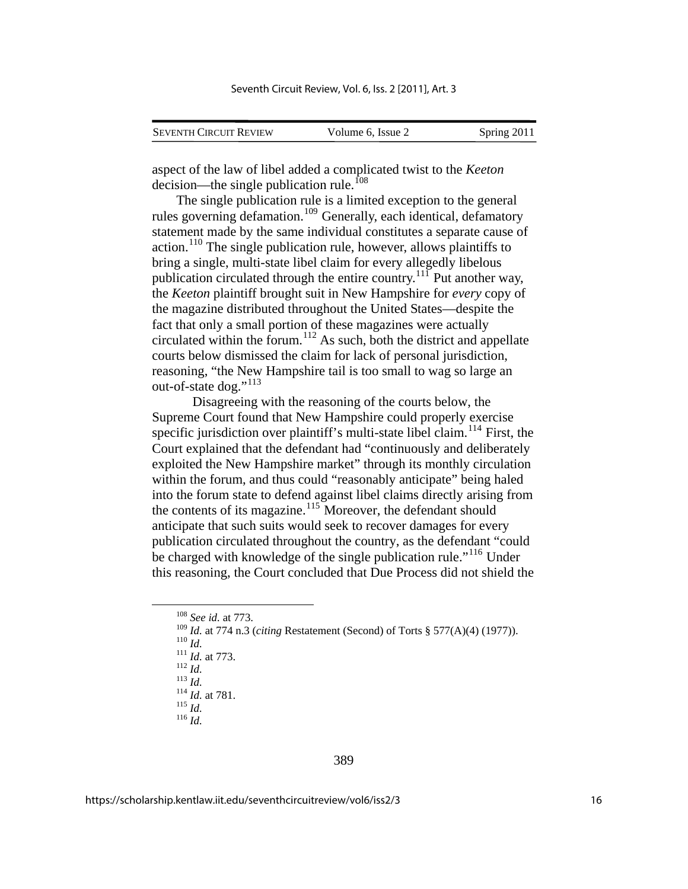| <b>SEVENTH CIRCUIT REVIEW</b> | Volume 6, Issue 2 | Spring 2011 |
|-------------------------------|-------------------|-------------|

aspect of the law of libel added a complicated twist to the *Keeton*  decision—the single publication rule.<sup>[108](#page-16-0)</sup>

The single publication rule is a limited exception to the general rules governing defamation.<sup>[109](#page-16-1)</sup> Generally, each identical, defamatory statement made by the same individual constitutes a separate cause of action.<sup>[110](#page-16-2)</sup> The single publication rule, however, allows plaintiffs to bring a single, multi-state libel claim for every allegedly libelous publication circulated through the entire country.<sup>[111](#page-16-3)</sup> Put another way, the *Keeton* plaintiff brought suit in New Hampshire for *every* copy of the magazine distributed throughout the United States—despite the fact that only a small portion of these magazines were actually circulated within the forum.<sup>[112](#page-16-4)</sup> As such, both the district and appellate courts below dismissed the claim for lack of personal jurisdiction, reasoning, "the New Hampshire tail is too small to wag so large an out-of-state dog."<sup>[113](#page-16-5)</sup>

Disagreeing with the reasoning of the courts below, the Supreme Court found that New Hampshire could properly exercise specific jurisdiction over plaintiff's multi-state libel claim.<sup>[114](#page-16-6)</sup> First, the Court explained that the defendant had "continuously and deliberately exploited the New Hampshire market" through its monthly circulation within the forum, and thus could "reasonably anticipate" being haled into the forum state to defend against libel claims directly arising from the contents of its magazine. $115$  Moreover, the defendant should anticipate that such suits would seek to recover damages for every publication circulated throughout the country, as the defendant "could be charged with knowledge of the single publication rule."[116](#page-16-8) Under this reasoning, the Court concluded that Due Process did not shield the

<span id="page-16-3"></span><span id="page-16-2"></span><span id="page-16-1"></span><span id="page-16-0"></span>109 *Id.* at 774 n.3 (*citing* Restatement (Second) of Torts § 577(A)(4) (1977)).<br>
110 *Id.*<br>
<sup>111</sup> *Id.* at 773.<br>
<sup>113</sup> *Id.*<br>
<sup>114</sup> *Id.* at 781.<br>
<sup>115</sup> *Id.*<br>
<sup>116</sup> *Id.*<br>
<sup>116</sup> *Id.* 

<span id="page-16-4"></span>

<span id="page-16-5"></span>

<span id="page-16-8"></span><span id="page-16-7"></span><span id="page-16-6"></span>

 <sup>108</sup> *See id.* at 773.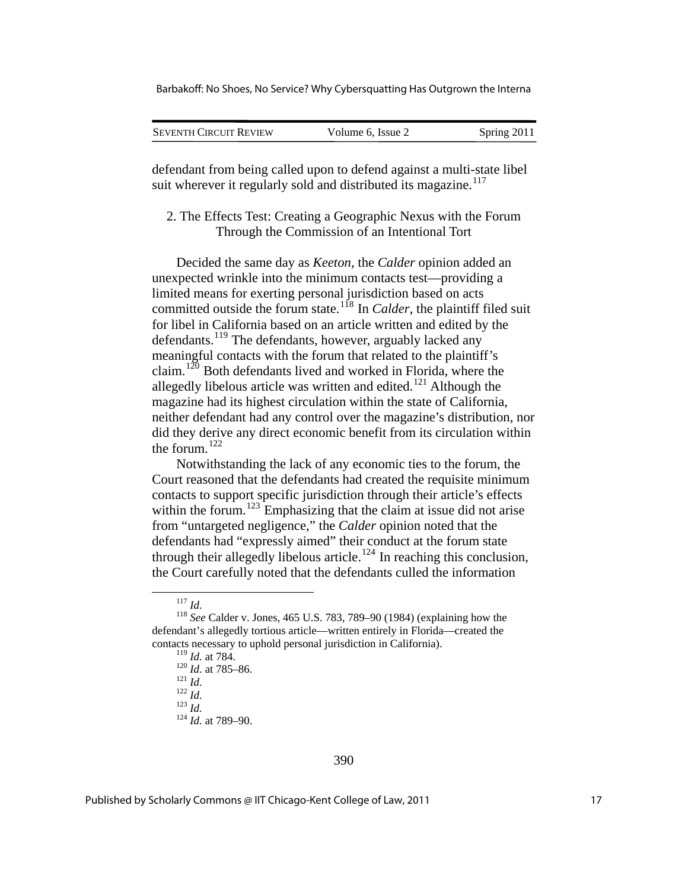Barbakoff: No Shoes, No Service? Why Cybersquatting Has Outgrown the Interna

| <b>SEVENTH CIRCUIT REVIEW</b> | Volume 6, Issue 2 | Spring 2011 |
|-------------------------------|-------------------|-------------|
|                               |                   |             |

defendant from being called upon to defend against a multi-state libel suit wherever it regularly sold and distributed its magazine.<sup>[117](#page-17-0)</sup>

## 2. The Effects Test: Creating a Geographic Nexus with the Forum Through the Commission of an Intentional Tort

Decided the same day as *Keeton*, the *Calder* opinion added an unexpected wrinkle into the minimum contacts test—providing a limited means for exerting personal jurisdiction based on acts committed outside the forum state.<sup>[118](#page-17-1)</sup> In *Calder*, the plaintiff filed suit for libel in California based on an article written and edited by the defendants.<sup>[119](#page-17-2)</sup> The defendants, however, arguably lacked any meaningful contacts with the forum that related to the plaintiff's claim.<sup>[120](#page-17-3)</sup> Both defendants lived and worked in Florida, where the allegedly libelous article was written and edited.<sup>[121](#page-17-4)</sup> Although the magazine had its highest circulation within the state of California, neither defendant had any control over the magazine's distribution, nor did they derive any direct economic benefit from its circulation within the forum. $122$ 

Notwithstanding the lack of any economic ties to the forum, the Court reasoned that the defendants had created the requisite minimum contacts to support specific jurisdiction through their article's effects within the forum.<sup>[123](#page-17-6)</sup> Emphasizing that the claim at issue did not arise from "untargeted negligence," the *Calder* opinion noted that the defendants had "expressly aimed" their conduct at the forum state through their allegedly libelous article.<sup>[124](#page-17-7)</sup> In reaching this conclusion, the Court carefully noted that the defendants culled the information

120 *Id.* at 785–86.<br>
121 *Id.*<br>
122 *Id.*<br>
124 *Id.* at 789–90.

<span id="page-17-5"></span>

<span id="page-17-7"></span><span id="page-17-6"></span>

<span id="page-17-4"></span><span id="page-17-3"></span><span id="page-17-2"></span><span id="page-17-1"></span><span id="page-17-0"></span><sup>117</sup> *Id.* <sup>118</sup> *See* Calder v. Jones, 465 U.S. 783, 789–90 (1984) (explaining how the defendant's allegedly tortious article—written entirely in Florida—created the contacts necessary to uphold personal jurisdiction in California).<br> $^{119}$  *Id.* at 784.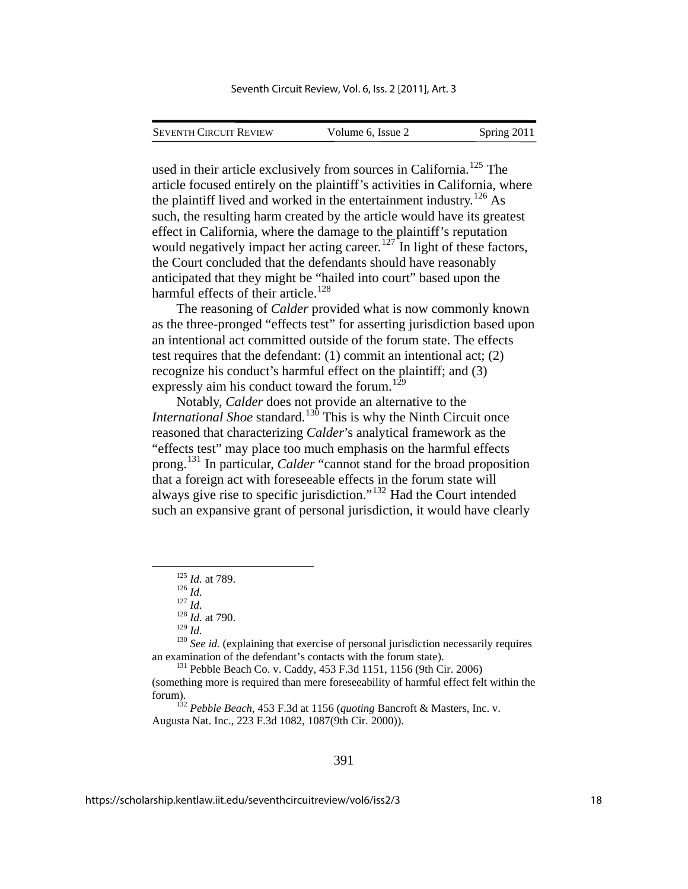| <b>SEVENTH CIRCUIT REVIEW</b> | Volume 6. Issue 2 | Spring 2011 |
|-------------------------------|-------------------|-------------|

used in their article exclusively from sources in California.<sup>[125](#page-18-0)</sup> The article focused entirely on the plaintiff's activities in California, where the plaintiff lived and worked in the entertainment industry.<sup>[126](#page-18-1)</sup> As such, the resulting harm created by the article would have its greatest effect in California, where the damage to the plaintiff's reputation would negatively impact her acting career.<sup>[127](#page-18-2)</sup> In light of these factors, the Court concluded that the defendants should have reasonably anticipated that they might be "hailed into court" based upon the harmful effects of their article.<sup>[128](#page-18-3)</sup>

The reasoning of *Calder* provided what is now commonly known as the three-pronged "effects test" for asserting jurisdiction based upon an intentional act committed outside of the forum state. The effects test requires that the defendant: (1) commit an intentional act; (2) recognize his conduct's harmful effect on the plaintiff; and (3) expressly aim his conduct toward the forum.<sup>[129](#page-18-4)</sup>

Notably, *Calder* does not provide an alternative to the *International Shoe* standard.<sup>[130](#page-18-5)</sup> This is why the Ninth Circuit once reasoned that characterizing *Calder*'s analytical framework as the "effects test" may place too much emphasis on the harmful effects prong.[131](#page-18-6) In particular, *Calder* "cannot stand for the broad proposition that a foreign act with foreseeable effects in the forum state will always give rise to specific jurisdiction."[132](#page-18-7) Had the Court intended such an expansive grant of personal jurisdiction, it would have clearly

<span id="page-18-5"></span><span id="page-18-4"></span><span id="page-18-3"></span><span id="page-18-2"></span><span id="page-18-1"></span><span id="page-18-0"></span><sup>130</sup> *See id.* (explaining that exercise of personal jurisdiction necessarily requires an examination of the defendant's contacts with the forum state).<br><sup>131</sup> Pebble Beach Co. v. Caddy, 453 F.3d 1151, 1156 (9th Cir. 2006)

<span id="page-18-6"></span>(something more is required than mere foreseeability of harmful effect felt within the forum). 132 *Pebble Beach*, 453 F.3d at 1156 (*quoting* Bancroft & Masters, Inc. v.

<span id="page-18-7"></span>Augusta Nat. Inc., 223 F.3d 1082, 1087(9th Cir. 2000)).

<sup>125</sup> *Id.* at 789.<br>
126 *Id.*<br>
127 *Id.*<br>
128 *Id.* at 790.<br>
129 *Id.*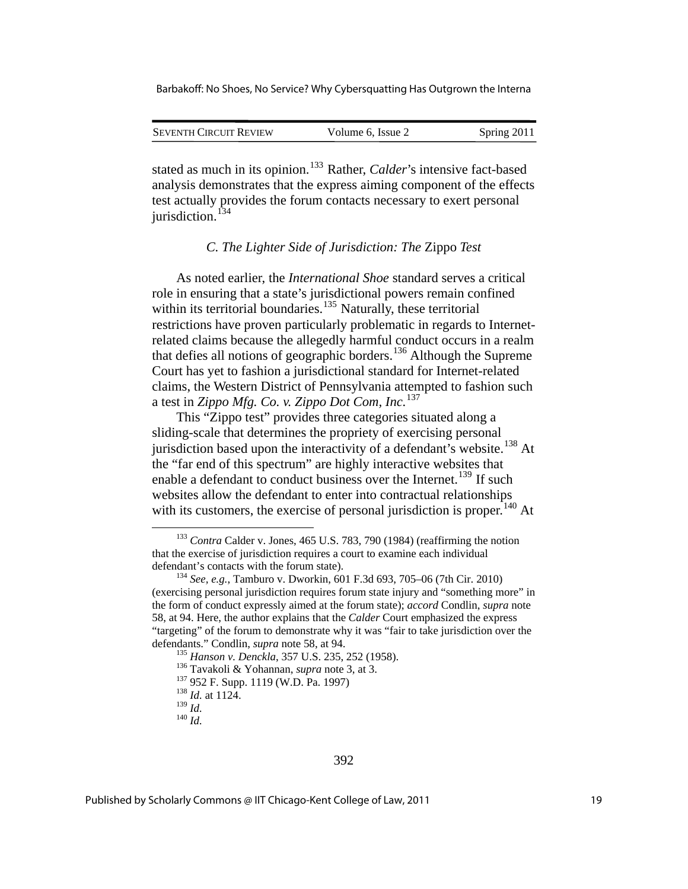| <b>SEVENTH CIRCUIT REVIEW</b> | Volume 6, Issue 2 | Spring 2011 |
|-------------------------------|-------------------|-------------|

stated as much in its opinion.<sup>[133](#page-19-0)</sup> Rather, *Calder*'s intensive fact-based analysis demonstrates that the express aiming component of the effects test actually provides the forum contacts necessary to exert personal jurisdiction.<sup>[134](#page-19-1)</sup>

#### *C. The Lighter Side of Jurisdiction: The* Zippo *Test*

As noted earlier, the *International Shoe* standard serves a critical role in ensuring that a state's jurisdictional powers remain confined within its territorial boundaries.<sup>[135](#page-19-2)</sup> Naturally, these territorial restrictions have proven particularly problematic in regards to Internetrelated claims because the allegedly harmful conduct occurs in a realm that defies all notions of geographic borders.[136](#page-19-3) Although the Supreme Court has yet to fashion a jurisdictional standard for Internet-related claims, the Western District of Pennsylvania attempted to fashion such a test in *Zippo Mfg. Co. v. Zippo Dot Com, Inc.*[137](#page-19-4)

This "Zippo test" provides three categories situated along a sliding-scale that determines the propriety of exercising personal jurisdiction based upon the interactivity of a defendant's website.<sup>[138](#page-19-5)</sup> At the "far end of this spectrum" are highly interactive websites that enable a defendant to conduct business over the Internet.<sup>[139](#page-19-6)</sup> If such websites allow the defendant to enter into contractual relationships with its customers, the exercise of personal jurisdiction is proper.<sup>[140](#page-19-7)</sup> At

<span id="page-19-0"></span> <sup>133</sup> *Contra* Calder v. Jones, 465 U.S. 783, 790 (1984) (reaffirming the notion that the exercise of jurisdiction requires a court to examine each individual defendant's contacts with the forum state). <sup>134</sup> *See, e.g.*, Tamburo v. Dworkin, 601 F.3d 693, 705–06 (7th Cir. 2010)

<span id="page-19-3"></span><span id="page-19-2"></span><span id="page-19-1"></span><sup>(</sup>exercising personal jurisdiction requires forum state injury and "something more" in the form of conduct expressly aimed at the forum state); *accord* Condlin, *supra* note 58, at 94. Here, the author explains that the *Calder* Court emphasized the express "targeting" of the forum to demonstrate why it was "fair to take jurisdiction over the defendants." Condlin, *supra* note 58, at 94.<br><sup>135</sup> *Hanson v. Denckla*, 357 U.S. 235, 252 (1958).<br><sup>136</sup> Tavakoli & Yohannan, *supra* note 3, at 3.<br><sup>137</sup> 952 F. Supp. 1119 (W.D. Pa. 1997)<br><sup>138</sup> *Id.* at 1124.<br><sup>139</sup> *Id.* 

<span id="page-19-5"></span><span id="page-19-4"></span>

<span id="page-19-7"></span><span id="page-19-6"></span> $140$  *Id.*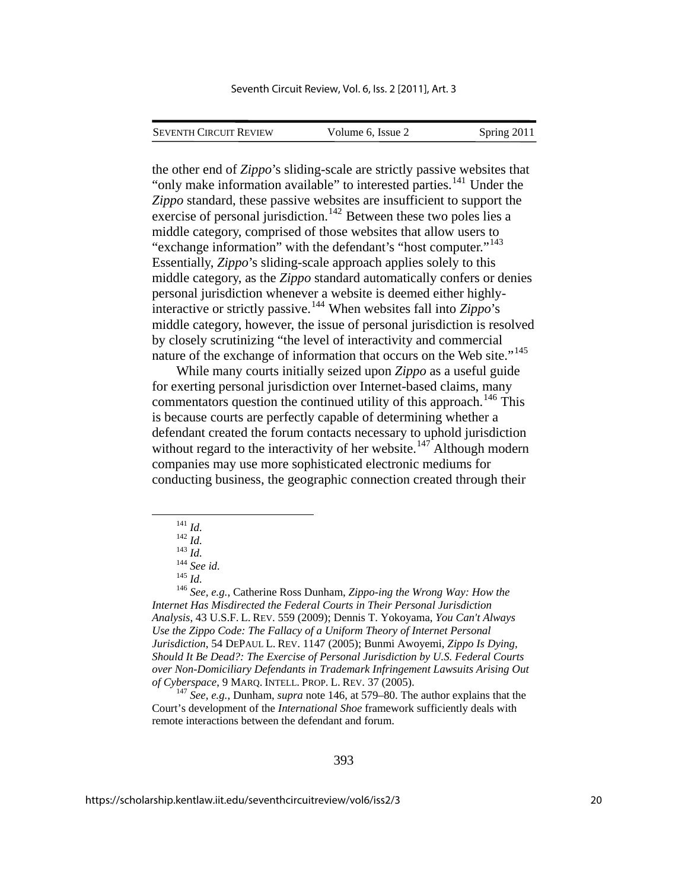SEVENTH CIRCUIT REVIEW Volume 6, Issue 2 Spring 2011

the other end of *Zippo*'s sliding-scale are strictly passive websites that "only make information available" to interested parties.<sup>[141](#page-20-0)</sup> Under the *Zippo* standard, these passive websites are insufficient to support the exercise of personal jurisdiction.<sup>[142](#page-20-1)</sup> Between these two poles lies a middle category, comprised of those websites that allow users to "exchange information" with the defendant's "host computer."<sup>[143](#page-20-2)</sup> Essentially, *Zippo*'s sliding-scale approach applies solely to this middle category, as the *Zippo* standard automatically confers or denies personal jurisdiction whenever a website is deemed either highlyinteractive or strictly passive.[144](#page-20-3) When websites fall into *Zippo*'s middle category, however, the issue of personal jurisdiction is resolved by closely scrutinizing "the level of interactivity and commercial nature of the exchange of information that occurs on the Web site."<sup>[145](#page-20-4)</sup>

While many courts initially seized upon *Zippo* as a useful guide for exerting personal jurisdiction over Internet-based claims, many commentators question the continued utility of this approach.<sup>[146](#page-20-5)</sup> This is because courts are perfectly capable of determining whether a defendant created the forum contacts necessary to uphold jurisdiction without regard to the interactivity of her website.<sup>[147](#page-20-6)</sup> Although modern companies may use more sophisticated electronic mediums for conducting business, the geographic connection created through their

<span id="page-20-5"></span><span id="page-20-4"></span><span id="page-20-3"></span><span id="page-20-2"></span><span id="page-20-1"></span><span id="page-20-0"></span><sup>141</sup> *Id.* <sup>142</sup> *Id.* <sup>143</sup> *Id.* <sup>144</sup> *See id.* <sup>145</sup> *Id.* <sup>146</sup> *See, e.g.*, Catherine Ross Dunham, *Zippo-ing the Wrong Way: How the Internet Has Misdirected the Federal Courts in Their Personal Jurisdiction Analysis*, 43 U.S.F. L. REV. 559 (2009); Dennis T. Yokoyama, *You Can't Always Use the Zippo Code: The Fallacy of a Uniform Theory of Internet Personal Jurisdiction*, 54 DEPAUL L. REV. 1147 (2005); Bunmi Awoyemi, *Zippo Is Dying, Should It Be Dead?: The Exercise of Personal Jurisdiction by U.S. Federal Courts over Non-Domiciliary Defendants in Trademark Infringement Lawsuits Arising Out of Cyberspace*, 9 MARQ. INTELL. PROP. L. REV. 37 (2005). <sup>147</sup> *See, e.g.*, Dunham, *supra* note 146, at 579–80. The author explains that the

<span id="page-20-6"></span>Court's development of the *International Shoe* framework sufficiently deals with remote interactions between the defendant and forum.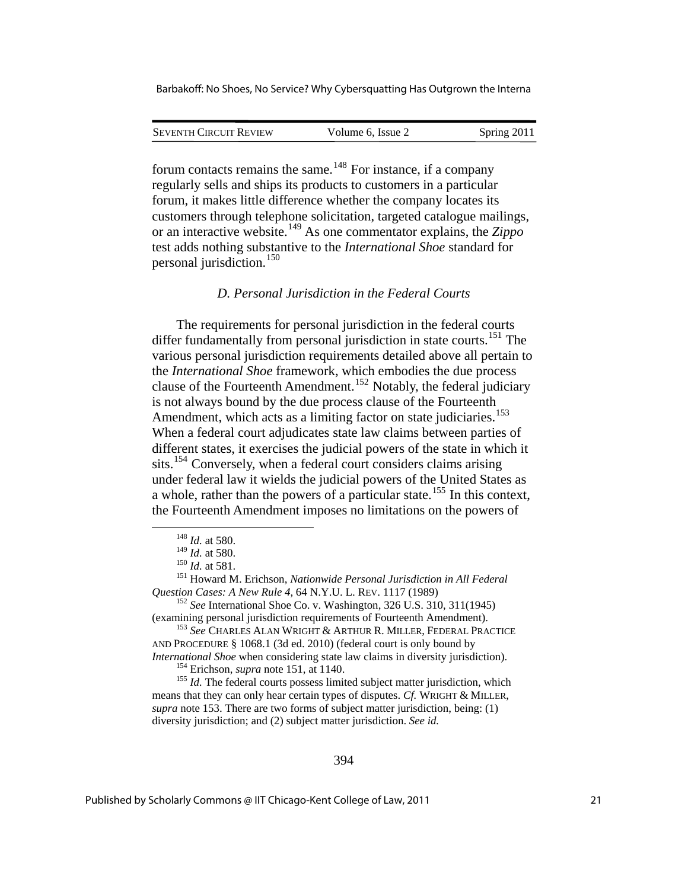| <b>SEVENTH CIRCUIT REVIEW</b> | Volume 6. Issue 2 | Spring 2011 |
|-------------------------------|-------------------|-------------|
|                               |                   |             |

forum contacts remains the same.<sup>[148](#page-21-0)</sup> For instance, if a company regularly sells and ships its products to customers in a particular forum, it makes little difference whether the company locates its customers through telephone solicitation, targeted catalogue mailings, or an interactive website.[149](#page-21-1) As one commentator explains, the *Zippo* test adds nothing substantive to the *International Shoe* standard for personal jurisdiction.[150](#page-21-2)

#### *D. Personal Jurisdiction in the Federal Courts*

The requirements for personal jurisdiction in the federal courts differ fundamentally from personal jurisdiction in state courts.<sup>[151](#page-21-3)</sup> The various personal jurisdiction requirements detailed above all pertain to the *International Shoe* framework, which embodies the due process clause of the Fourteenth Amendment.<sup>[152](#page-21-4)</sup> Notably, the federal judiciary is not always bound by the due process clause of the Fourteenth Amendment, which acts as a limiting factor on state judiciaries.<sup>[153](#page-21-5)</sup> When a federal court adjudicates state law claims between parties of different states, it exercises the judicial powers of the state in which it sits.<sup>[154](#page-21-6)</sup> Conversely, when a federal court considers claims arising under federal law it wields the judicial powers of the United States as a whole, rather than the powers of a particular state.<sup>[155](#page-21-7)</sup> In this context, the Fourteenth Amendment imposes no limitations on the powers of

<span id="page-21-0"></span>1

<span id="page-21-5"></span>AND PROCEDURE § 1068.1 (3d ed. 2010) (federal court is only bound by *International Shoe* when considering state law claims in diversity jurisdiction).<br><sup>154</sup> Erichson, *supra* note 151, at 1140.<br><sup>155</sup> *Id.* The federal courts possess limited subject matter jurisdiction, which

<span id="page-21-7"></span><span id="page-21-6"></span>means that they can only hear certain types of disputes. *Cf.* WRIGHT & MILLER, *supra* note 153. There are two forms of subject matter jurisdiction, being: (1) diversity jurisdiction; and (2) subject matter jurisdiction. *See id.*

<sup>&</sup>lt;sup>148</sup> *Id.* at 580.<br><sup>149</sup> *Id.* at 580.

<span id="page-21-3"></span><span id="page-21-2"></span><span id="page-21-1"></span><sup>&</sup>lt;sup>150</sup> *Id.* at 581.<br><sup>151</sup> Howard M. Erichson, *Nationwide Personal Jurisdiction in All Federal Question Cases: A New Rule 4, 64 N.Y.U. L. REV.* 1117 (1989)

<span id="page-21-4"></span><sup>&</sup>lt;sup>152</sup> *See* International Shoe Co. v. Washington, 326 U.S. 310, 311(1945) (examining personal jurisdiction requirements of Fourteenth Amendment). 153 *See* CHARLES ALAN WRIGHT & ARTHUR R. MILLER, FEDERAL PRACTICE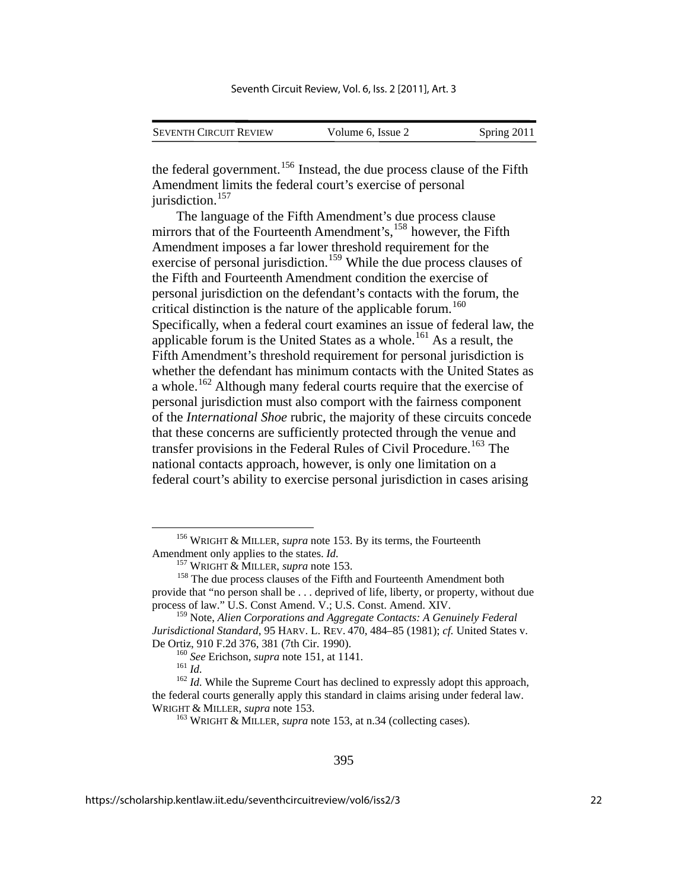| <b>SEVENTH CIRCUIT REVIEW</b> | Volume 6. Issue 2 | Spring 2011 |
|-------------------------------|-------------------|-------------|

the federal government.<sup>[156](#page-22-0)</sup> Instead, the due process clause of the Fifth Amendment limits the federal court's exercise of personal jurisdiction.<sup>[157](#page-22-1)</sup>

The language of the Fifth Amendment's due process clause mirrors that of the Fourteenth Amendment's, <sup>[158](#page-22-2)</sup> however, the Fifth Amendment imposes a far lower threshold requirement for the exercise of personal jurisdiction.<sup>[159](#page-22-3)</sup> While the due process clauses of the Fifth and Fourteenth Amendment condition the exercise of personal jurisdiction on the defendant's contacts with the forum, the critical distinction is the nature of the applicable forum.<sup>[160](#page-22-4)</sup> Specifically, when a federal court examines an issue of federal law, the applicable forum is the United States as a whole.<sup>[161](#page-22-5)</sup> As a result, the Fifth Amendment's threshold requirement for personal jurisdiction is whether the defendant has minimum contacts with the United States as a whole.<sup>[162](#page-22-6)</sup> Although many federal courts require that the exercise of personal jurisdiction must also comport with the fairness component of the *International Shoe* rubric, the majority of these circuits concede that these concerns are sufficiently protected through the venue and transfer provisions in the Federal Rules of Civil Procedure.<sup>[163](#page-22-7)</sup> The national contacts approach, however, is only one limitation on a federal court's ability to exercise personal jurisdiction in cases arising

<span id="page-22-0"></span> <sup>156</sup> WRIGHT & MILLER, *supra* note 153. By its terms, the Fourteenth Amendment only applies to the states. *Id.* 157 WRIGHT & MILLER, *supra* note 153. 158 The due process clauses of the Fifth and Fourteenth Amendment both

<span id="page-22-2"></span><span id="page-22-1"></span>provide that "no person shall be . . . deprived of life, liberty, or property, without due process of law." U.S. Const Amend. V.; U.S. Const. Amend. XIV.

<span id="page-22-3"></span><sup>159</sup> Note, *Alien Corporations and Aggregate Contacts: A Genuinely Federal Jurisdictional Standard*, 95 HARV. L. REV. 470, 484–85 (1981); *cf.* United States v.

<span id="page-22-7"></span><span id="page-22-6"></span><span id="page-22-5"></span><span id="page-22-4"></span>De Ortiz, 910 F.2d 376, 381 (7th Cir. 1990).<br><sup>160</sup> *See* Erichson, *supra* note 151, at 1141.<br><sup>161</sup> *Id.* While the Supreme Court has declined to expressly adopt this approach,<br><sup>162</sup> *Id.* While the Supreme Court has decli the federal courts generally apply this standard in claims arising under federal law. WRIGHT & MILLER, *supra* note 153.<br><sup>163</sup> WRIGHT & MILLER, *supra* note 153, at n.34 (collecting cases).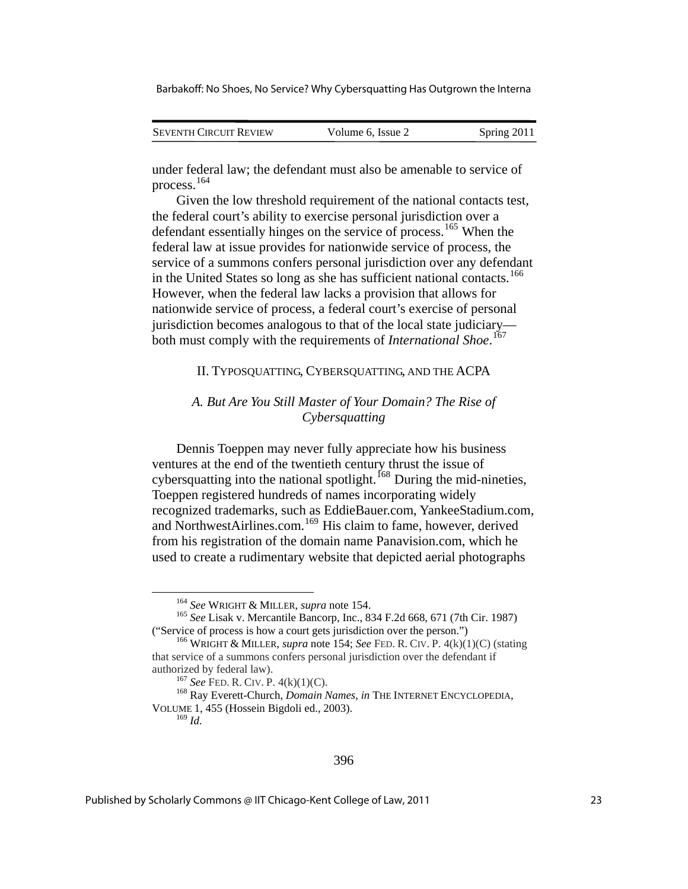| <b>SEVENTH CIRCUIT REVIEW</b> | Volume 6, Issue 2 | Spring 2011 |
|-------------------------------|-------------------|-------------|
|                               |                   |             |

under federal law; the defendant must also be amenable to service of process.[164](#page-23-0)

Given the low threshold requirement of the national contacts test, the federal court's ability to exercise personal jurisdiction over a defendant essentially hinges on the service of process.<sup>[165](#page-23-1)</sup> When the federal law at issue provides for nationwide service of process, the service of a summons confers personal jurisdiction over any defendant in the United States so long as she has sufficient national contacts.<sup>[166](#page-23-2)</sup> However, when the federal law lacks a provision that allows for nationwide service of process, a federal court's exercise of personal jurisdiction becomes analogous to that of the local state judiciary both must comply with the requirements of *International Shoe*. [167](#page-23-3)

#### II. TYPOSQUATTING, CYBERSQUATTING, AND THE ACPA

## *A. But Are You Still Master of Your Domain? The Rise of Cybersquatting*

Dennis Toeppen may never fully appreciate how his business ventures at the end of the twentieth century thrust the issue of cybersquatting into the national spotlight.<sup>[168](#page-23-4)</sup> During the mid-nineties, Toeppen registered hundreds of names incorporating widely recognized trademarks, such as EddieBauer.com, YankeeStadium.com, and NorthwestAirlines.com.<sup>[169](#page-23-5)</sup> His claim to fame, however, derived from his registration of the domain name Panavision.com, which he used to create a rudimentary website that depicted aerial photographs

<span id="page-23-1"></span><span id="page-23-0"></span><sup>164</sup> *See* WRIGHT & MILLER, *supra* note 154. 165 *See* Lisak v. Mercantile Bancorp, Inc., 834 F.2d 668, 671 (7th Cir. 1987) ("Service of process is how a court gets jurisdiction over the person.") 166 WRIGHT & MILLER, *supra* note 154; *See* FED. R. CIV. P. 4(k)(1)(C) (stating

<span id="page-23-2"></span>that service of a summons confers personal jurisdiction over the defendant if authorized by federal law).<br><sup>167</sup> *See* FED. R. CIV. P. 4(k)(1)(C).<br><sup>168</sup> Ray Everett-Church, *Domain Names*, *in* THE INTERNET ENCYCLOPEDIA,

<span id="page-23-5"></span><span id="page-23-4"></span><span id="page-23-3"></span>VOLUME 1, 455 (Hossein Bigdoli ed., 2003).

<sup>169</sup> *Id.*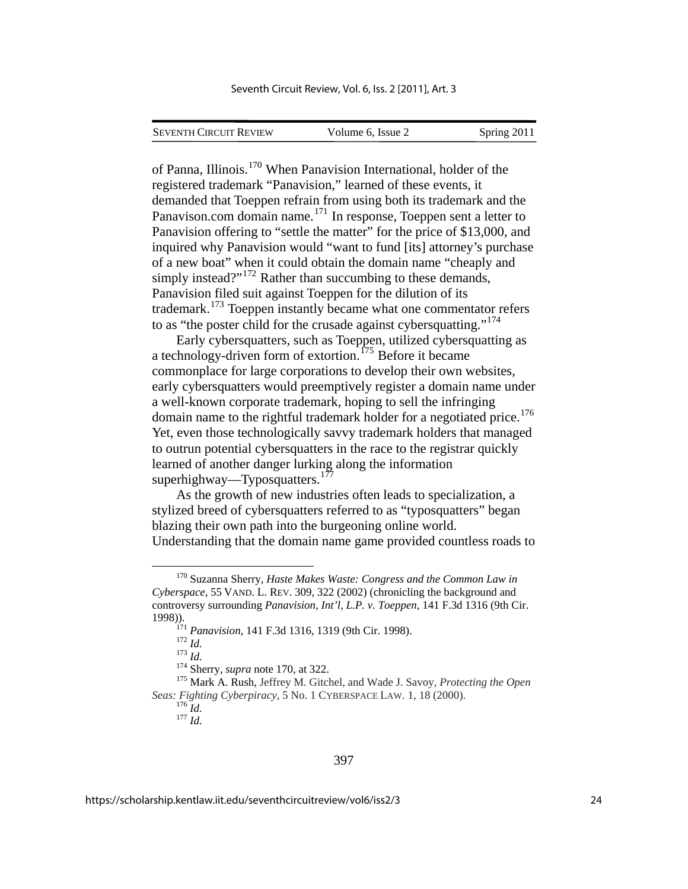| <b>SEVENTH CIRCUIT REVIEW</b> | Volume 6, Issue 2 | Spring 2011 |
|-------------------------------|-------------------|-------------|
|                               |                   |             |

of Panna, Illinois.[170](#page-24-0) When Panavision International, holder of the registered trademark "Panavision," learned of these events, it demanded that Toeppen refrain from using both its trademark and the Panavison.com domain name. $171$  In response, Toeppen sent a letter to Panavision offering to "settle the matter" for the price of \$13,000, and inquired why Panavision would "want to fund [its] attorney's purchase of a new boat" when it could obtain the domain name "cheaply and simply instead?"<sup>[172](#page-24-2)</sup> Rather than succumbing to these demands, Panavision filed suit against Toeppen for the dilution of its trademark.[173](#page-24-3) Toeppen instantly became what one commentator refers to as "the poster child for the crusade against cybersquatting."[174](#page-24-4)

Early cybersquatters, such as Toeppen, utilized cybersquatting as a technology-driven form of extortion.<sup>[175](#page-24-5)</sup> Before it became commonplace for large corporations to develop their own websites, early cybersquatters would preemptively register a domain name under a well-known corporate trademark, hoping to sell the infringing domain name to the rightful trademark holder for a negotiated price.<sup>[176](#page-24-6)</sup> Yet, even those technologically savvy trademark holders that managed to outrun potential cybersquatters in the race to the registrar quickly learned of another danger lurking along the information superhighway—Typosquatters.<sup>[177](#page-24-7)</sup>

As the growth of new industries often leads to specialization, a stylized breed of cybersquatters referred to as "typosquatters" began blazing their own path into the burgeoning online world. Understanding that the domain name game provided countless roads to

<span id="page-24-0"></span> <sup>170</sup> Suzanna Sherry, *Haste Makes Waste: Congress and the Common Law in Cyberspace*, 55 VAND. L. REV. 309, 322 (2002) (chronicling the background and controversy surrounding *Panavision, Int'l, L.P. v. Toeppen*, 141 F.3d 1316 (9th Cir.

<span id="page-24-5"></span><span id="page-24-4"></span><span id="page-24-3"></span><span id="page-24-2"></span><span id="page-24-1"></span><sup>1998)).&</sup>lt;br>
<sup>171</sup> Panavision, 141 F.3d 1316, 1319 (9th Cir. 1998).<br>
<sup>172</sup> Id.<br>
<sup>174</sup> Sherry, *supra* note 170, at 322.<br>
<sup>174</sup> Sherry, *supra* note 170, at 322.<br>
<sup>175</sup> Mark A. Rush, Jeffrey M. Gitchel, and Wade J. Savoy, *Pro Seas: Fighting Cyberpiracy*, 5 No. 1 CYBERSPACE LAW. 1, 18 (2000). <sup>176</sup> *Id.* <sup>177</sup> *Id.*

<span id="page-24-7"></span><span id="page-24-6"></span>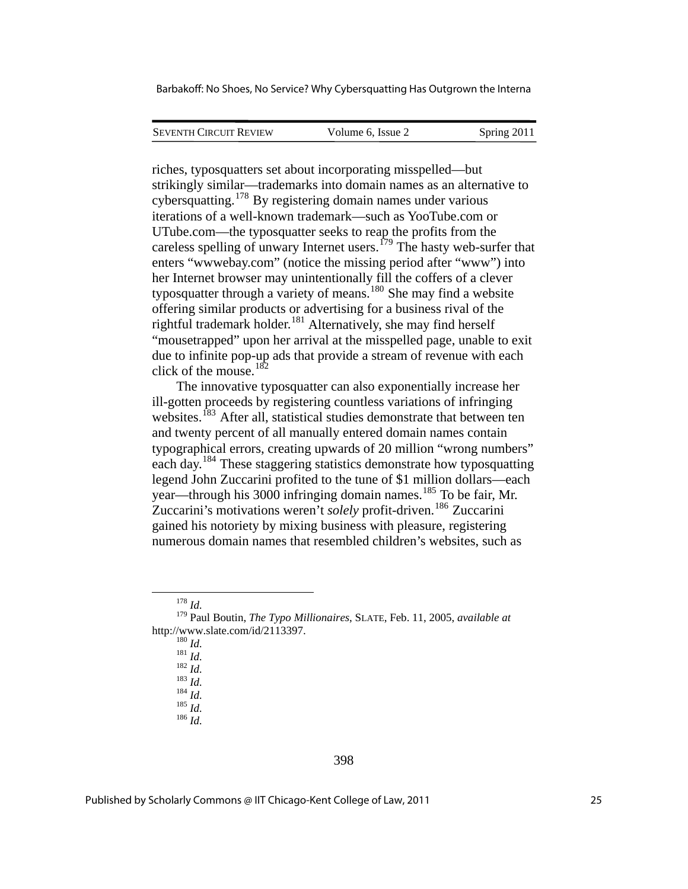| <b>SEVENTH CIRCUIT REVIEW</b> | Volume 6. Issue 2 | Spring 2011 |
|-------------------------------|-------------------|-------------|
|                               |                   |             |

riches, typosquatters set about incorporating misspelled—but strikingly similar—trademarks into domain names as an alternative to cybersquatting.[178](#page-25-0) By registering domain names under various iterations of a well-known trademark—such as YooTube.com or UTube.com—the typosquatter seeks to reap the profits from the careless spelling of unwary Internet users.<sup>[179](#page-25-1)</sup> The hasty web-surfer that enters "wwwebay.com" (notice the missing period after "www") into her Internet browser may unintentionally fill the coffers of a clever typosquatter through a variety of means.<sup>[180](#page-25-2)</sup> She may find a website offering similar products or advertising for a business rival of the rightful trademark holder.<sup>[181](#page-25-3)</sup> Alternatively, she may find herself "mousetrapped" upon her arrival at the misspelled page, unable to exit due to infinite pop-up ads that provide a stream of revenue with each click of the mouse.[182](#page-25-4)

The innovative typosquatter can also exponentially increase her ill-gotten proceeds by registering countless variations of infringing websites.<sup>[183](#page-25-5)</sup> After all, statistical studies demonstrate that between ten and twenty percent of all manually entered domain names contain typographical errors, creating upwards of 20 million "wrong numbers" each day.[184](#page-25-6) These staggering statistics demonstrate how typosquatting legend John Zuccarini profited to the tune of \$1 million dollars—each year—through his 3000 infringing domain names.<sup>[185](#page-25-7)</sup> To be fair, Mr. Zuccarini's motivations weren't *solely* profit-driven.[186](#page-25-8) Zuccarini gained his notoriety by mixing business with pleasure, registering numerous domain names that resembled children's websites, such as

<span id="page-25-8"></span>

 <sup>178</sup> *Id.*

<span id="page-25-7"></span><span id="page-25-6"></span><span id="page-25-5"></span><span id="page-25-4"></span><span id="page-25-3"></span><span id="page-25-2"></span><span id="page-25-1"></span><span id="page-25-0"></span><sup>179</sup> Paul Boutin, *The Typo Millionaires*, SLATE, Feb. 11, 2005, *available at*  http://www.slate.com/id/2113397.<br>
<sup>180</sup> *Id.*<br>
<sup>181</sup> *Id.*<br>
<sup>182</sup> *Id.*<br>
<sup>183</sup> *Id.*<br>
<sup>184</sup> *Id.*<br>
<sup>186</sup> *Id.*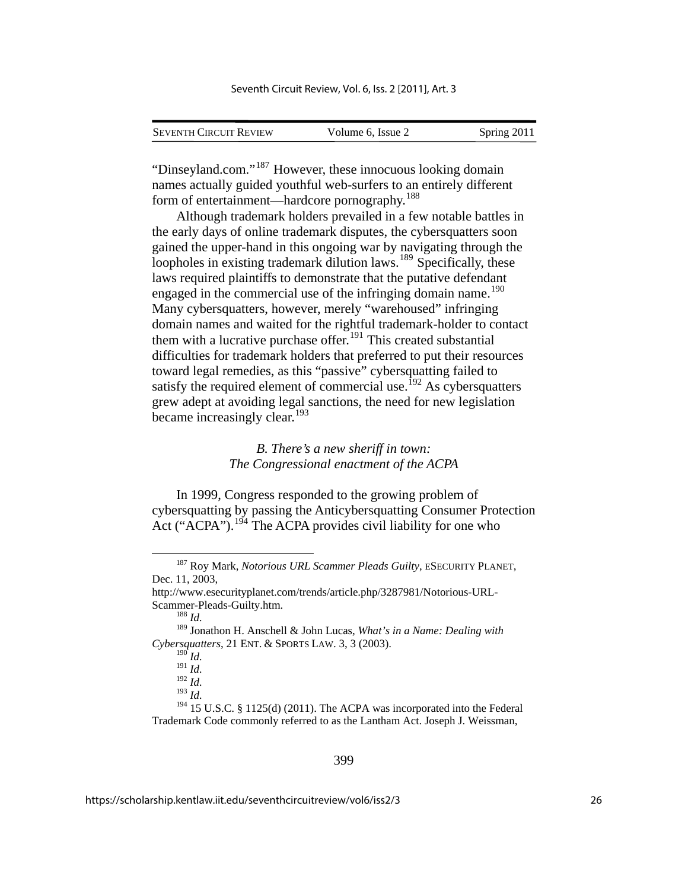| <b>SEVENTH CIRCUIT REVIEW</b> | Volume 6, Issue 2 | Spring 2011 |
|-------------------------------|-------------------|-------------|

"Dinseyland.com."[187](#page-26-0) However, these innocuous looking domain names actually guided youthful web-surfers to an entirely different form of entertainment—hardcore pornography.[188](#page-26-1)

Although trademark holders prevailed in a few notable battles in the early days of online trademark disputes, the cybersquatters soon gained the upper-hand in this ongoing war by navigating through the loopholes in existing trademark dilution laws.<sup>[189](#page-26-2)</sup> Specifically, these laws required plaintiffs to demonstrate that the putative defendant engaged in the commercial use of the infringing domain name.<sup>[190](#page-26-3)</sup> Many cybersquatters, however, merely "warehoused" infringing domain names and waited for the rightful trademark-holder to contact them with a lucrative purchase offer.<sup>[191](#page-26-4)</sup> This created substantial difficulties for trademark holders that preferred to put their resources toward legal remedies, as this "passive" cybersquatting failed to satisfy the required element of commercial use.<sup>[192](#page-26-5)</sup> As cybersquatters grew adept at avoiding legal sanctions, the need for new legislation became increasingly clear.<sup>[193](#page-26-6)</sup>

#### *B. There's a new sheriff in town: The Congressional enactment of the ACPA*

In 1999, Congress responded to the growing problem of cybersquatting by passing the Anticybersquatting Consumer Protection Act ("ACPA").<sup>[194](#page-26-7)</sup> The ACPA provides civil liability for one who

 $^{190}$  *Id.* 

<sup>191</sup> *Id.*

<sup>192</sup> *Id.*

<sup>193</sup> *Id.*

<span id="page-26-0"></span> <sup>187</sup> Roy Mark, *Notorious URL Scammer Pleads Guilty*, ESECURITY PLANET, Dec. 11, 2003,

<span id="page-26-1"></span>http://www.esecurityplanet.com/trends/article.php/3287981/Notorious-URL-Scammer-Pleads-Guilty.htm. 188 *Id.*

<span id="page-26-3"></span><span id="page-26-2"></span><sup>189</sup> Jonathon H. Anschell & John Lucas, *What's in a Name: Dealing with Cybersquatters*, 21 ENT. & SPORTS LAW. 3, 3 (2003).

<span id="page-26-7"></span><span id="page-26-6"></span><span id="page-26-5"></span><span id="page-26-4"></span><sup>&</sup>lt;sup>194</sup> 15 U.S.C. § 1125(d) (2011). The ACPA was incorporated into the Federal Trademark Code commonly referred to as the Lantham Act. Joseph J. Weissman,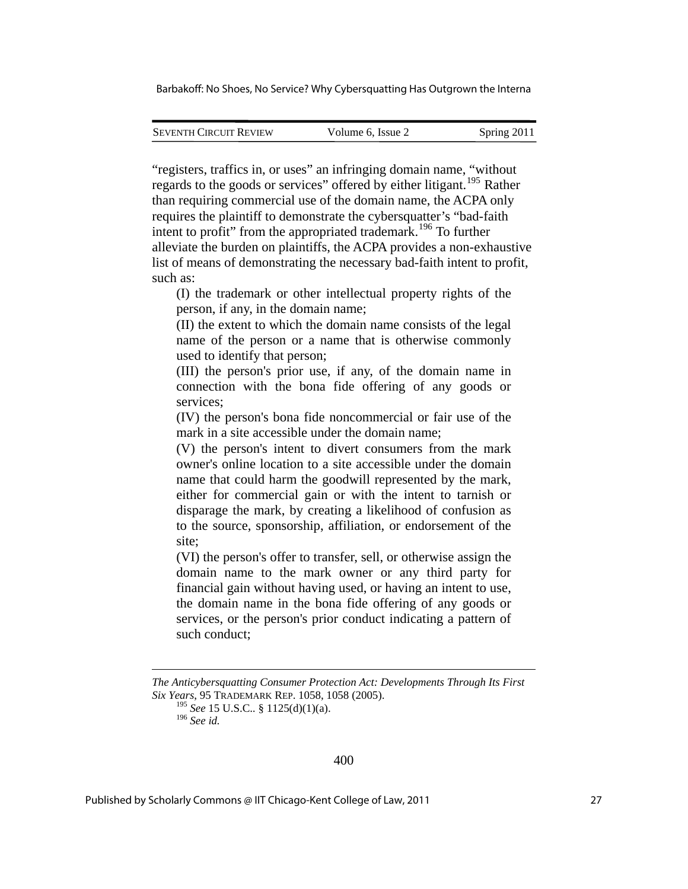| <b>SEVENTH CIRCUIT REVIEW</b> | Volume 6, Issue 2 | Spring 2011 |
|-------------------------------|-------------------|-------------|
|                               |                   |             |

"registers, traffics in, or uses" an infringing domain name, "without regards to the goods or services" offered by either litigant.<sup>[195](#page-27-0)</sup> Rather than requiring commercial use of the domain name, the ACPA only requires the plaintiff to demonstrate the cybersquatter's "bad-faith intent to profit" from the appropriated trademark.<sup>[196](#page-27-1)</sup> To further alleviate the burden on plaintiffs, the ACPA provides a non-exhaustive list of means of demonstrating the necessary bad-faith intent to profit, such as:

(I) the trademark or other intellectual property rights of the person, if any, in the domain name;

(II) the extent to which the domain name consists of the legal name of the person or a name that is otherwise commonly used to identify that person;

(III) the person's prior use, if any, of the domain name in connection with the bona fide offering of any goods or services;

(IV) the person's bona fide noncommercial or fair use of the mark in a site accessible under the domain name;

(V) the person's intent to divert consumers from the mark owner's online location to a site accessible under the domain name that could harm the goodwill represented by the mark, either for commercial gain or with the intent to tarnish or disparage the mark, by creating a likelihood of confusion as to the source, sponsorship, affiliation, or endorsement of the site;

(VI) the person's offer to transfer, sell, or otherwise assign the domain name to the mark owner or any third party for financial gain without having used, or having an intent to use, the domain name in the bona fide offering of any goods or services, or the person's prior conduct indicating a pattern of such conduct;

1

<span id="page-27-1"></span><span id="page-27-0"></span>*The Anticybersquatting Consumer Protection Act: Developments Through Its First Six Years*, 95 TRADEMARK REP. 1058, 1058 (2005).

<sup>195</sup> *See* 15 U.S.C.*.* § 1125(d)(1)(a).

<sup>196</sup> *See id.*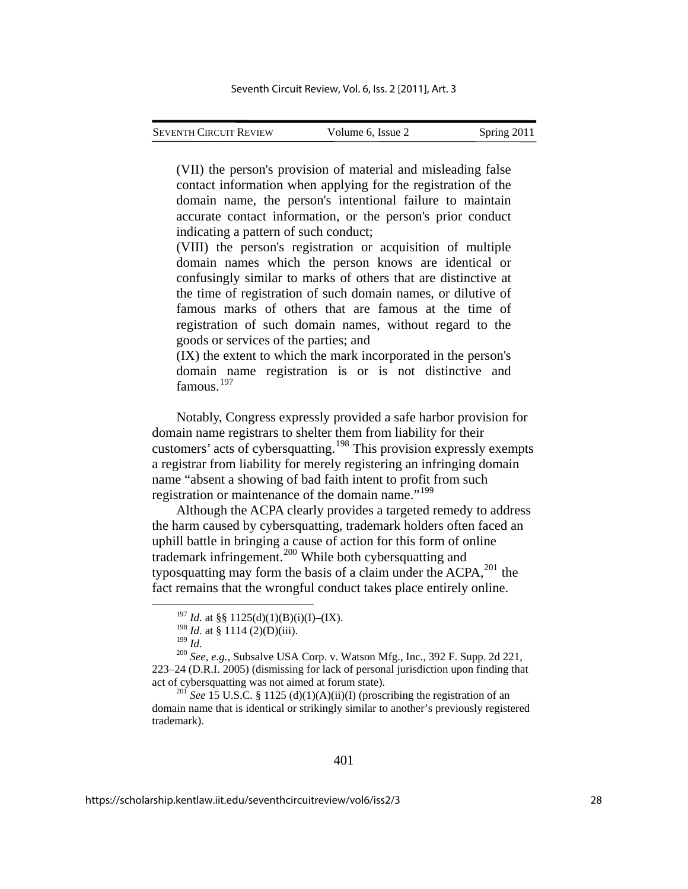(VII) the person's provision of material and misleading false contact information when applying for the registration of the domain name, the person's intentional failure to maintain accurate contact information, or the person's prior conduct indicating a pattern of such conduct;

(VIII) the person's registration or acquisition of multiple domain names which the person knows are identical or confusingly similar to marks of others that are distinctive at the time of registration of such domain names, or dilutive of famous marks of others that are famous at the time of registration of such domain names, without regard to the goods or services of the parties; and

(IX) the extent to which the mark incorporated in the person's domain name registration is or is not distinctive and famous.<sup>[197](#page-28-0)</sup>

Notably, Congress expressly provided a safe harbor provision for domain name registrars to shelter them from liability for their customers' acts of cybersquatting.<sup>[198](#page-28-1)</sup> This provision expressly exempts a registrar from liability for merely registering an infringing domain name "absent a showing of bad faith intent to profit from such registration or maintenance of the domain name."<sup>[199](#page-28-2)</sup>

Although the ACPA clearly provides a targeted remedy to address the harm caused by cybersquatting, trademark holders often faced an uphill battle in bringing a cause of action for this form of online trademark infringement.[200](#page-28-3) While both cybersquatting and typosquatting may form the basis of a claim under the  $ACPA$ ,  $^{201}$  $^{201}$  $^{201}$  the fact remains that the wrongful conduct takes place entirely online.

<sup>&</sup>lt;sup>197</sup> *Id.* at §§ 1125(d)(1)(B)(i)(I)–(IX).

 $^{198}$  *Id.* at § 1114 (2)(D)(iii).<br><sup>199</sup> *Id* 

<span id="page-28-3"></span><span id="page-28-2"></span><span id="page-28-1"></span><span id="page-28-0"></span><sup>199</sup> *Id.* <sup>200</sup> *See, e.g.*, Subsalve USA Corp. v. Watson Mfg., Inc., 392 F. Supp. 2d 221, 223–24 (D.R.I. 2005) (dismissing for lack of personal jurisdiction upon finding that act of cybersquatting was not aimed at forum state). 201 *See* 15 U.S.C. § 1125 (d)(1)(A)(ii)(I) (proscribing the registration of an

<span id="page-28-4"></span>domain name that is identical or strikingly similar to another's previously registered trademark).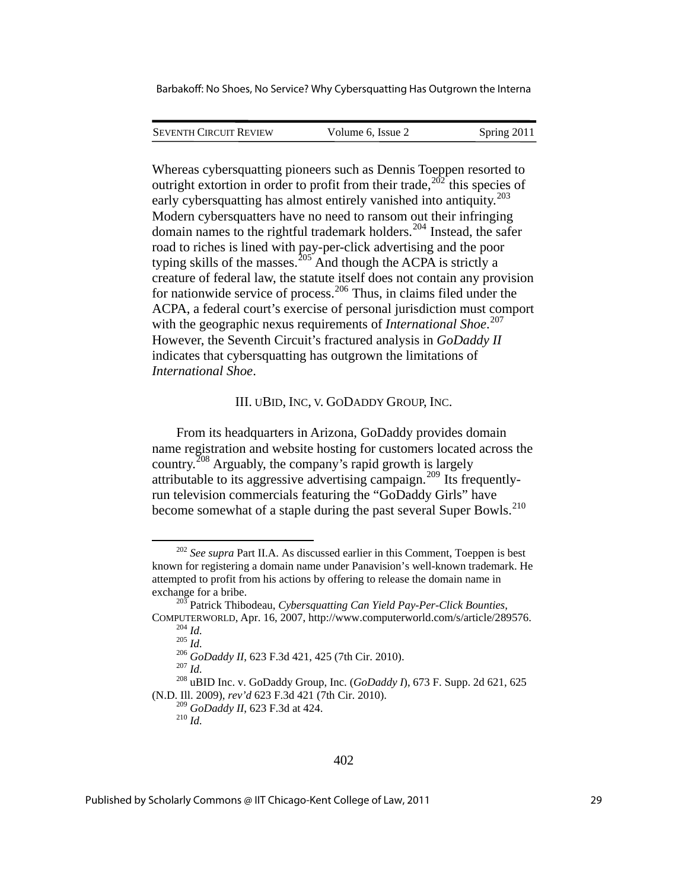SEVENTH CIRCUIT REVIEW Volume 6, Issue 2 Spring 2011

Whereas cybersquatting pioneers such as Dennis Toeppen resorted to outright extortion in order to profit from their trade,  $2^{02}$  this species of early cybersquatting has almost entirely vanished into antiquity.<sup>[203](#page-29-1)</sup> Modern cybersquatters have no need to ransom out their infringing domain names to the rightful trademark holders.<sup>[204](#page-29-2)</sup> Instead, the safer road to riches is lined with pay-per-click advertising and the poor typing skills of the masses.<sup>[205](#page-29-3)</sup> And though the ACPA is strictly a creature of federal law, the statute itself does not contain any provision for nationwide service of process.<sup>[206](#page-29-4)</sup> Thus, in claims filed under the ACPA, a federal court's exercise of personal jurisdiction must comport with the geographic nexus requirements of *International Shoe*. [207](#page-29-5) However, the Seventh Circuit's fractured analysis in *GoDaddy II* indicates that cybersquatting has outgrown the limitations of *International Shoe*.

## III. UBID, INC, V. GODADDY GROUP, INC.

From its headquarters in Arizona, GoDaddy provides domain name registration and website hosting for customers located across the country.[208](#page-29-6) Arguably, the company's rapid growth is largely attributable to its aggressive advertising campaign.[209](#page-29-7) Its frequentlyrun television commercials featuring the "GoDaddy Girls" have become somewhat of a staple during the past several Super Bowls.<sup>[210](#page-29-8)</sup>

<span id="page-29-0"></span> <sup>202</sup> *See supra* Part II.A. As discussed earlier in this Comment, Toeppen is best known for registering a domain name under Panavision's well-known trademark. He attempted to profit from his actions by offering to release the domain name in exchange for a bribe. 203 Patrick Thibodeau, *Cybersquatting Can Yield Pay-Per-Click Bounties*,

<span id="page-29-3"></span><span id="page-29-2"></span><span id="page-29-1"></span>COMPUTERWORLD, Apr. 16, 2007, http://www.computerworld.com/s/article/289576.<br>
<sup>204</sup> *Id.*<br>
<sup>205</sup> *Id.*<br>
<sup>206</sup> *GoDaddy II*, 623 F.3d 421, 425 (7th Cir. 2010).<br>
<sup>207</sup> *Id.*<br>
<sup>208</sup> uBID Inc. v. GoDaddy Group, Inc. (*GoDaddy* 

<span id="page-29-8"></span><span id="page-29-7"></span><span id="page-29-6"></span><span id="page-29-5"></span><span id="page-29-4"></span><sup>(</sup>N.D. Ill. 2009), *rev'd* 623 F.3d 421 (7th Cir. 2010).

<sup>&</sup>lt;sup>209</sup> *GoDaddy II*, 623 F.3d at 424.<br><sup>210</sup> *Id*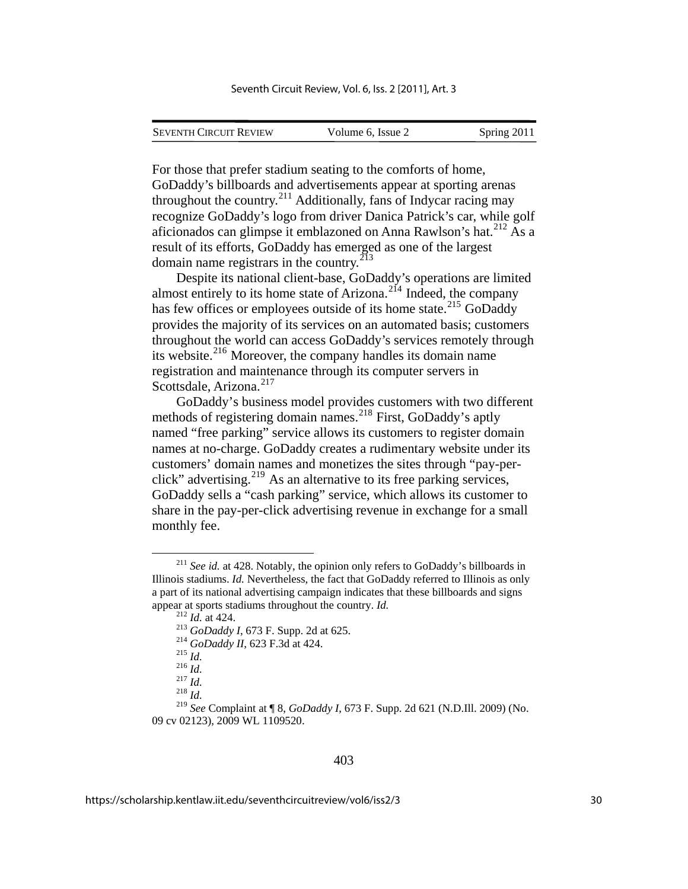| <b>SEVENTH CIRCUIT REVIEW</b> |                   |             |
|-------------------------------|-------------------|-------------|
|                               | Volume 6, Issue 2 | Spring 2011 |

For those that prefer stadium seating to the comforts of home, GoDaddy's billboards and advertisements appear at sporting arenas throughout the country.<sup>[211](#page-30-0)</sup> Additionally, fans of Indycar racing may recognize GoDaddy's logo from driver Danica Patrick's car, while golf aficionados can glimpse it emblazoned on Anna Rawlson's hat.[212](#page-30-1) As a result of its efforts, GoDaddy has emerged as one of the largest domain name registrars in the country. $213$ 

Despite its national client-base, GoDaddy's operations are limited almost entirely to its home state of Arizona.<sup>[214](#page-30-3)</sup> Indeed, the company has few offices or employees outside of its home state.<sup>[215](#page-30-4)</sup> GoDaddy provides the majority of its services on an automated basis; customers throughout the world can access GoDaddy's services remotely through its website.<sup>[216](#page-30-5)</sup> Moreover, the company handles its domain name registration and maintenance through its computer servers in Scottsdale, Arizona.<sup>[217](#page-30-6)</sup>

GoDaddy's business model provides customers with two different methods of registering domain names.<sup>[218](#page-30-7)</sup> First, GoDaddy's aptly named "free parking" service allows its customers to register domain names at no-charge. GoDaddy creates a rudimentary website under its customers' domain names and monetizes the sites through "pay-per-click" advertising.<sup>[219](#page-30-8)</sup> As an alternative to its free parking services, GoDaddy sells a "cash parking" service, which allows its customer to share in the pay-per-click advertising revenue in exchange for a small monthly fee.

<span id="page-30-2"></span><span id="page-30-1"></span><span id="page-30-0"></span><sup>&</sup>lt;sup>211</sup> See id. at 428. Notably, the opinion only refers to GoDaddy's billboards in Illinois stadiums. *Id.* Nevertheless, the fact that GoDaddy referred to Illinois as only a part of its national advertising campaign indicates that these billboards and signs appear at sports stadiums throughout the country. *Id.*<br>
<sup>212</sup> *Id.* at 424.<br>
<sup>213</sup> *GoDaddy I*, 673 F. Supp. 2d at 625.<br>
<sup>214</sup> *GoDaddy II*, 623 F.3d at 424.<br>
<sup>215</sup> *Id.*<br>
<sup>216</sup> *Id.*<br>
<sup>217</sup> *Id.*<br>
<sup>217</sup> *Id.* 

<span id="page-30-8"></span><span id="page-30-7"></span><span id="page-30-6"></span><span id="page-30-5"></span><span id="page-30-4"></span><span id="page-30-3"></span><sup>219</sup> *See* Complaint at ¶ 8, *GoDaddy I*, 673 F. Supp. 2d 621 (N.D.Ill. 2009) (No. 09 cv 02123), 2009 WL 1109520.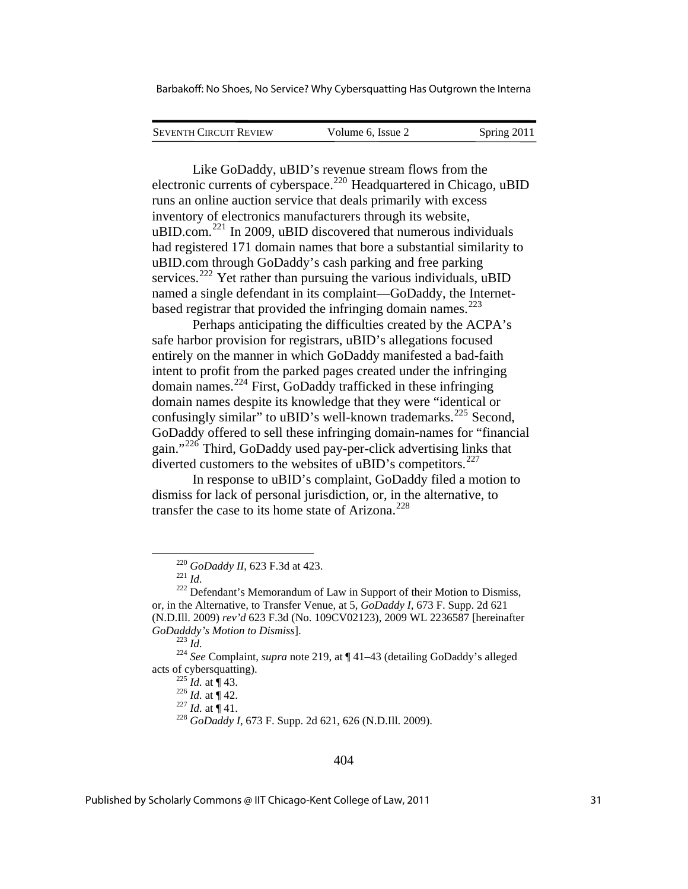| <b>SEVENTH CIRCUIT REVIEW</b> | Volume 6. Issue 2 | Spring 2011 |
|-------------------------------|-------------------|-------------|
|                               |                   |             |

Like GoDaddy, uBID's revenue stream flows from the electronic currents of cyberspace.<sup>[220](#page-31-0)</sup> Headquartered in Chicago, uBID runs an online auction service that deals primarily with excess inventory of electronics manufacturers through its website, uBID.com.<sup>[221](#page-31-1)</sup> In 2009, uBID discovered that numerous individuals had registered 171 domain names that bore a substantial similarity to uBID.com through GoDaddy's cash parking and free parking services.<sup>[222](#page-31-2)</sup> Yet rather than pursuing the various individuals, uBID named a single defendant in its complaint—GoDaddy, the Internet-based registrar that provided the infringing domain names.<sup>[223](#page-31-3)</sup>

Perhaps anticipating the difficulties created by the ACPA's safe harbor provision for registrars, uBID's allegations focused entirely on the manner in which GoDaddy manifested a bad-faith intent to profit from the parked pages created under the infringing domain names.[224](#page-31-4) First, GoDaddy trafficked in these infringing domain names despite its knowledge that they were "identical or confusingly similar" to uBID's well-known trademarks.<sup>[225](#page-31-5)</sup> Second, GoDaddy offered to sell these infringing domain-names for "financial gain."[226](#page-31-6) Third, GoDaddy used pay-per-click advertising links that diverted customers to the websites of uBID's competitors.<sup>[227](#page-31-7)</sup>

In response to uBID's complaint, GoDaddy filed a motion to dismiss for lack of personal jurisdiction, or, in the alternative, to transfer the case to its home state of Arizona.<sup>[228](#page-31-8)</sup>

1

<span id="page-31-8"></span><span id="page-31-7"></span><span id="page-31-6"></span><span id="page-31-5"></span><span id="page-31-4"></span>acts of cybersquatting).<br>
<sup>225</sup> *Id.* at ¶ 43.<br>
<sup>226</sup> *Id.* at ¶ 41.<br>
<sup>228</sup> *GoDaddy I*, 673 F. Supp. 2d 621, 626 (N.D.III. 2009).

#### 404

<span id="page-31-2"></span><span id="page-31-1"></span><span id="page-31-0"></span><sup>&</sup>lt;sup>220</sup> *GoDaddy II*, 623 F.3d at 423.<br><sup>221</sup> *Id.* 222 Defendant's Memorandum of Law in Support of their Motion to Dismiss, or, in the Alternative, to Transfer Venue, at 5, *GoDaddy I*, 673 F. Supp. 2d 621 (N.D.Ill. 2009) *rev'd* 623 F.3d (No. 109CV02123), 2009 WL 2236587 [hereinafter

<span id="page-31-3"></span>*GoDadddy's Motion to Dismiss*]. 223 *Id.* <sup>224</sup> *See* Complaint, *supra* note 219, at ¶ 41–43 (detailing GoDaddy's alleged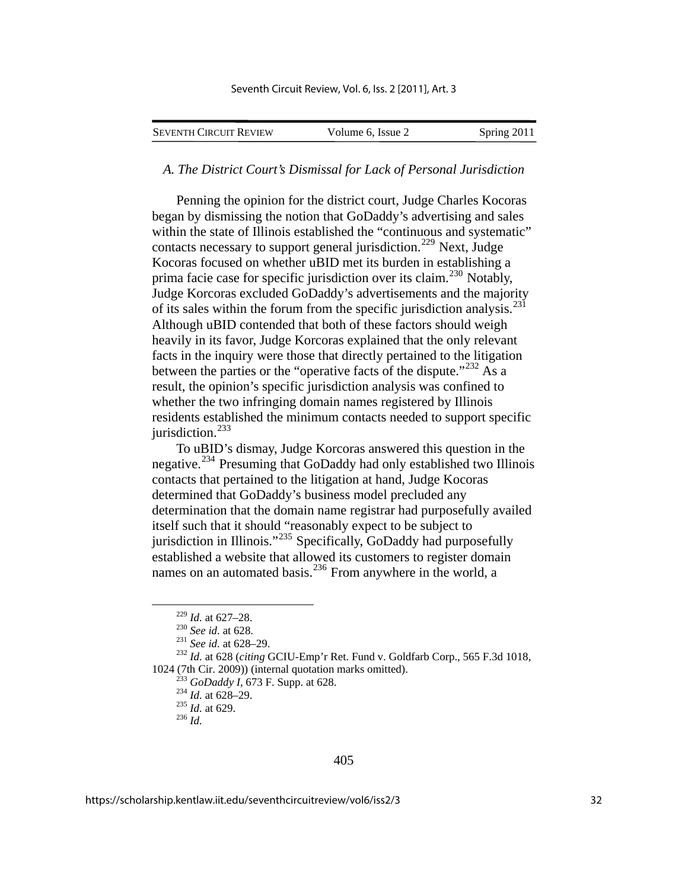| <b>SEVENTH CIRCUIT REVIEW</b> | Volume 6, Issue 2 | Spring 2011 |
|-------------------------------|-------------------|-------------|
|                               |                   |             |

#### *A. The District Court's Dismissal for Lack of Personal Jurisdiction*

Penning the opinion for the district court, Judge Charles Kocoras began by dismissing the notion that GoDaddy's advertising and sales within the state of Illinois established the "continuous and systematic" contacts necessary to support general jurisdiction.<sup>[229](#page-32-0)</sup> Next, Judge Kocoras focused on whether uBID met its burden in establishing a prima facie case for specific jurisdiction over its claim.<sup>[230](#page-32-1)</sup> Notably, Judge Korcoras excluded GoDaddy's advertisements and the majority of its sales within the forum from the specific jurisdiction analysis.<sup>[231](#page-32-2)</sup> Although uBID contended that both of these factors should weigh heavily in its favor, Judge Korcoras explained that the only relevant facts in the inquiry were those that directly pertained to the litigation between the parties or the "operative facts of the dispute."<sup>[232](#page-32-3)</sup> As a result, the opinion's specific jurisdiction analysis was confined to whether the two infringing domain names registered by Illinois residents established the minimum contacts needed to support specific jurisdiction.<sup>[233](#page-32-4)</sup>

To uBID's dismay, Judge Korcoras answered this question in the negative.<sup>[234](#page-32-5)</sup> Presuming that GoDaddy had only established two Illinois contacts that pertained to the litigation at hand, Judge Kocoras determined that GoDaddy's business model precluded any determination that the domain name registrar had purposefully availed itself such that it should "reasonably expect to be subject to jurisdiction in Illinois." $^{235}$  $^{235}$  $^{235}$  Specifically, GoDaddy had purposefully established a website that allowed its customers to register domain names on an automated basis.<sup>[236](#page-32-7)</sup> From anywhere in the world, a

<span id="page-32-5"></span><span id="page-32-4"></span><span id="page-32-3"></span><span id="page-32-2"></span><span id="page-32-1"></span><span id="page-32-0"></span><sup>229</sup> *Id.* at 627–28. 230 *See id.* at 628. 231 *See id.* at 628–29. 232 *Id.* at 628 (*citing* GCIU-Emp'r Ret. Fund v. Goldfarb Corp., 565 F.3d 1018, 1024 (7th Cir. 2009)) (internal quotation marks omitted).<br><sup>233</sup> *GoDaddy I*, 673 F. Supp. at 628.<br><sup>234</sup> *Id.* at 628–29.<br><sup>235</sup> *Id.* at 629.<br><sup>236</sup> *Id* 

<span id="page-32-6"></span>

<span id="page-32-7"></span>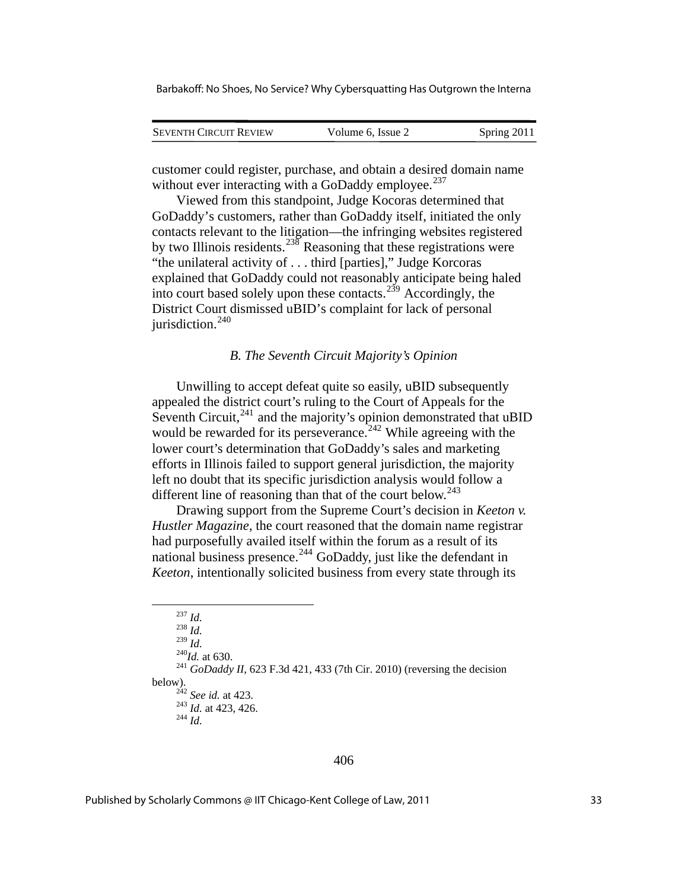| <b>SEVENTH CIRCUIT REVIEW</b> | Volume 6, Issue 2 | Spring 2011 |
|-------------------------------|-------------------|-------------|
|                               |                   |             |

customer could register, purchase, and obtain a desired domain name without ever interacting with a GoDaddy employee. $^{237}$  $^{237}$  $^{237}$ 

Viewed from this standpoint, Judge Kocoras determined that GoDaddy's customers, rather than GoDaddy itself, initiated the only contacts relevant to the litigation—the infringing websites registered by two Illinois residents.<sup>[238](#page-33-1)</sup> Reasoning that these registrations were "the unilateral activity of . . . third [parties]," Judge Korcoras explained that GoDaddy could not reasonably anticipate being haled into court based solely upon these contacts.<sup> $239$ </sup> Accordingly, the District Court dismissed uBID's complaint for lack of personal jurisdiction.<sup>[240](#page-33-3)</sup>

#### *B. The Seventh Circuit Majority's Opinion*

Unwilling to accept defeat quite so easily, uBID subsequently appealed the district court's ruling to the Court of Appeals for the Seventh Circuit, $^{241}$  $^{241}$  $^{241}$  and the majority's opinion demonstrated that uBID would be rewarded for its perseverance.<sup>[242](#page-33-5)</sup> While agreeing with the lower court's determination that GoDaddy's sales and marketing efforts in Illinois failed to support general jurisdiction, the majority left no doubt that its specific jurisdiction analysis would follow a different line of reasoning than that of the court below.<sup>[243](#page-33-6)</sup>

Drawing support from the Supreme Court's decision in *Keeton v. Hustler Magazine*, the court reasoned that the domain name registrar had purposefully availed itself within the forum as a result of its national business presence.<sup>[244](#page-33-7)</sup> GoDaddy, just like the defendant in *Keeton*, intentionally solicited business from every state through its

<sup>237</sup> *Id.* <sup>238</sup> *Id.*

<span id="page-33-7"></span><span id="page-33-6"></span><span id="page-33-5"></span><span id="page-33-4"></span><span id="page-33-3"></span><span id="page-33-2"></span><span id="page-33-1"></span><span id="page-33-0"></span><sup>&</sup>lt;sup>240</sup>*Id.* at 630.<br><sup>241</sup> *GoDaddy II*, 623 F.3d 421, 433 (7th Cir. 2010) (reversing the decision below). 242 *See id.* at 423. 243 *Id.* at 423, 426. 244 *Id.*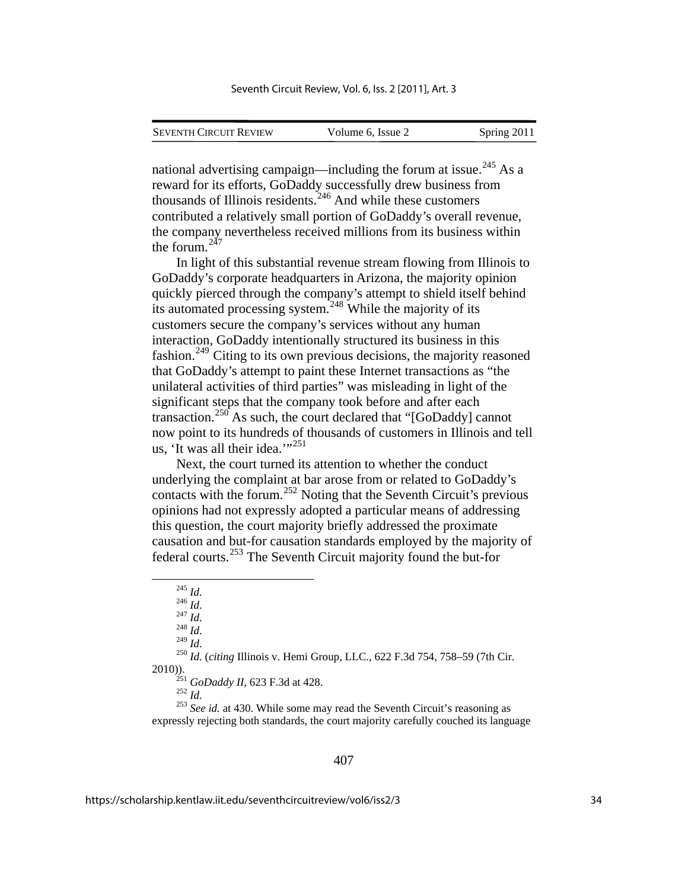| <b>SEVENTH CIRCUIT REVIEW</b> | Volume 6. Issue 2 | Spring 2011 |
|-------------------------------|-------------------|-------------|
|                               |                   |             |

national advertising campaign—including the forum at issue.<sup>[245](#page-34-0)</sup> As a reward for its efforts, GoDaddy successfully drew business from thousands of Illinois residents.<sup>[246](#page-34-1)</sup> And while these customers contributed a relatively small portion of GoDaddy's overall revenue, the company nevertheless received millions from its business within the forum.[247](#page-34-2)

In light of this substantial revenue stream flowing from Illinois to GoDaddy's corporate headquarters in Arizona, the majority opinion quickly pierced through the company's attempt to shield itself behind its automated processing system.<sup>[248](#page-34-3)</sup> While the majority of its customers secure the company's services without any human interaction, GoDaddy intentionally structured its business in this fashion.[249](#page-34-4) Citing to its own previous decisions, the majority reasoned that GoDaddy's attempt to paint these Internet transactions as "the unilateral activities of third parties" was misleading in light of the significant steps that the company took before and after each transaction.<sup>[250](#page-34-5)</sup> As such, the court declared that "[GoDaddy] cannot now point to its hundreds of thousands of customers in Illinois and tell us, 'It was all their idea." $251$ 

Next, the court turned its attention to whether the conduct underlying the complaint at bar arose from or related to GoDaddy's contacts with the forum.[252](#page-34-7) Noting that the Seventh Circuit's previous opinions had not expressly adopted a particular means of addressing this question, the court majority briefly addressed the proximate causation and but-for causation standards employed by the majority of federal courts.[253](#page-34-8) The Seventh Circuit majority found the but-for

<span id="page-34-6"></span><span id="page-34-5"></span><span id="page-34-4"></span><span id="page-34-3"></span><span id="page-34-2"></span><span id="page-34-1"></span><span id="page-34-0"></span><sup>249</sup> *Id.* <sup>250</sup> *Id.* (*citing* Illinois v. Hemi Group, LLC., 622 F.3d 754, 758–59 (7th Cir. 2010)).<br><sup>251</sup> *GoDaddy II*, 623 F.3d at 428.<br><sup>252</sup> *Id.* <sup>253</sup> *See id.* at 430. While some may read the Seventh Circuit's reasoning as

<span id="page-34-8"></span><span id="page-34-7"></span>expressly rejecting both standards, the court majority carefully couched its language

 <sup>245</sup> *Id.* 246 *Id.* 247 *Id.* 248 *Id.*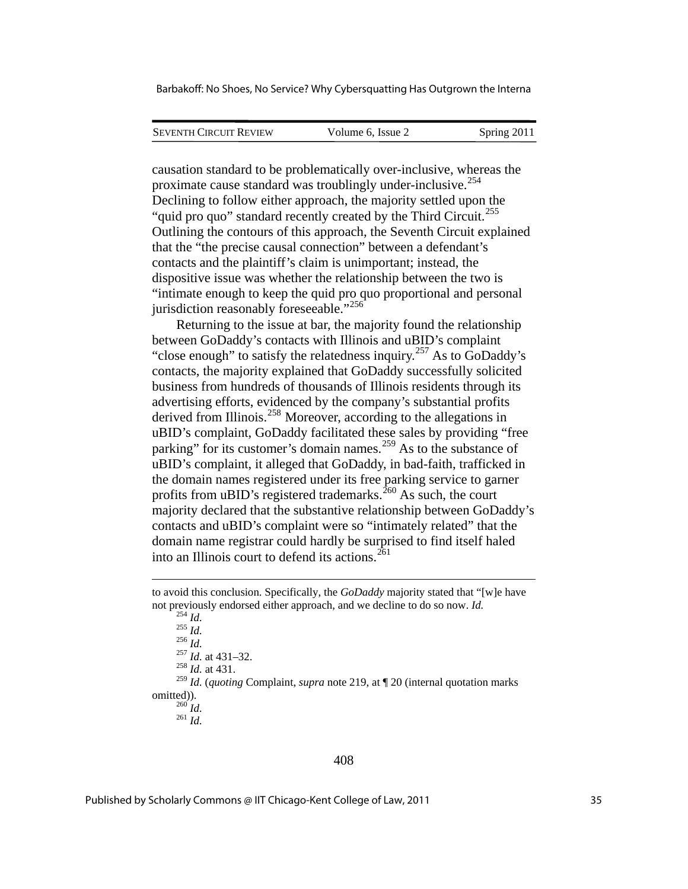| <b>SEVENTH CIRCUIT REVIEW</b> | Volume 6, Issue 2 | Spring 2011 |
|-------------------------------|-------------------|-------------|
|                               |                   |             |

causation standard to be problematically over-inclusive, whereas the proximate cause standard was troublingly under-inclusive.[254](#page-35-0) Declining to follow either approach, the majority settled upon the "quid pro quo" standard recently created by the Third Circuit.<sup>[255](#page-35-1)</sup> Outlining the contours of this approach, the Seventh Circuit explained that the "the precise causal connection" between a defendant's contacts and the plaintiff's claim is unimportant; instead, the dispositive issue was whether the relationship between the two is "intimate enough to keep the quid pro quo proportional and personal jurisdiction reasonably foreseeable."<sup>[256](#page-35-2)</sup>

Returning to the issue at bar, the majority found the relationship between GoDaddy's contacts with Illinois and uBID's complaint "close enough" to satisfy the relatedness inquiry.<sup>[257](#page-35-3)</sup> As to  $\overline{GoD}$  addy's contacts, the majority explained that GoDaddy successfully solicited business from hundreds of thousands of Illinois residents through its advertising efforts, evidenced by the company's substantial profits derived from Illinois.<sup>[258](#page-35-4)</sup> Moreover, according to the allegations in uBID's complaint, GoDaddy facilitated these sales by providing "free parking" for its customer's domain names.<sup>[259](#page-35-5)</sup> As to the substance of uBID's complaint, it alleged that GoDaddy, in bad-faith, trafficked in the domain names registered under its free parking service to garner profits from uBID's registered trademarks.<sup>[260](#page-35-6)</sup> As such, the court majority declared that the substantive relationship between GoDaddy's contacts and uBID's complaint were so "intimately related" that the domain name registrar could hardly be surprised to find itself haled into an Illinois court to defend its actions. $^{261}$  $^{261}$  $^{261}$ 

1

<span id="page-35-7"></span><span id="page-35-6"></span><span id="page-35-5"></span><span id="page-35-4"></span><span id="page-35-3"></span><span id="page-35-2"></span><sup>259</sup> *Id.* (*quoting* Complaint, *supra* note 219, at ¶ 20 (internal quotation marks omitted)). 260 *Id.* <sup>261</sup> *Id.*

<span id="page-35-1"></span><span id="page-35-0"></span>to avoid this conclusion. Specifically, the *GoDaddy* majority stated that "[w]e have not previously endorsed either approach, and we decline to do so now. *Id.* 254 *Id.* 255 *Id.* 256 *Id.* 257 *Id.* at 431–32. 258 *Id.* at 431.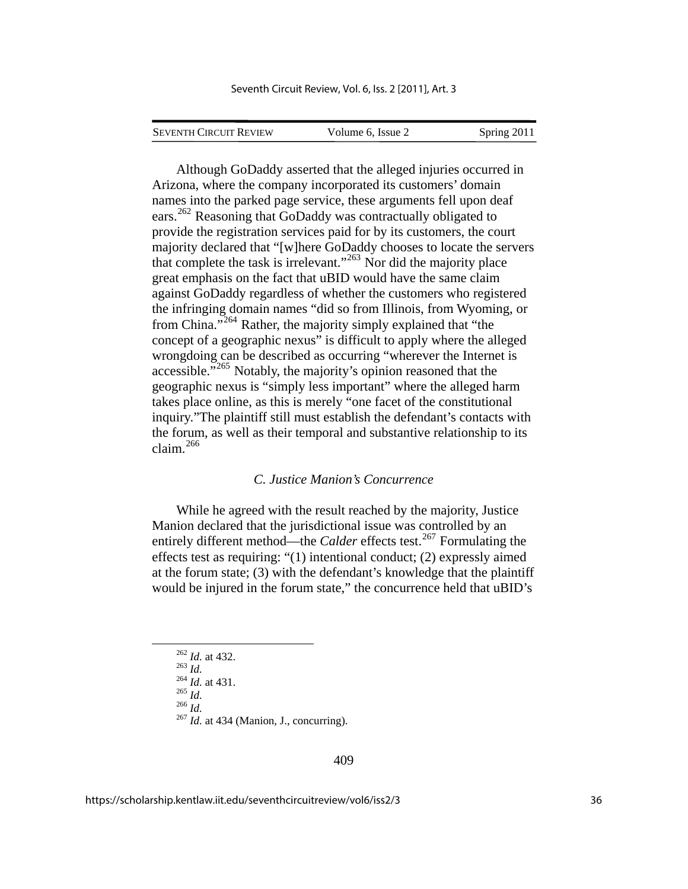SEVENTH CIRCUIT REVIEW Volume 6, Issue 2 Spring 2011

Although GoDaddy asserted that the alleged injuries occurred in Arizona, where the company incorporated its customers' domain names into the parked page service, these arguments fell upon deaf ears.<sup>[262](#page-36-0)</sup> Reasoning that GoDaddy was contractually obligated to provide the registration services paid for by its customers, the court majority declared that "[w]here GoDaddy chooses to locate the servers that complete the task is irrelevant."<sup>[263](#page-36-1)</sup> Nor did the majority place great emphasis on the fact that uBID would have the same claim against GoDaddy regardless of whether the customers who registered the infringing domain names "did so from Illinois, from Wyoming, or from China."<sup>[264](#page-36-2)</sup> Rather, the majority simply explained that "the concept of a geographic nexus" is difficult to apply where the alleged wrongdoing can be described as occurring "wherever the Internet is accessible."<sup>[265](#page-36-3)</sup> Notably, the majority's opinion reasoned that the geographic nexus is "simply less important" where the alleged harm takes place online, as this is merely "one facet of the constitutional inquiry."The plaintiff still must establish the defendant's contacts with the forum, as well as their temporal and substantive relationship to its claim.[266](#page-36-4)

#### *C. Justice Manion's Concurrence*

While he agreed with the result reached by the majority, Justice Manion declared that the jurisdictional issue was controlled by an entirely different method—the *Calder* effects test.<sup>[267](#page-36-5)</sup> Formulating the effects test as requiring: "(1) intentional conduct; (2) expressly aimed at the forum state; (3) with the defendant's knowledge that the plaintiff would be injured in the forum state," the concurrence held that uBID's

<span id="page-36-4"></span><span id="page-36-3"></span><span id="page-36-2"></span><span id="page-36-1"></span><span id="page-36-0"></span>

<span id="page-36-5"></span>

<sup>262</sup> *Id.* at 432.<br>
<sup>263</sup> *Id.* at 431.<br>
<sup>265</sup> *Id.* 266 *Id.*<br>
<sup>267</sup> *Id.* at 434 (Manion, J., concurring).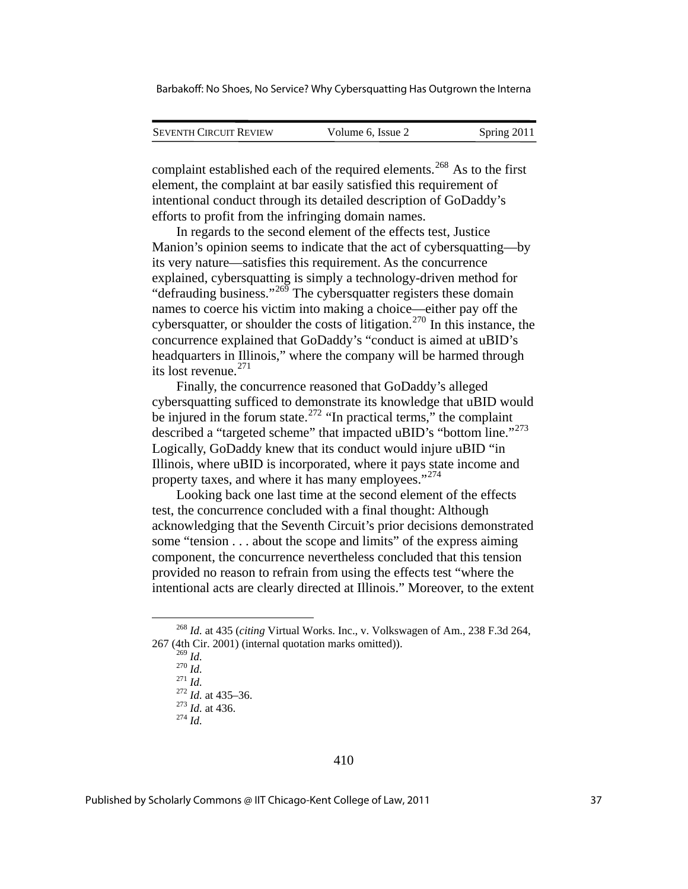| <b>SEVENTH CIRCUIT REVIEW</b> | Volume 6, Issue 2 | Spring 2011 |
|-------------------------------|-------------------|-------------|

complaint established each of the required elements.<sup>[268](#page-37-0)</sup> As to the first element, the complaint at bar easily satisfied this requirement of intentional conduct through its detailed description of GoDaddy's efforts to profit from the infringing domain names.

In regards to the second element of the effects test, Justice Manion's opinion seems to indicate that the act of cybersquatting—by its very nature—satisfies this requirement. As the concurrence explained, cybersquatting is simply a technology-driven method for "defrauding business."<sup>[269](#page-37-1)</sup> The cybersquatter registers these domain names to coerce his victim into making a choice—either pay off the cybersquatter, or shoulder the costs of litigation.<sup>[270](#page-37-2)</sup> In this instance, the concurrence explained that GoDaddy's "conduct is aimed at uBID's headquarters in Illinois," where the company will be harmed through its lost revenue.<sup>[271](#page-37-3)</sup>

Finally, the concurrence reasoned that GoDaddy's alleged cybersquatting sufficed to demonstrate its knowledge that uBID would be injured in the forum state.<sup>[272](#page-37-4)</sup> "In practical terms," the complaint described a "targeted scheme" that impacted uBID's "bottom line."<sup>[273](#page-37-5)</sup> Logically, GoDaddy knew that its conduct would injure uBID "in Illinois, where uBID is incorporated, where it pays state income and property taxes, and where it has many employees."<sup>[274](#page-37-6)</sup>

Looking back one last time at the second element of the effects test, the concurrence concluded with a final thought: Although acknowledging that the Seventh Circuit's prior decisions demonstrated some "tension . . . about the scope and limits" of the express aiming component, the concurrence nevertheless concluded that this tension provided no reason to refrain from using the effects test "where the intentional acts are clearly directed at Illinois." Moreover, to the extent

<sup>269</sup> *Id.* <sup>270</sup> *Id.* <sup>271</sup> *Id.* <sup>272</sup> *Id.* at 435–36. 273 *Id.* at 436. 274 *Id.*

<span id="page-37-6"></span>

<span id="page-37-5"></span><span id="page-37-4"></span><span id="page-37-3"></span><span id="page-37-2"></span><span id="page-37-1"></span><span id="page-37-0"></span> <sup>268</sup> *Id.* at 435 (*citing* Virtual Works. Inc., v. Volkswagen of Am., 238 F.3d 264, 267 (4th Cir. 2001) (internal quotation marks omitted)).<br> $^{269}$  *Id.*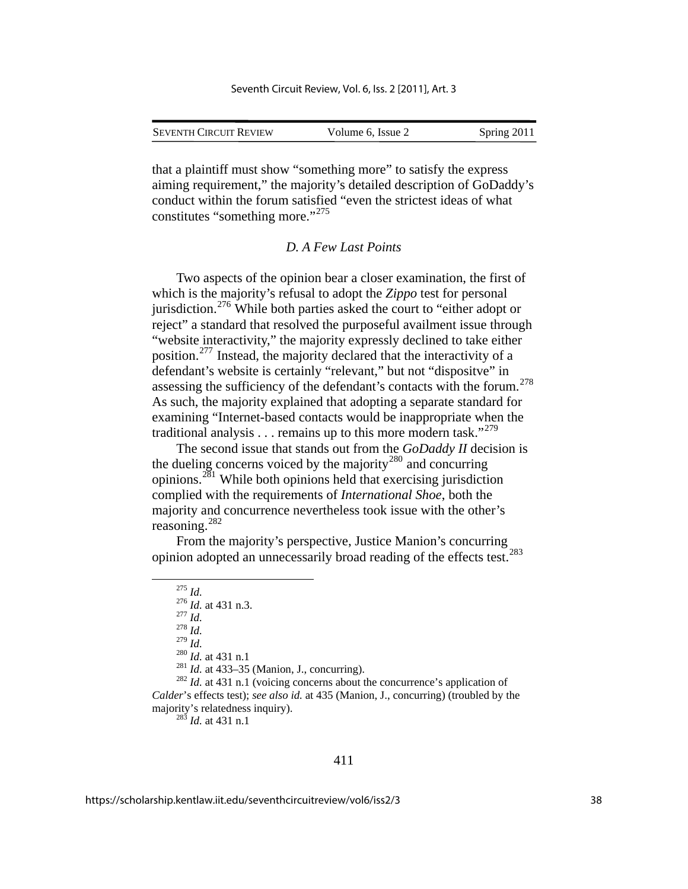| <b>SEVENTH CIRCUIT REVIEW</b> | Volume 6, Issue 2 | Spring 2011 |
|-------------------------------|-------------------|-------------|

that a plaintiff must show "something more" to satisfy the express aiming requirement," the majority's detailed description of GoDaddy's conduct within the forum satisfied "even the strictest ideas of what constitutes "something more."<sup>[275](#page-38-0)</sup>

#### *D. A Few Last Points*

Two aspects of the opinion bear a closer examination, the first of which is the majority's refusal to adopt the *Zippo* test for personal jurisdiction.[276](#page-38-1) While both parties asked the court to "either adopt or reject" a standard that resolved the purposeful availment issue through "website interactivity," the majority expressly declined to take either position.[277](#page-38-2) Instead, the majority declared that the interactivity of a defendant's website is certainly "relevant," but not "dispositve" in assessing the sufficiency of the defendant's contacts with the forum.<sup>[278](#page-38-3)</sup> As such, the majority explained that adopting a separate standard for examining "Internet-based contacts would be inappropriate when the traditional analysis . . . remains up to this more modern task."<sup>[279](#page-38-4)</sup>

The second issue that stands out from the *GoDaddy II* decision is the dueling concerns voiced by the majority<sup>[280](#page-38-5)</sup> and concurring opinions.[281](#page-38-6) While both opinions held that exercising jurisdiction complied with the requirements of *International Shoe*, both the majority and concurrence nevertheless took issue with the other's reasoning.[282](#page-38-7)

<span id="page-38-0"></span>From the majority's perspective, Justice Manion's concurring opinion adopted an unnecessarily broad reading of the effects test.[283](#page-38-8)

<sup>275</sup> *Id.*<sup>276</sup> *Id.* at 431 n.3. <sup>277</sup> *Id.* <sup>278</sup> *Id.* 

<span id="page-38-8"></span><span id="page-38-7"></span><span id="page-38-6"></span><span id="page-38-5"></span><span id="page-38-4"></span><span id="page-38-3"></span><span id="page-38-2"></span><span id="page-38-1"></span><sup>280</sup> *Id.* at 431 n.1<br><sup>281</sup> *Id.* at 433–35 (Manion, J., concurring).<br><sup>282</sup> *Id.* at 431 n.1 (voicing concerns about the concurrence's application of *Calder*'s effects test); *see also id.* at 435 (Manion, J., concurring) (troubled by the majority's relatedness inquiry). 283 *Id.* at 431 n.1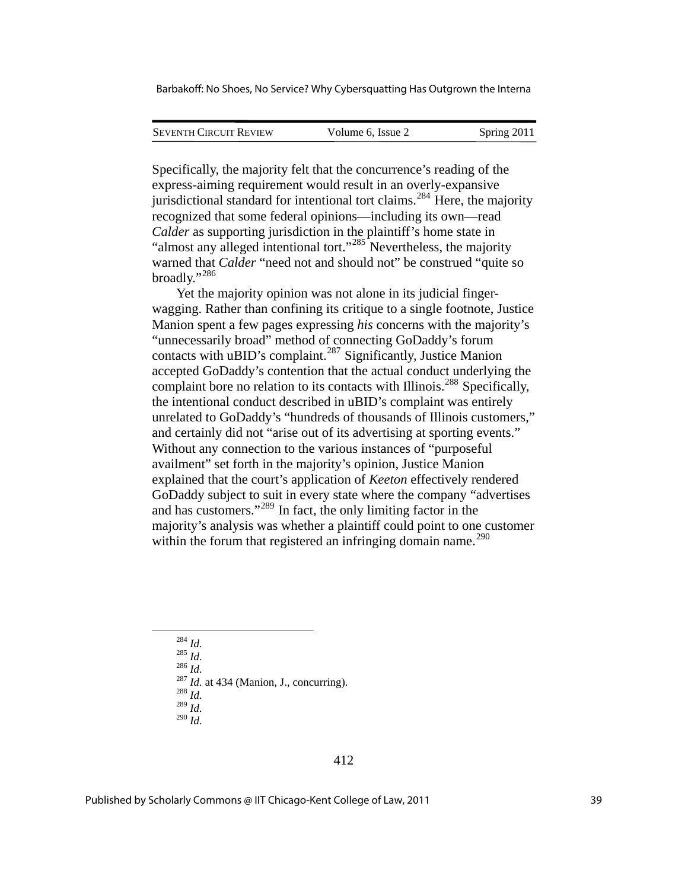| <b>SEVENTH CIRCUIT REVIEW</b> | Volume 6. Issue 2 | Spring 2011 |
|-------------------------------|-------------------|-------------|
|                               |                   |             |

Specifically, the majority felt that the concurrence's reading of the express-aiming requirement would result in an overly-expansive jurisdictional standard for intentional tort claims.<sup>[284](#page-39-0)</sup> Here, the majority recognized that some federal opinions—including its own—read *Calder* as supporting jurisdiction in the plaintiff's home state in "almost any alleged intentional tort."<sup>[285](#page-39-1)</sup> Nevertheless, the majority warned that *Calder* "need not and should not" be construed "quite so broadly."[286](#page-39-2)

Yet the majority opinion was not alone in its judicial fingerwagging. Rather than confining its critique to a single footnote, Justice Manion spent a few pages expressing *his* concerns with the majority's "unnecessarily broad" method of connecting GoDaddy's forum contacts with uBID's complaint.<sup>[287](#page-39-3)</sup> Significantly, Justice Manion accepted GoDaddy's contention that the actual conduct underlying the complaint bore no relation to its contacts with Illinois.<sup>[288](#page-39-4)</sup> Specifically, the intentional conduct described in uBID's complaint was entirely unrelated to GoDaddy's "hundreds of thousands of Illinois customers," and certainly did not "arise out of its advertising at sporting events." Without any connection to the various instances of "purposeful availment" set forth in the majority's opinion, Justice Manion explained that the court's application of *Keeton* effectively rendered GoDaddy subject to suit in every state where the company "advertises and has customers."[289](#page-39-5) In fact, the only limiting factor in the majority's analysis was whether a plaintiff could point to one customer within the forum that registered an infringing domain name. $290$ 

<span id="page-39-4"></span><span id="page-39-3"></span><span id="page-39-2"></span><span id="page-39-1"></span><span id="page-39-0"></span>

<sup>284</sup> *Id.* <sup>285</sup> *Id.* <sup>286</sup> *Id.* <sup>287</sup> *Id.* at 434 (Manion, J., concurring). 288 *Id.*<sup>289</sup> *Id.*

<span id="page-39-5"></span><sup>290</sup> *Id.*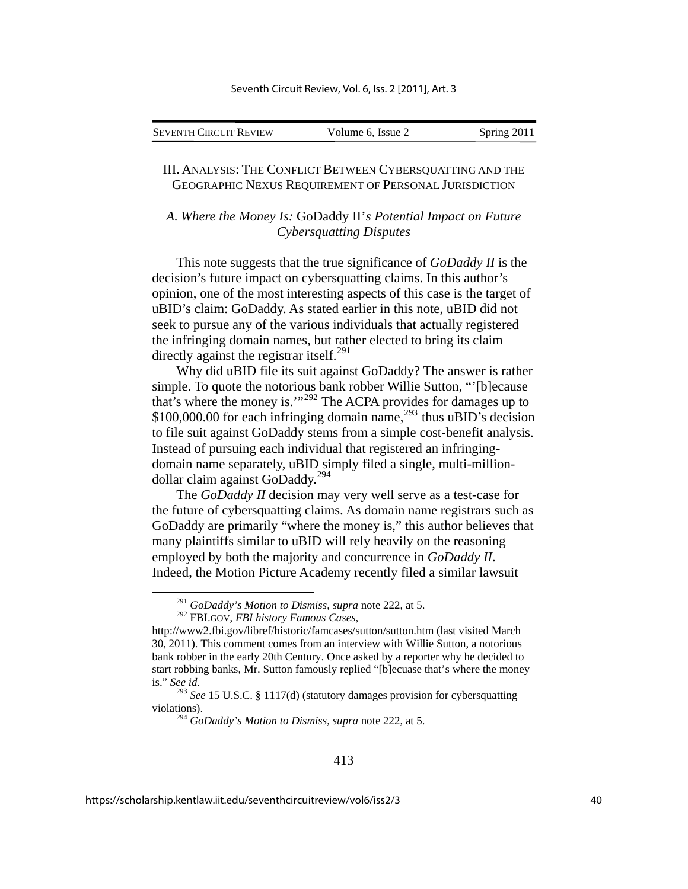| Seventh Circuit Review | Volume 6, Issue 2 | Spring 2011 |
|------------------------|-------------------|-------------|

## III. ANALYSIS: THE CONFLICT BETWEEN CYBERSQUATTING AND THE GEOGRAPHIC NEXUS REQUIREMENT OF PERSONAL JURISDICTION

## *A. Where the Money Is:* GoDaddy II'*s Potential Impact on Future Cybersquatting Disputes*

This note suggests that the true significance of *GoDaddy II* is the decision's future impact on cybersquatting claims. In this author's opinion, one of the most interesting aspects of this case is the target of uBID's claim: GoDaddy. As stated earlier in this note, uBID did not seek to pursue any of the various individuals that actually registered the infringing domain names, but rather elected to bring its claim directly against the registrar itself.<sup>[291](#page-40-0)</sup>

Why did uBID file its suit against GoDaddy? The answer is rather simple. To quote the notorious bank robber Willie Sutton, "'[b]ecause that's where the money is.'"[292](#page-40-1) The ACPA provides for damages up to  $$100,000.00$  for each infringing domain name,<sup>[293](#page-40-2)</sup> thus uBID's decision to file suit against GoDaddy stems from a simple cost-benefit analysis. Instead of pursuing each individual that registered an infringingdomain name separately, uBID simply filed a single, multi-milliondollar claim against GoDaddy.[294](#page-40-3)

The *GoDaddy II* decision may very well serve as a test-case for the future of cybersquatting claims. As domain name registrars such as GoDaddy are primarily "where the money is," this author believes that many plaintiffs similar to uBID will rely heavily on the reasoning employed by both the majority and concurrence in *GoDaddy II*. Indeed, the Motion Picture Academy recently filed a similar lawsuit

 <sup>291</sup> *GoDaddy's Motion to Dismiss*, *supra* note 222, at 5.

<sup>292</sup> FBI.GOV, *FBI history Famous Cases*,

<span id="page-40-1"></span><span id="page-40-0"></span>http://www2.fbi.gov/libref/historic/famcases/sutton/sutton.htm (last visited March 30, 2011). This comment comes from an interview with Willie Sutton, a notorious bank robber in the early 20th Century. Once asked by a reporter why he decided to start robbing banks, Mr. Sutton famously replied "[b]ecuase that's where the money is." *See id.*

<span id="page-40-3"></span><span id="page-40-2"></span><sup>293</sup> *See* 15 U.S.C. § 1117(d) (statutory damages provision for cybersquatting violations).

<sup>294</sup> *GoDaddy's Motion to Dismiss*, *supra* note 222, at 5.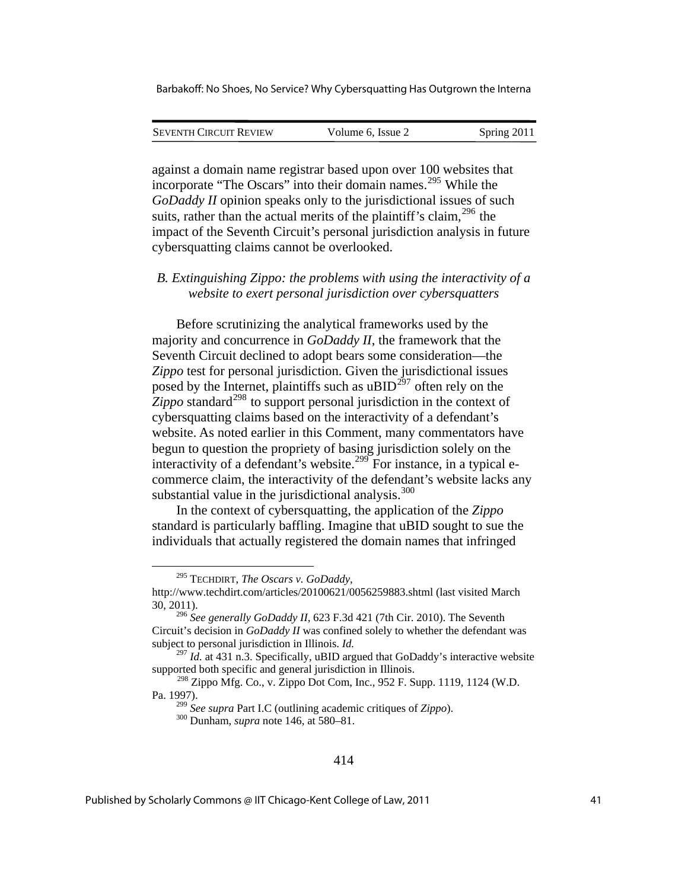| <b>SEVENTH CIRCUIT REVIEW</b> | Volume 6, Issue 2 | Spring 2011 |
|-------------------------------|-------------------|-------------|
|                               |                   |             |

against a domain name registrar based upon over 100 websites that incorporate "The Oscars" into their domain names.<sup>[295](#page-41-0)</sup> While the *GoDaddy II* opinion speaks only to the jurisdictional issues of such suits, rather than the actual merits of the plaintiff's claim,  $296$  the impact of the Seventh Circuit's personal jurisdiction analysis in future cybersquatting claims cannot be overlooked.

## *B. Extinguishing Zippo: the problems with using the interactivity of a website to exert personal jurisdiction over cybersquatters*

Before scrutinizing the analytical frameworks used by the majority and concurrence in *GoDaddy II*, the framework that the Seventh Circuit declined to adopt bears some consideration—the *Zippo* test for personal jurisdiction. Given the jurisdictional issues posed by the Internet, plaintiffs such as  $\text{UBID}^{297}$  $\text{UBID}^{297}$  $\text{UBID}^{297}$  often rely on the  $\overline{Z}$ *ippo* standard<sup>[298](#page-41-3)</sup> to support personal jurisdiction in the context of cybersquatting claims based on the interactivity of a defendant's website. As noted earlier in this Comment, many commentators have begun to question the propriety of basing jurisdiction solely on the interactivity of a defendant's website.<sup>[299](#page-41-4)</sup> For instance, in a typical ecommerce claim, the interactivity of the defendant's website lacks any substantial value in the jurisdictional analysis. $300$ 

In the context of cybersquatting, the application of the *Zippo* standard is particularly baffling. Imagine that uBID sought to sue the individuals that actually registered the domain names that infringed

<u>.</u>

<sup>295</sup> TECHDIRT, *The Oscars v. GoDaddy*,

<span id="page-41-0"></span>http://www.techdirt.com/articles/20100621/0056259883.shtml (last visited March 30, 2011).

<span id="page-41-1"></span><sup>296</sup> *See generally GoDaddy II,* 623 F.3d 421 (7th Cir. 2010). The Seventh Circuit's decision in *GoDaddy II* was confined solely to whether the defendant was subject to personal jurisdiction in Illinois. *Id.*

<span id="page-41-2"></span><sup>&</sup>lt;sup>297</sup> *Id.* at 431 n.3. Specifically, uBID argued that GoDaddy's interactive website supported both specific and general jurisdiction in Illinois.

<span id="page-41-5"></span><span id="page-41-4"></span><span id="page-41-3"></span><sup>298</sup> Zippo Mfg. Co., v. Zippo Dot Com, Inc., 952 F. Supp. 1119, 1124 (W.D. Pa. 1997).

<sup>299</sup> *See supra* Part I.C (outlining academic critiques of *Zippo*). 300 Dunham, *supra* note 146, at 580–81.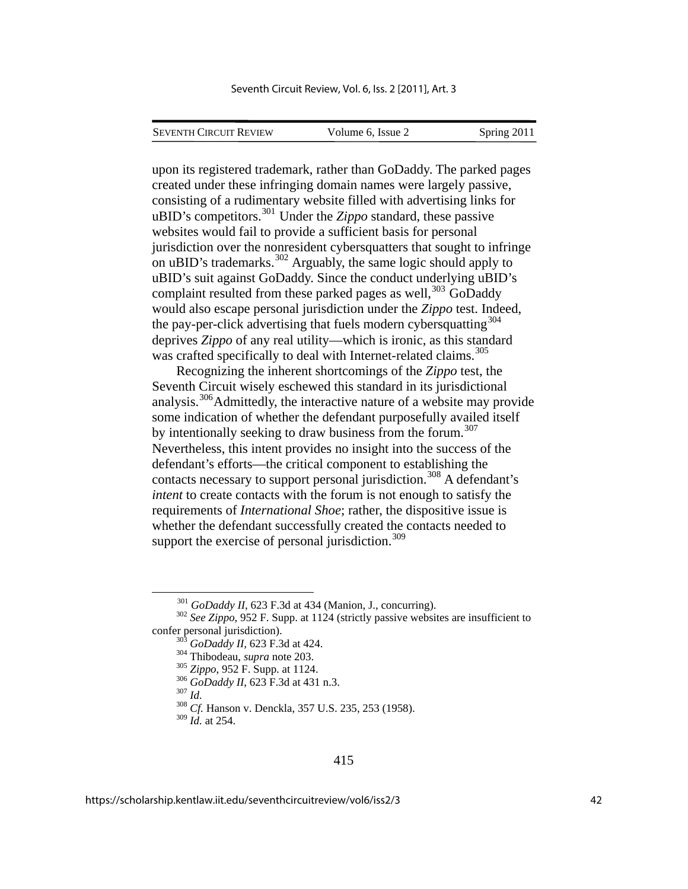| <b>SEVENTH CIRCUIT REVIEW</b> | Volume 6, Issue 2 | Spring 2011 |
|-------------------------------|-------------------|-------------|

upon its registered trademark, rather than GoDaddy. The parked pages created under these infringing domain names were largely passive, consisting of a rudimentary website filled with advertising links for uBID's competitors.<sup>[301](#page-42-0)</sup> Under the *Zippo* standard, these passive websites would fail to provide a sufficient basis for personal jurisdiction over the nonresident cybersquatters that sought to infringe on uBID's trademarks.<sup>[302](#page-42-1)</sup> Arguably, the same logic should apply to uBID's suit against GoDaddy. Since the conduct underlying uBID's complaint resulted from these parked pages as well, $303$  GoDaddy would also escape personal jurisdiction under the *Zippo* test. Indeed, the pay-per-click advertising that fuels modern cybersquatting<sup>[304](#page-42-3)</sup> deprives *Zippo* of any real utility—which is ironic, as this standard was crafted specifically to deal with Internet-related claims.<sup>[305](#page-42-4)</sup>

Recognizing the inherent shortcomings of the *Zippo* test, the Seventh Circuit wisely eschewed this standard in its jurisdictional analysis.[306](#page-42-5)Admittedly, the interactive nature of a website may provide some indication of whether the defendant purposefully availed itself by intentionally seeking to draw business from the forum.<sup>[307](#page-42-6)</sup> Nevertheless, this intent provides no insight into the success of the defendant's efforts—the critical component to establishing the contacts necessary to support personal jurisdiction.<sup>[308](#page-42-7)</sup> A defendant's *intent* to create contacts with the forum is not enough to satisfy the requirements of *International Shoe*; rather, the dispositive issue is whether the defendant successfully created the contacts needed to support the exercise of personal jurisdiction. $309$ 

<span id="page-42-8"></span><span id="page-42-7"></span> $309 \, \textit{Id}$ . at 254.

<span id="page-42-6"></span><span id="page-42-5"></span><span id="page-42-4"></span><span id="page-42-3"></span><span id="page-42-2"></span><span id="page-42-1"></span><span id="page-42-0"></span><sup>&</sup>lt;sup>301</sup> *GoDaddy II*, 623 F.3d at 434 (Manion, J., concurring).<br><sup>302</sup> *See Zippo*, 952 F. Supp. at 1124 (strictly passive websites are insufficient to confer personal jurisdiction).<br>  $^{303}$  *GoDaddy II*, 623 F.3d at 424.<br>  $^{304}$  Thibodeau, *supra* note 203.<br>  $^{305}$  *Zippo*, 952 F. Supp. at 1124.<br>  $^{306}$  *GoDaddy II*, 623 F.3d at 431 n.3.<br>  $^{307}$  *Id.*<br>  $^{308}$  *Cf*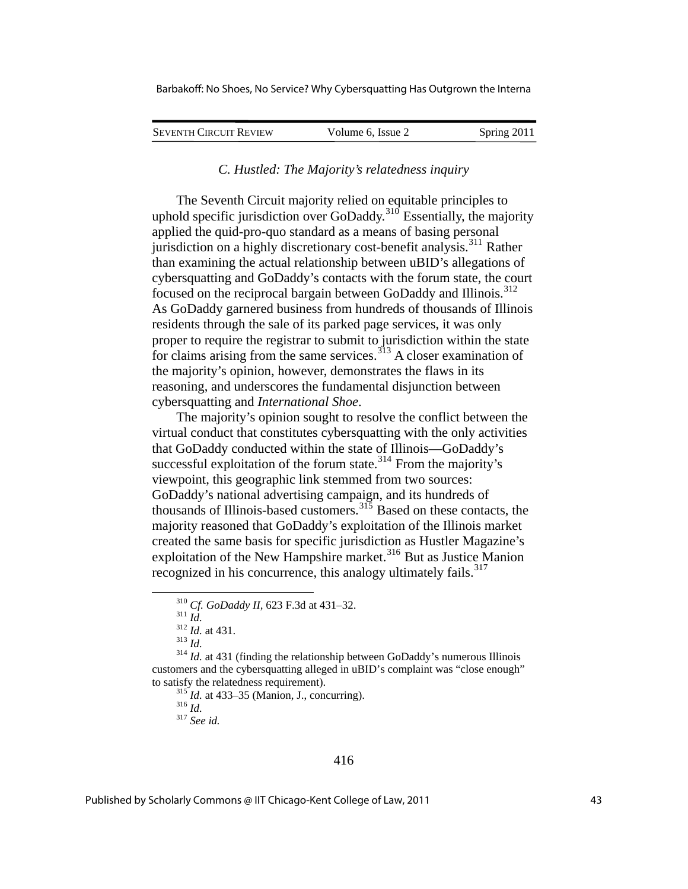| <b>SEVENTH CIRCUIT REVIEW</b> | Volume 6, Issue 2 | Spring 2011 |
|-------------------------------|-------------------|-------------|
|                               |                   |             |

#### *C. Hustled: The Majority's relatedness inquiry*

The Seventh Circuit majority relied on equitable principles to uphold specific jurisdiction over GoDaddy.<sup>[310](#page-43-0)</sup> Essentially, the majority applied the quid-pro-quo standard as a means of basing personal jurisdiction on a highly discretionary cost-benefit analysis.<sup>[311](#page-43-1)</sup> Rather than examining the actual relationship between uBID's allegations of cybersquatting and GoDaddy's contacts with the forum state, the court focused on the reciprocal bargain between GoDaddy and Illinois.<sup>[312](#page-43-2)</sup> As GoDaddy garnered business from hundreds of thousands of Illino is residents through the sale of its parked page services, it was only proper to require the registrar to submit to jurisdiction within the state for claims arising from the same services.<sup> $313$ </sup> A closer examination of the majority's opinion, however, demonstrates the flaws in its reasoning, and underscores the fundamental disjunction between cybersquatting and *International Shoe*.

The majority's opinion sought to resolve the conflict between the virtual conduct that constitutes cybersquatting with the only activities that GoDaddy conducted within the state of Illinois—GoDaddy's successful exploitation of the forum state. $314$  From the majority's viewpoint, this geographic link stemmed from two sources: GoDaddy's national advertising campaign, and its hundreds of thousands of Illinois-based customers.<sup>[315](#page-43-5)</sup> Based on these contacts, the majority reasoned that GoDaddy's exploitation of the Illinois market created the same basis for specific jurisdiction as Hustler Magazine's exploitation of the New Hampshire market.<sup>[316](#page-43-6)</sup> But as Justice Manion recognized in his concurrence, this analogy ultimately fails.<sup>[317](#page-43-7)</sup>

1

<span id="page-43-3"></span><span id="page-43-2"></span><span id="page-43-1"></span><span id="page-43-0"></span><sup>&</sup>lt;sup>310</sup> *Cf. GoDaddy II,* 623 F.3d at 431–32.<br><sup>311</sup> *Id.*  $id.$   $id.$  at 431.<br><sup>313</sup> *Id.*  $id.$  at 431 (finding the relationship between GoDaddy's numerous Illinois customers and the cybersquatting alleged in uBID's complaint was "close enough"

<span id="page-43-7"></span><span id="page-43-6"></span><span id="page-43-5"></span><span id="page-43-4"></span>to satisfy the relatedness requirement).<br><sup>315</sup> *Id.* at 433–35 (Manion, J., concurring).<br><sup>316</sup> *Id.* <sup>317</sup> *See id.*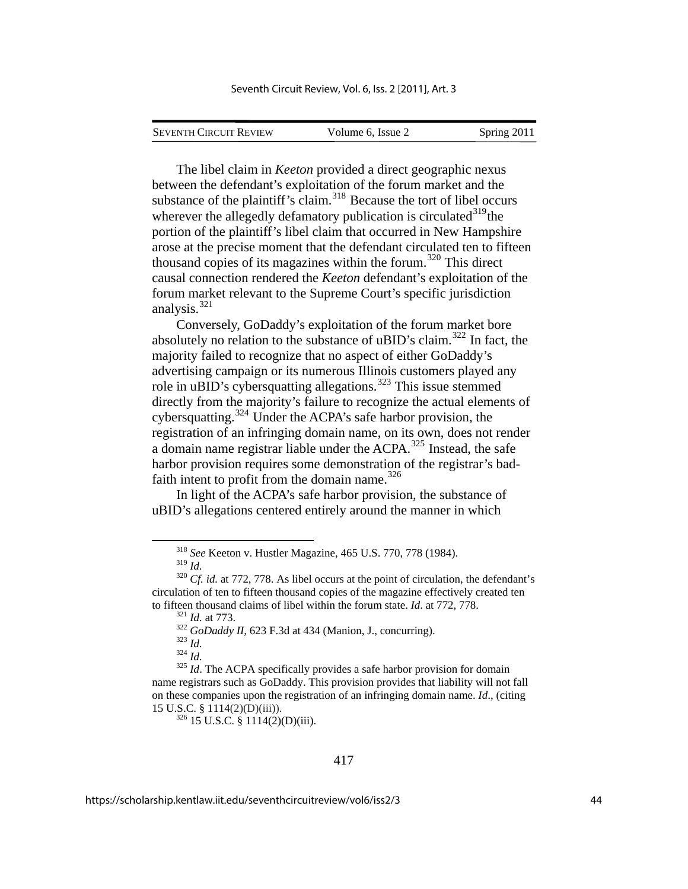| <b>SEVENTH CIRCUIT REVIEW</b> | Volume 6, Issue 2 | Spring 2011 |
|-------------------------------|-------------------|-------------|
|                               |                   |             |

The libel claim in *Keeton* provided a direct geographic nexus between the defendant's exploitation of the forum market and the substance of the plaintiff's claim.<sup>[318](#page-44-0)</sup> Because the tort of libel occurs wherever the allegedly defamatory publication is circulated  $319$ the portion of the plaintiff's libel claim that occurred in New Hampshire arose at the precise moment that the defendant circulated ten to fifteen thousand copies of its magazines within the forum.<sup>[320](#page-44-2)</sup> This direct causal connection rendered the *Keeton* defendant's exploitation of the forum market relevant to the Supreme Court's specific jurisdiction analysis.[321](#page-44-3)

Conversely, GoDaddy's exploitation of the forum market bore absolutely no relation to the substance of uBID's claim.[322](#page-44-4) In fact, the majority failed to recognize that no aspect of either GoDaddy's advertising campaign or its numerous Illinois customers played any role in uBID's cybersquatting allegations.<sup>[323](#page-44-5)</sup> This issue stemmed directly from the majority's failure to recognize the actual elements of cybersquatting.[324](#page-44-6) Under the ACPA's safe harbor provision, the registration of an infringing domain name, on its own, does not render a domain name registrar liable under the  $ACPA$ <sup>[325](#page-44-7)</sup>. Instead, the safe harbor provision requires some demonstration of the registrar's bad-faith intent to profit from the domain name.<sup>[326](#page-44-8)</sup>

In light of the ACPA's safe harbor provision, the substance of uBID's allegations centered entirely around the manner in which

 <sup>318</sup> *See* Keeton v. Hustler Magazine, 465 U.S. 770, 778 (1984).

<span id="page-44-3"></span><span id="page-44-2"></span><span id="page-44-1"></span><span id="page-44-0"></span><sup>319</sup> *Id.* <sup>320</sup> *Cf. id.* at 772, 778. As libel occurs at the point of circulation, the defendant's circulation of ten to fifteen thousand copies of the magazine effectively created ten to fifteen thousand claims of libel within the forum state. *Id.* at 772, 778.<br><sup>321</sup> *Id.* at 773.<br><sup>322</sup> *GoDaddy II*, 623 F.3d at 434 (Manion, J., concurring).<br><sup>323</sup> *Id.*<br><sup>324</sup> *Id.*<br><sup>324</sup> *Id.*<br><sup>325</sup> *Id.* The ACPA spe

<span id="page-44-8"></span><span id="page-44-7"></span><span id="page-44-6"></span><span id="page-44-5"></span><span id="page-44-4"></span>name registrars such as GoDaddy. This provision provides that liability will not fall on these companies upon the registration of an infringing domain name. *Id*., (citing 15 U.S.C. § 1114(2)(D)(iii)).<br><sup>326</sup> 15 U.S.C. § 1114(2)(D)(iii).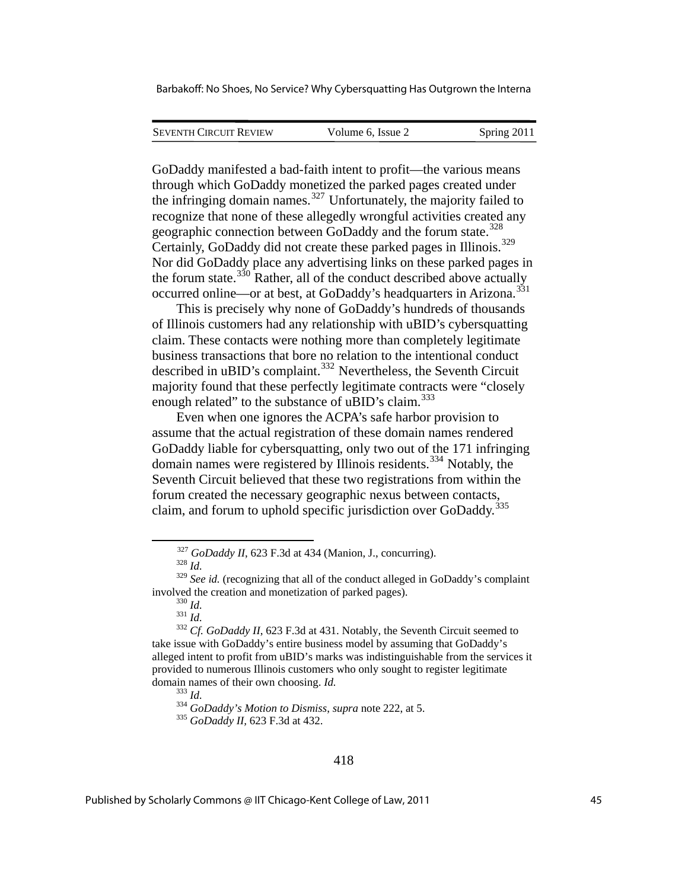| <b>SEVENTH CIRCUIT REVIEW</b> | Volume 6, Issue 2 | Spring 2011 |
|-------------------------------|-------------------|-------------|
|                               |                   |             |

GoDaddy manifested a bad-faith intent to profit—the various means through which GoDaddy monetized the parked pages created under the infringing domain names.<sup>[327](#page-45-0)</sup> Unfortunately, the majority failed to recognize that none of these allegedly wrongful activities created any geographic connection between GoDaddy and the forum state.<sup>[328](#page-45-1)</sup> Certainly, GoDaddy did not create these parked pages in Illinois.[329](#page-45-2) Nor did GoDaddy place any advertising links on these parked pages in the forum state. $330$  Rather, all of the conduct described above actually occurred online—or at best, at GoDaddy's headquarters in Arizona.<sup>[331](#page-45-4)</sup>

This is precisely why none of GoDaddy's hundreds of thousands of Illinois customers had any relationship with uBID's cybersquatting claim. These contacts were nothing more than completely legitimate business transactions that bore no relation to the intentional conduct described in uBID's complaint.<sup>[332](#page-45-5)</sup> Nevertheless, the Seventh Circuit majority found that these perfectly legitimate contracts were "closely enough related" to the substance of uBID's claim.<sup>[333](#page-45-6)</sup>

Even when one ignores the ACPA's safe harbor provision to assume that the actual registration of these domain names rendered GoDaddy liable for cybersquatting, only two out of the 171 infringing domain names were registered by Illinois residents.<sup>[334](#page-45-7)</sup> Notably, the Seventh Circuit believed that these two registrations from within the forum created the necessary geographic nexus between contacts, claim, and forum to uphold specific jurisdiction over GoDaddy.<sup>[335](#page-45-8)</sup>

<span id="page-45-2"></span><span id="page-45-1"></span><span id="page-45-0"></span><sup>&</sup>lt;sup>327</sup> *GoDaddy II*, 623 F.3d at 434 (Manion, J., concurring).<br><sup>328</sup> *Id.*<br><sup>329</sup> *See id.* (recognizing that all of the conduct alleged in GoDaddy's complaint involved the creation and monetization of parked pages). 330 *Id.* <sup>331</sup> *Id.* <sup>332</sup> *Cf. GoDaddy II*, 623 F.3d at 431. Notably, the Seventh Circuit seemed to

<span id="page-45-7"></span><span id="page-45-6"></span><span id="page-45-5"></span><span id="page-45-4"></span><span id="page-45-3"></span>take issue with GoDaddy's entire business model by assuming that GoDaddy's alleged intent to profit from uBID's marks was indistinguishable from the services it provided to numerous Illinois customers who only sought to register legitimate domain names of their own choosing. *Id.*<br><sup>333</sup> *Id.* <sup>334</sup> *GoDaddy's Motion to Dismiss*, *supra* note 222, at 5.<br><sup>335</sup> *GoDaddy II*, 623 F.3d at 432.

<span id="page-45-8"></span>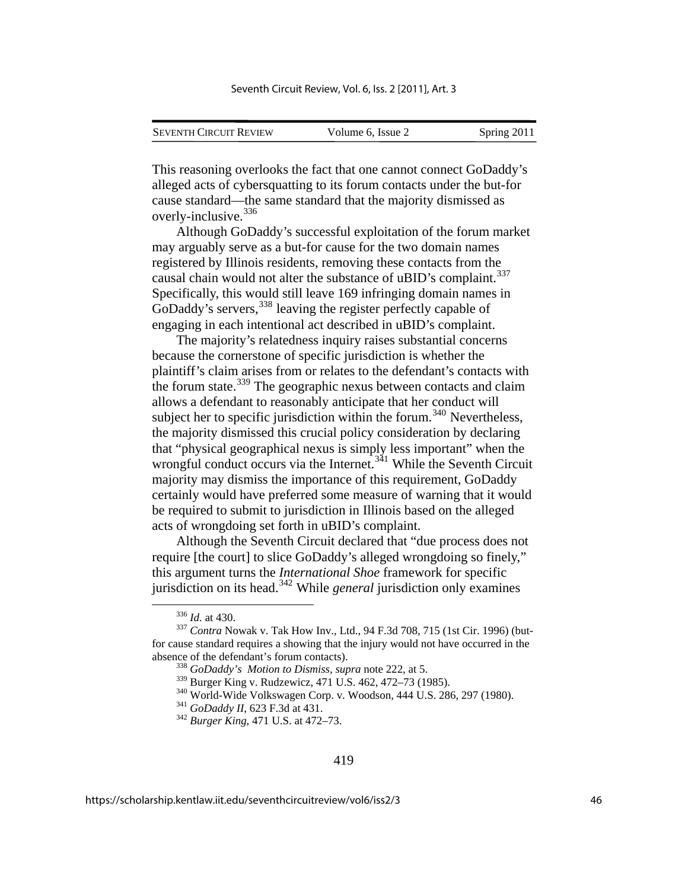| <b>SEVENTH CIRCUIT REVIEW</b> | Volume 6, Issue 2 | Spring 2011 |
|-------------------------------|-------------------|-------------|
|                               |                   |             |

This reasoning overlooks the fact that one cannot connect GoDadd y's alleged acts of cybersquatting to its forum contacts under the but-for cause standard—the same standard that the majority dismissed as overly-inclusive. [336](#page-46-0)

Although GoDaddy's successful exploitation of the forum market may arguably serve as a but-for cause for the two domain names registered by Illinois residents, removing these contacts from the causal chain would not alter the substance of uBID's complaint.<sup>[337](#page-46-1)</sup> Specifically, this would still leave 169 infringing domain names in GoDaddy's servers,<sup>[338](#page-46-2)</sup> leaving the register perfectly capable of engaging in each intentional act described in uBID's complaint.

The majority's relatedness inquiry raises substantial concerns because the cornerstone of specific jurisdiction is whether the plaintiff's claim arises from or relates to the defendant's contacts with the forum state.<sup>[339](#page-46-3)</sup> The geographic nexus between contacts and claim allows a defendant to reasonably anticipate that her conduct will subject her to specific jurisdiction within the forum.<sup>[340](#page-46-4)</sup> Nevertheless, the majority dismissed this crucial policy consideration by declaring that "physical geographical nexus is simply less important" when the wrongful conduct occurs via the Internet.<sup>[341](#page-46-5)</sup> While the Seventh Circuit majority may dismiss the importance of this requirement, GoDaddy certainly would have preferred some measure of warning that it would be required to submit to jurisdiction in Illinois based on the alleged acts of wrongdoing set forth in uBID's complaint.

Although the Seventh Circuit declared that "due process does not require [the court] to slice GoDaddy's alleged wrongdoing so finely," this argument turns the *International Shoe* framework for specific jurisdiction on its head.[342](#page-46-6) While *general* jurisdiction only examines

<u>.</u>

<span id="page-46-4"></span><span id="page-46-3"></span><span id="page-46-2"></span><span id="page-46-1"></span><span id="page-46-0"></span><sup>&</sup>lt;sup>336</sup> *Id.* at 430.<br><sup>337</sup> *Contra* Nowak v. Tak How Inv., Ltd., 94 F.3d 708, 715 (1st Cir. 1996) (butfor cause standard requires a showing that the injury would not have occurred in the absence of the defendant's forum contacts).<br><sup>338</sup> *GoDaddy's Motion to Dismiss*, *supra* note 222, at 5.<br><sup>339</sup> Burger King v. Rudzewicz, 471 U.S. 462, 472–73 (1985).

<span id="page-46-6"></span><span id="page-46-5"></span><sup>&</sup>lt;sup>340</sup> World-Wide Volkswagen Corp. v. Woodson, 444 U.S. 286, 297 (1980).<br><sup>341</sup> *GoDaddy II*, 623 F.3d at 431.<br><sup>342</sup> *Burger King*, 471 U.S. at 472–73.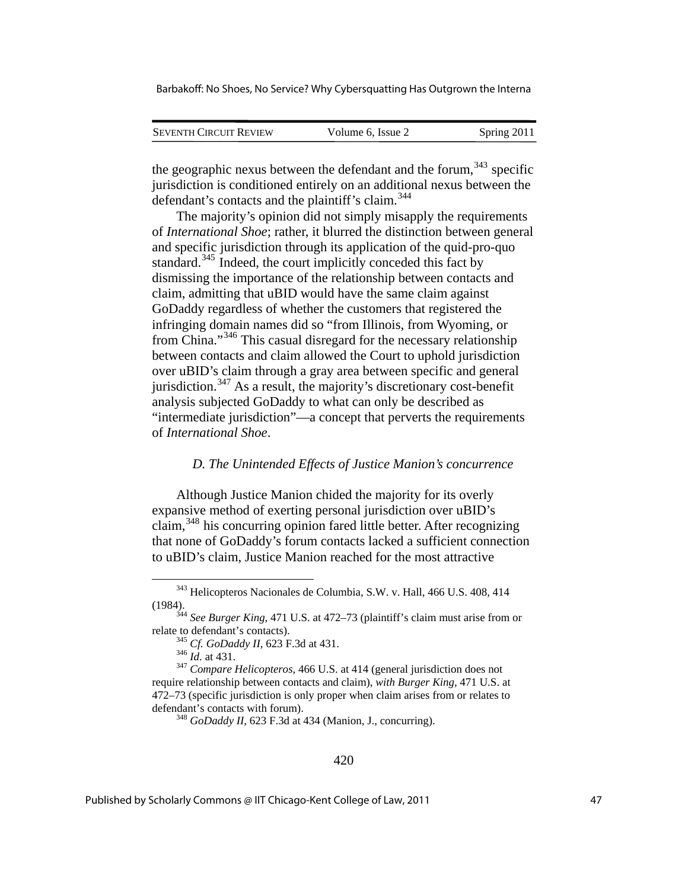| <b>SEVENTH CIRCUIT REVIEW</b> | Volume 6, Issue 2 | Spring 2011 |
|-------------------------------|-------------------|-------------|
|                               |                   |             |

the geographic nexus between the defendant and the forum,  $343$  specific jurisdiction is conditioned entirely on an additional nexus between the defendant's contacts and the plaintiff's claim.<sup>[344](#page-47-1)</sup>

The majority's opinion did not simply misapply the requirements of *International Shoe*; rather, it blurred the distinction between general and specific jurisdiction through its application of the quid-pro-quo standard.<sup>[345](#page-47-2)</sup> Indeed, the court implicitly conceded this fact by dismissing the importance of the relationship between contacts and claim, admitting that uBID would have the same claim against GoDaddy regardless of whether the customers that registered the infringing domain names did so "from Illinois, from Wyoming, or from China."[346](#page-47-3) This casual disregard for the necessary relationship between contacts and claim allowed the Court to uphold jurisdiction over uBID's claim through a gray area between specific and general jurisdiction.<sup> $347$ </sup> As a result, the majority's discretionary cost-benefit analysis subjected GoDaddy to what can only be described as "intermediate jurisdiction"—a concept that perverts the requirements of *International Shoe*.

#### *D. The Unintended Effects of Justice Manion's concurrence*

Although Justice Manion chided the majority for its overly expansive method of exerting personal jurisdiction over uBID's claim,[348](#page-47-5) his concurring opinion fared little better. After recognizing that none of GoDaddy's forum contacts lacked a sufficient connection to uBID's claim, Justice Manion reached for the most attractive

 <sup>343</sup> Helicopteros Nacionales de Columbia, S.W. v. Hall, 466 U.S. 408, 414

<span id="page-47-1"></span><span id="page-47-0"></span><sup>(1984). 344</sup> *See Burger King*, 471 U.S. at 472–73 (plaintiff's claim must arise from or

<span id="page-47-5"></span><span id="page-47-4"></span><span id="page-47-3"></span><span id="page-47-2"></span>relate to defendant's contacts). 345 *Cf. GoDaddy II*, 623 F.3d at 431. 346 *Id.* at 431. 347 *Compare Helicopteros*, 466 U.S. at 414 (general jurisdiction does not require relationship between contacts and claim), *with Burger King*, 471 U.S. at 472–73 (specific jurisdiction is only proper when claim arises from or relates to defendant's contacts with forum). 348 *GoDaddy II*, 623 F.3d at 434 (Manion, J., concurring).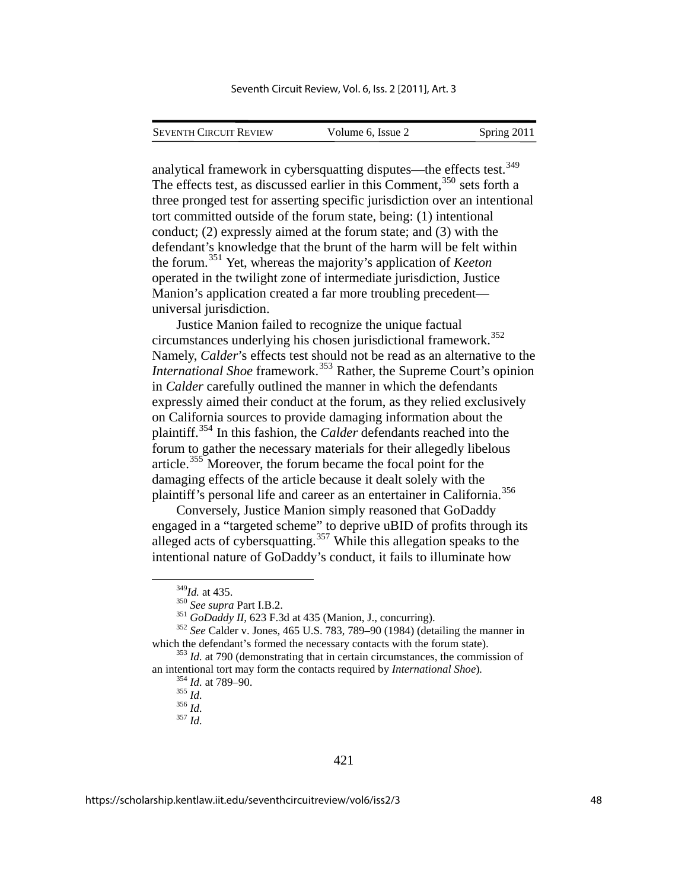analytical framework in cybersquatting disputes—the effects test.<sup>[349](#page-48-0)</sup> The effects test, as discussed earlier in this Comment,<sup>[350](#page-48-1)</sup> sets forth a three pronged test for asserting specific jurisdiction over an intentional tort committed outside of the forum state, being: (1) intentional conduct; (2) expressly aimed at the forum state; and (3) with the defendant's knowledge that the brunt of the harm will be felt within the forum.[351](#page-48-2) Yet, whereas the majority's application of *Keeton* operated in the twilight zone of intermediate jurisdiction, Justice Manion's application created a far more troubling precedent universal jurisdiction.

Justice Manion failed to recognize the unique factual circumstances underlying his chosen jurisdictional framework.[352](#page-48-3) Namely, *Calder*'s effects test should not be read as an alternative to the *International Shoe* framework.<sup>[353](#page-48-4)</sup> Rather, the Supreme Court's opinion in *Calder* carefully outlined the manner in which the defendants expressly aimed their conduct at the forum, as they relied exclusively on California sources to provide damaging information about the plaintiff.[354](#page-48-5) In this fashion, the *Calder* defendants reached into the forum to gather the necessary materials for their allegedly libelous article.<sup>[355](#page-48-6)</sup> Moreover, the forum became the focal point for the damaging effects of the article because it dealt solely with the plaintiff's personal life and career as an entertainer in California.[356](#page-48-7)

Conversely, Justice Manion simply reasoned that GoDaddy engaged in a "targeted scheme" to deprive uBID of profits through its alleged acts of cybersquatting.<sup>[357](#page-48-8)</sup> While this allegation speaks to the intentional nature of GoDaddy's conduct, it fails to illuminate how

<span id="page-48-2"></span><span id="page-48-1"></span><span id="page-48-0"></span><sup>&</sup>lt;sup>349</sup>*Id.* at 435.<br><sup>350</sup> *See supra* Part I.B.2.<br><sup>351</sup> *GoDaddy II*, 623 F.3d at 435 (Manion, J., concurring).<br><sup>352</sup> *See* Calder v. Jones, 465 U.S. 783, 789–90 (1984) (detailing the manner in which the defendant's formed the necessary contacts with the forum state).<br><sup>353</sup> *Id.* at 790 (demonstrating that in certain circumstances, the commission of

<span id="page-48-8"></span><span id="page-48-7"></span><span id="page-48-6"></span><span id="page-48-5"></span><span id="page-48-4"></span><span id="page-48-3"></span>an intentional tort may form the contacts required by *International Shoe*).<br><sup>354</sup> *Id.* at 789–90.<br><sup>355</sup> *Id.* <sup>356</sup> *Id.* <sup>357</sup> *Id.*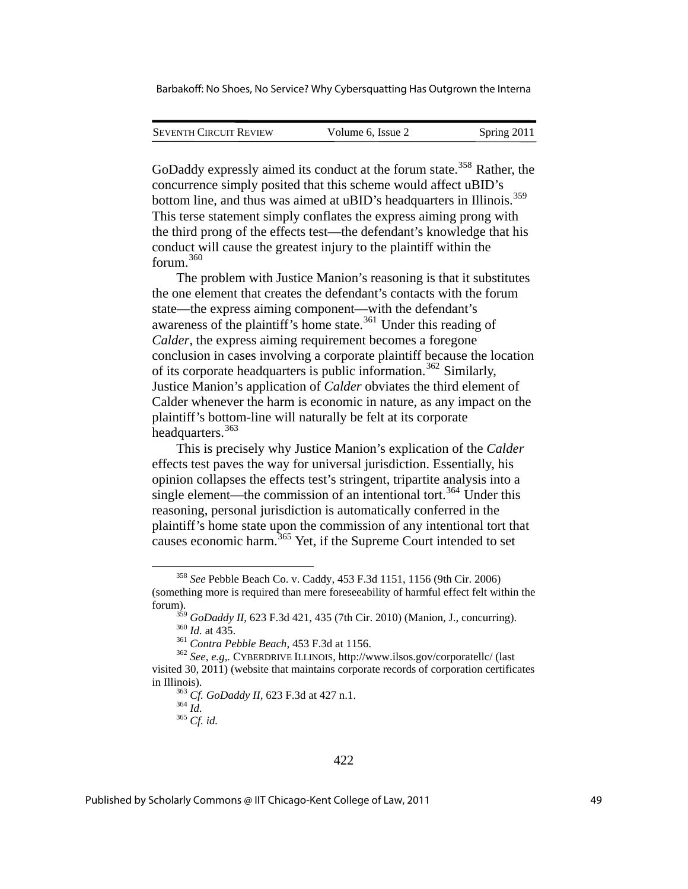| <b>SEVENTH CIRCUIT REVIEW</b> | Volume 6, Issue 2 | Spring 2011 |
|-------------------------------|-------------------|-------------|
|                               |                   |             |

GoDaddy expressly aimed its conduct at the forum state.<sup>[358](#page-49-0)</sup> Rather, the concurrence simply posited that this scheme would affect uBID's bottom line, and thus was aimed at uBID's headquarters in Illinois.<sup>[359](#page-49-1)</sup> This terse statement simply conflates the express aiming prong with the third prong of the effects test—the defendant's knowledge that his conduct will cause the greatest injury to the plaintiff within the forum.[360](#page-49-2)

The problem with Justice Manion's reasoning is that it substitutes the one element that creates the defendant's contacts with the forum state—the express aiming component—with the defendant's awareness of the plaintiff's home state.<sup>[361](#page-49-3)</sup> Under this reading of *Calder*, the express aiming requirement becomes a foregone conclusion in cases involving a corporate plaintiff because the location of its corporate headquarters is public information.<sup>[362](#page-49-4)</sup> Similarly, Justice Manion's application of *Calder* obviates the third element of Calder whenever the harm is economic in nature, as any impact on the plaintiff's bottom-line will naturally be felt at its corporate headquarters.<sup>[363](#page-49-5)</sup>

This is precisely why Justice Manion's explication of the *Calder* effects test paves the way for universal jurisdiction. Essentially, his opinion collapses the effects test's stringent, tripartite analysis into a single element—the commission of an intentional tort.<sup>[364](#page-49-6)</sup> Under this reasoning, personal jurisdiction is automatically conferred in the plaintiff's home state upon the commission of any intentional tort that causes economic harm.<sup>[365](#page-49-7)</sup> Yet, if the Supreme Court intended to set

<u>.</u>

<span id="page-49-0"></span><sup>358</sup> *See* Pebble Beach Co. v. Caddy, 453 F.3d 1151, 1156 (9th Cir. 2006) (something more is required than mere foreseeability of harmful effect felt within the forum).

<sup>&</sup>lt;sup>359</sup> GoDaddy II, 623 F.3d 421, 435 (7th Cir. 2010) (Manion, J., concurring).<br><sup>360</sup> Id. at 435.<br><sup>361</sup> Contra Pebble Beach, 453 F.3d at 1156.<br><sup>362</sup> See, e.g., CYBERDRIVE ILLINOIS, http://www.ilsos.gov/corporatellc/ (last

<span id="page-49-7"></span><span id="page-49-6"></span><span id="page-49-5"></span><span id="page-49-4"></span><span id="page-49-3"></span><span id="page-49-2"></span><span id="page-49-1"></span>visited 30, 2011) (website that maintains corporate records of corporation certificates in Illinois).<br><sup>363</sup> *Cf. GoDaddy II*, 623 F.3d at 427 n.1.<br><sup>364</sup> *Id.*<br><sup>365</sup> *Cf. id.*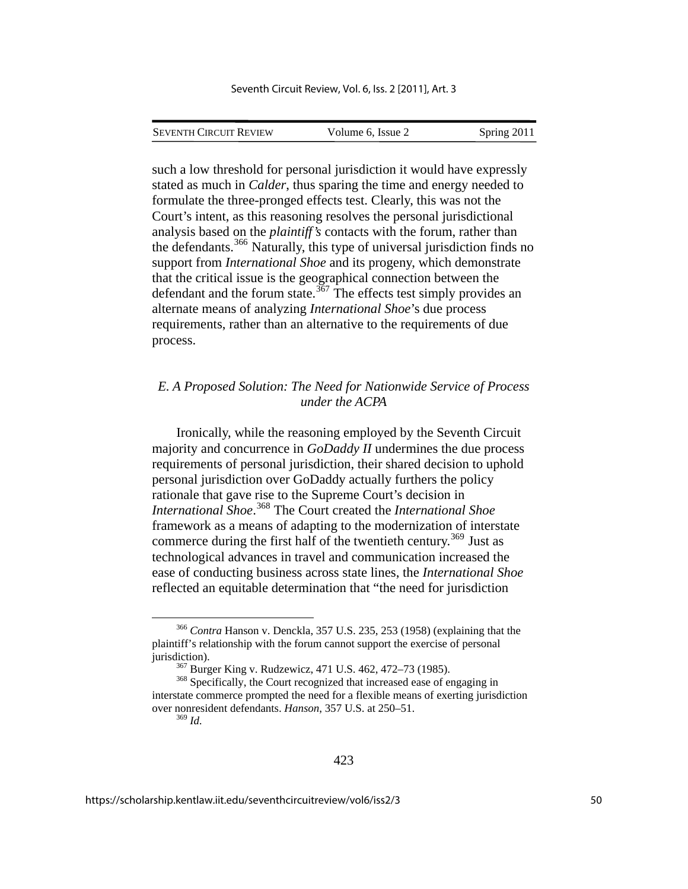SEVENTH CIRCUIT REVIEW Volume 6, Issue 2 Spring 2011

such a low threshold for personal jurisdiction it would have expressly stated as much in *Calder*, thus sparing the time and energy needed to formulate the three-pronged effects test. Clearly, this was not the Court's intent, as this reasoning resolves the personal jurisdictional analysis based on the *plaintiff's* contacts with the forum, rather than the defendants.[366](#page-50-0) Naturally, this type of universal jurisdiction finds no support from *International Shoe* and its progeny, which demonstrate that the critical issue is the geographical connection between the defendant and the forum state.<sup>[367](#page-50-1)</sup> The effects test simply provides an alternate means of analyzing *International Shoe*'s due process requirements, rather than an alternative to the requirements of due process.

## *E. A Proposed Solution: The Need for Nationwide Service of Process under the ACPA*

Ironically, while the reasoning employed by the Seventh Circuit majority and concurrence in *GoDaddy II* undermines the due process requirements of personal jurisdiction, their shared decision to uphold personal jurisdiction over GoDaddy actually furthers the policy rationale that gave rise to the Supreme Court's decision in *International Shoe*. [368](#page-50-2) The Court created the *International Shoe*  framework as a means of adapting to the modernization of interstate commerce during the first half of the twentieth century.<sup>[369](#page-50-3)</sup> Just as technological advances in travel and communication increased the ease of conducting business across state lines, the *International Shoe*  reflected an equitable determination that "the need for jurisdiction

<span id="page-50-0"></span> <sup>366</sup> *Contra* Hanson v. Denckla, 357 U.S. 235, 253 (1958) (explaining that the plaintiff's relationship with the forum cannot support the exercise of personal jurisdiction).<br><sup>367</sup> Burger King v. Rudzewicz, 471 U.S. 462, 472–73 (1985).<br><sup>368</sup> Specifically, the Court recognized that increased ease of engaging in

<span id="page-50-3"></span><span id="page-50-2"></span><span id="page-50-1"></span>interstate commerce prompted the need for a flexible means of exerting jurisdiction over nonresident defendants. *Hanson*, 357 U.S. at 250–51. <sup>369</sup> *Id.*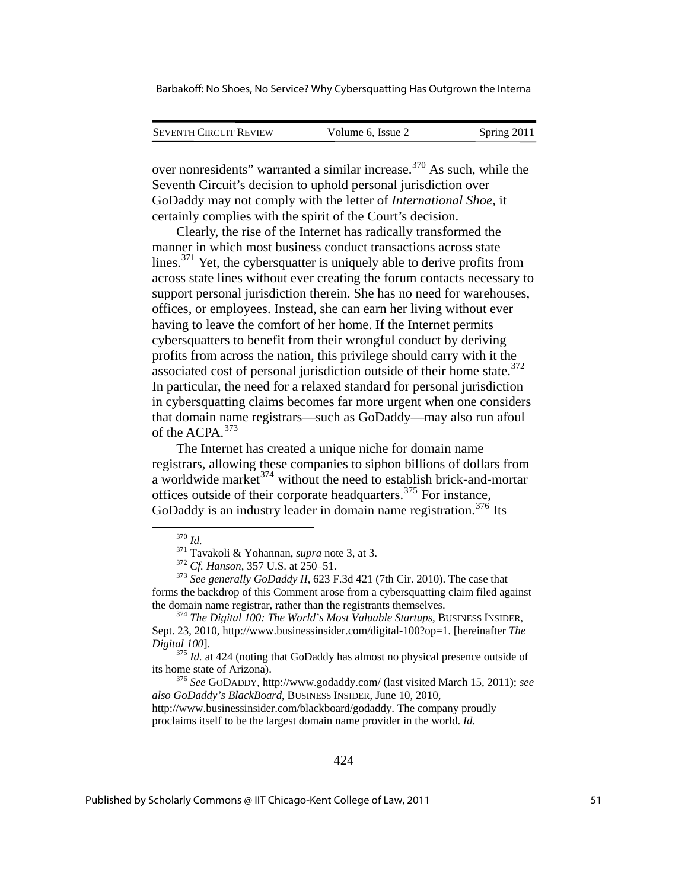| <b>SEVENTH CIRCUIT REVIEW</b> | Volume 6, Issue 2 | Spring 2011 |
|-------------------------------|-------------------|-------------|
|                               |                   |             |

over nonresidents" warranted a similar increase.[370](#page-51-0) As such, while the Seventh Circuit's decision to uphold personal jurisdiction over GoDaddy may not comply with the letter of *International Shoe*, it certainly complies with the spirit of the Court's decision.

Clearly, the rise of the Internet has radically transformed the manner in which most business conduct transactions across state lines.<sup>[371](#page-51-1)</sup> Yet, the cybersquatter is uniquely able to derive profits from across state lines without ever creating the forum contacts necessary to support personal jurisdiction therein. She has no need for warehouses, offices, or employees. Instead, she can earn her living without ever having to leave the comfort of her home. If the Internet permits cybersquatters to benefit from their wrongful conduct by deriving profits from across the nation, this privilege should carry with it the associated cost of personal jurisdiction outside of their home state.<sup>[372](#page-51-2)</sup> In particular, the need for a relaxed standard for personal jurisdiction in cybersquatting claims becomes far more urgent when one considers that domain name registrars—such as GoDaddy—may also run afoul of the ACPA.<sup>[373](#page-51-3)</sup>

The Internet has created a unique niche for domain name registrars, allowing these companies to siphon billions of dollars from a worldwide market<sup>[374](#page-51-4)</sup> without the need to establish brick-and-mortar offices outside of their corporate headquarters.[375](#page-51-5) For instance, GoDaddy is an industry leader in domain name registration.<sup>[376](#page-51-6)</sup> Its

<span id="page-51-2"></span><span id="page-51-1"></span><span id="page-51-0"></span><sup>370</sup> *Id.* <sup>371</sup> Tavakoli & Yohannan, *supra* note 3, at 3.<br><sup>372</sup> *Cf. Hanson*, 357 U.S. at 250–51.<br><sup>373</sup> *See generally GoDaddy II*, 623 F.3d 421 (7th Cir. 2010). The case that forms the backdrop of this Comment arose from a cybersquatting claim filed against the domain name registrar, rather than the registrants themselves. 374 *The Digital 100: The World's Most Valuable Startups*, BUSINESS INSIDER,

<span id="page-51-4"></span><span id="page-51-3"></span>Sept. 23, 2010, http://www.businessinsider.com/digital-100?op=1. [hereinafter *The Digital 100*]. 375 *Id.* at 424 (noting that GoDaddy has almost no physical presence outside of

<span id="page-51-5"></span>its home state of Arizona). <sup>376</sup> *See* GODADDY, http://www.godaddy.com/ (last visited March 15, 2011); *see* 

<span id="page-51-6"></span>*also GoDaddy's BlackBoard*, BUSINESS INSIDER, June 10, 2010,

http://www.businessinsider.com/blackboard/godaddy. The company proudly proclaims itself to be the largest domain name provider in the world. *Id.*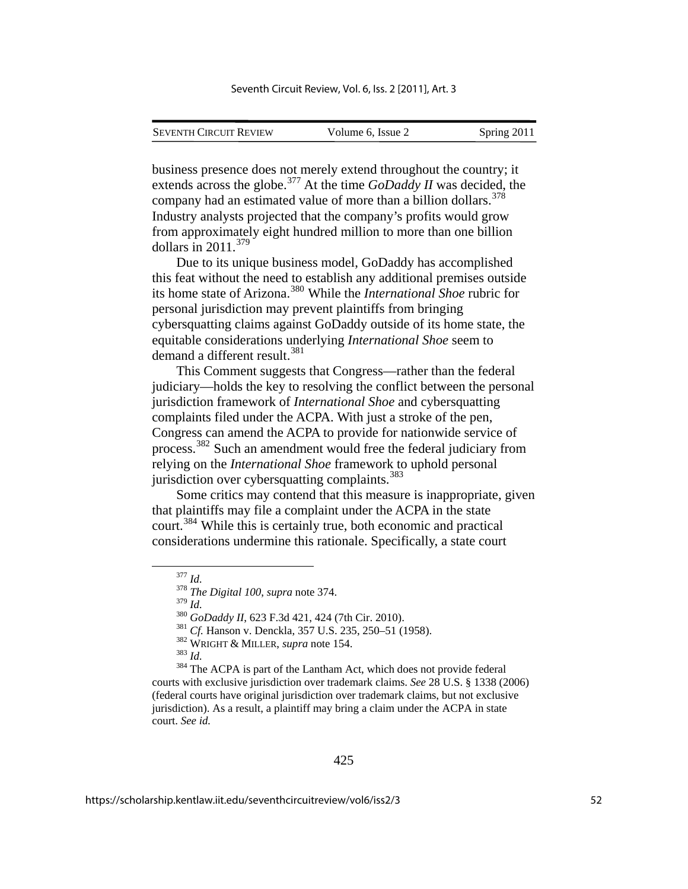| <b>SEVENTH CIRCUIT REVIEW</b> | Volume 6, Issue 2 | Spring 2011 |
|-------------------------------|-------------------|-------------|
|                               |                   |             |

business presence does not merely extend throughout the country; it extends across the globe.<sup>[377](#page-52-0)</sup> At the time *GoDaddy II* was decided, the company had an estimated value of more than a billion dollars.<sup>[378](#page-52-1)</sup> Industry analysts projected that the company's profits would grow from approximately eight hundred million to more than one billion dollars in 2011.[379](#page-52-2)

Due to its unique business model, GoDaddy has accomplished this feat without the need to establish any additional premises outside its home state of Arizona.[380](#page-52-3) While the *International Shoe* rubric for personal jurisdiction may prevent plaintiffs from bringing cybersquatting claims against GoDaddy outside of its home state, the equitable considerations underlying *International Shoe* seem to demand a different result.<sup>[381](#page-52-4)</sup>

This Comment suggests that Congress—rather than the federal judiciary—holds the key to resolving the conflict between the personal jurisdiction framework of *International Shoe* and cybersquatting complaints filed under the ACPA. With just a stroke of the pen, Congress can amend the ACPA to provide for nationwide service of process.[382](#page-52-5) Such an amendment would free the federal judiciary from relying on the *International Shoe* framework to uphold personal jurisdiction over cybersquatting complaints. $383$ 

Some critics may contend that this measure is inappropriate, given that plaintiffs may file a complaint under the ACPA in the state court.[384](#page-52-7) While this is certainly true, both economic and practical considerations undermine this rationale. Specifically, a state court

<span id="page-52-7"></span><span id="page-52-6"></span><span id="page-52-5"></span><span id="page-52-4"></span><span id="page-52-3"></span><span id="page-52-2"></span><span id="page-52-1"></span><span id="page-52-0"></span><sup>380</sup> GoDaddy II, 623 F.3d 421, 424 (7th Cir. 2010).<br><sup>381</sup> Cf. Hanson v. Denckla, 357 U.S. 235, 250–51 (1958).<br><sup>382</sup> WRIGHT & MILLER, *supra* note 154.<br><sup>383</sup> Id.<br><sup>384</sup> The ACPA is part of the Lantham Act, which does not p courts with exclusive jurisdiction over trademark claims. *See* 28 U.S. § 1338 (2006) (federal courts have original jurisdiction over trademark claims, but not exclusive jurisdiction). As a result, a plaintiff may bring a claim under the ACPA in state court. *See id.*

<sup>377</sup> *Id.* <sup>378</sup> *The Digital 100*, *supra* note 374.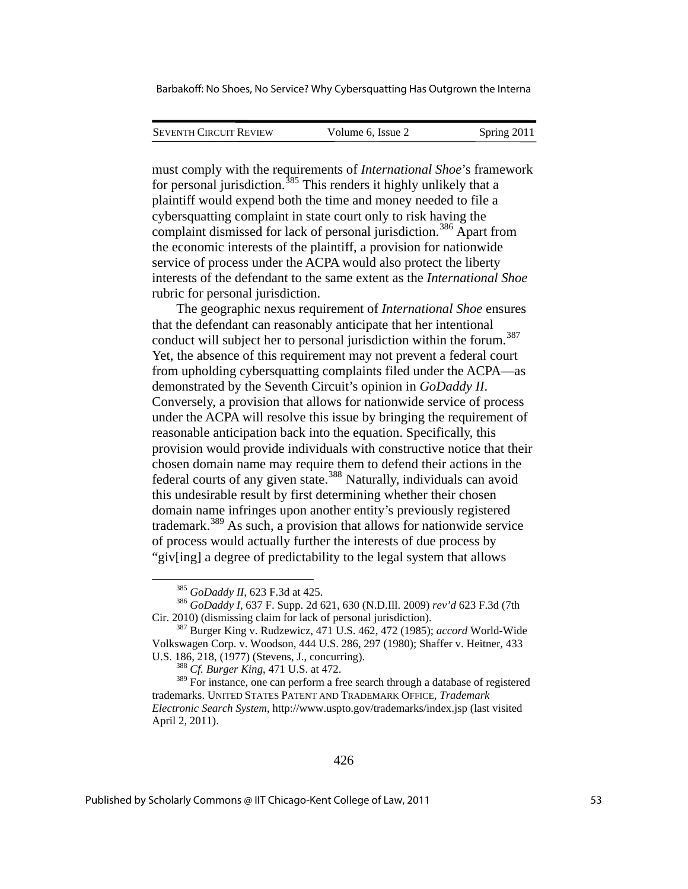| <b>SEVENTH CIRCUIT REVIEW</b> | Volume 6. Issue 2 | Spring 2011 |
|-------------------------------|-------------------|-------------|
|                               |                   |             |

must comply with the requirements of *International Shoe*'s framework for personal jurisdiction.<sup>[385](#page-53-0)</sup> This renders it highly unlikely that a plaintiff would expend both the time and money needed to file a cybersquatting complaint in state court only to risk having the complaint dismissed for lack of personal jurisdiction.<sup>[386](#page-53-1)</sup> Apart from the economic interests of the plaintiff, a provision for nationwide service of process under the ACPA would also protect the liberty interests of the defendant to the same extent as the *International Shoe* rubric for personal jurisdiction.

The geographic nexus requirement of *International Shoe* ensures that the defendant can reasonably anticipate that her intentional conduct will subject her to personal jurisdiction within the forum.<sup>[387](#page-53-2)</sup> Yet, the absence of this requirement may not prevent a federal court from upholding cybersquatting complaints filed under the ACPA—as demonstrated by the Seventh Circuit's opinion in *GoDaddy II*. Conversely, a provision that allows for nationwide service of process under the ACPA will resolve this issue by bringing the requirement of reasonable anticipation back into the equation. Specifically, this provision would provide individuals with constructive notice that their chosen domain name may require them to defend their actions in the federal courts of any given state.<sup>[388](#page-53-3)</sup> Naturally, individuals can avoid this undesirable result by first determining whether their chosen domain name infringes upon another entity's previously registered trademark.[389](#page-53-4) As such, a provision that allows for nationwide service of process would actually further the interests of due process by "giv[ing] a degree of predictability to the legal system that allows

1

<span id="page-53-1"></span><span id="page-53-0"></span><sup>&</sup>lt;sup>385</sup> *GoDaddy II*, 623 F.3d at 425.<br><sup>386</sup> *GoDaddy I*, 637 F. Supp. 2d 621, 630 (N.D.Ill. 2009) *rev'd* 623 F.3d (7th Cir. 2010) (dismissing claim for lack of personal jurisdiction). 387 Burger King v. Rudzewicz, 471 U.S. 462, 472 (1985); *accord* World-Wide

<span id="page-53-2"></span>Volkswagen Corp. v. Woodson, 444 U.S. 286, 297 (1980); Shaffer v. Heitner*,* 433 U.S. 186, 218, (1977) (Stevens, J., concurring). 388 *Cf. Burger King*, 471 U.S. at 472.

<span id="page-53-4"></span><span id="page-53-3"></span><sup>&</sup>lt;sup>389</sup> For instance, one can perform a free search through a database of registered trademarks. UNITED STATES PATENT AND TRADEMARK OFFICE, *Trademark Electronic Search System*, http://www.uspto.gov/trademarks/index.jsp (last visited April 2, 2011).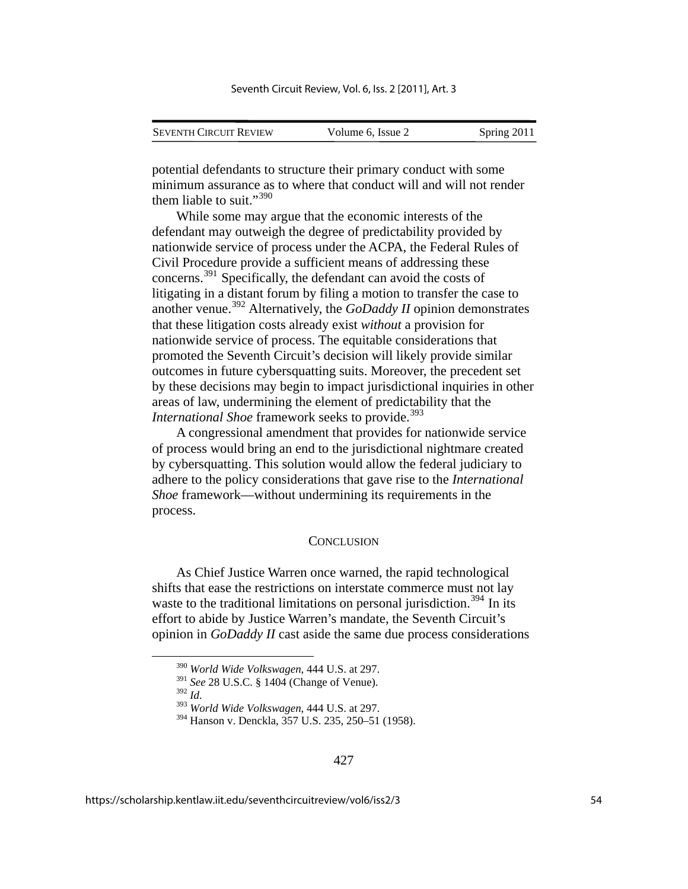| <b>SEVENTH CIRCUIT REVIEW</b> | Volume 6, Issue 2 | Spring 2011 |
|-------------------------------|-------------------|-------------|

potential defendants to structure their primary conduct with some minimum assurance as to where that conduct will and will not render them liable to suit."<sup>[390](#page-54-0)</sup>

While some may argue that the economic interests of the defendant may outweigh the degree of predictability provided by nationwide service of process under the ACPA, the Federal Rules of Civil Procedure provide a sufficient means of addressing these concerns.[391](#page-54-1) Specifically, the defendant can avoid the costs of litigating in a distant forum by filing a motion to transfer the case to another venue.[392](#page-54-2) Alternatively, the *GoDaddy II* opinion demonstrates that these litigation costs already exist *without* a provision for nationwide service of process. The equitable considerations that promoted the Seventh Circuit's decision will likely provide similar outcomes in future cybersquatting suits. Moreover, the precedent set by these decisions may begin to impact jurisdictional inquiries in other areas of law, undermining the element of predictability that the *International Shoe* framework seeks to provide.<sup>[393](#page-54-3)</sup>

A congressional amendment that provides for nationwide service of process would bring an end to the jurisdictional nightmare created by cybersquatting. This solution would allow the federal judiciary to adhere to the policy considerations that gave rise to the *International Shoe* framework—without undermining its requirements in the process.

#### **CONCLUSION**

As Chief Justice Warren once warned, the rapid technological shifts that ease the restrictions on interstate commerce must not lay waste to the traditional limitations on personal jurisdiction.<sup>[394](#page-54-4)</sup> In its effort to abide by Justice Warren's mandate, the Seventh Circuit's opinion in *GoDaddy II* cast aside the same due process considerations

<span id="page-54-2"></span><sup>392</sup> *Id.* 

 <sup>390</sup> *World Wide Volkswagen*, 444 U.S. at 297.

<span id="page-54-1"></span><span id="page-54-0"></span><sup>391</sup> *See* 28 U.S.C. § 1404 (Change of Venue).

<span id="page-54-3"></span><sup>393</sup> *World Wide Volkswagen*, 444 U.S. at 297.

<span id="page-54-4"></span><sup>394</sup> Hanson v. Denckla, 357 U.S. 235, 250–51 (1958).